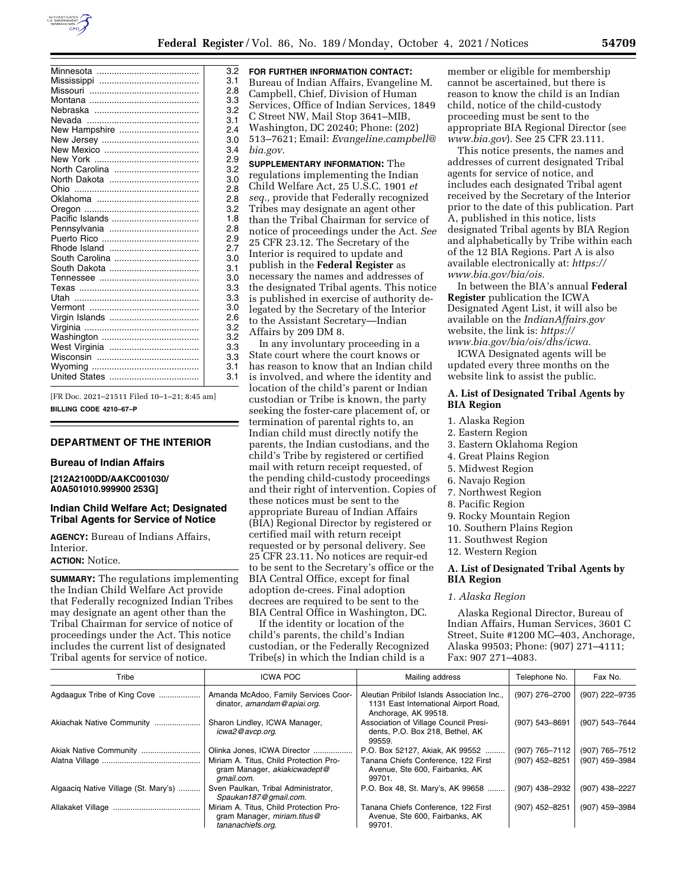

|                | 3.2 |
|----------------|-----|
|                | 3.1 |
|                | 2.8 |
|                | 3.3 |
|                | 3.2 |
|                | 3.1 |
| New Hampshire  | 2.4 |
|                | 3.0 |
|                | 3.4 |
|                | 2.9 |
| North Carolina | 3.2 |
|                | 3.0 |
|                | 2.8 |
|                | 2.8 |
|                | 3.2 |
|                | 1.8 |
|                | 2.8 |
|                | 2.9 |
|                | 2.7 |
|                | 3.0 |
|                | 3.1 |
|                | 3.0 |
|                | 3.3 |
|                | 3.3 |
|                | 3.0 |
|                | 2.6 |
|                | 3.2 |
|                | 3.2 |
|                | 3.3 |
|                | 3.3 |
|                | 3.1 |
|                | 3.1 |
|                |     |

[FR Doc. 2021–21511 Filed 10–1–21; 8:45 am] **BILLING CODE 4210–67–P** 

#### **DEPARTMENT OF THE INTERIOR**

#### **Bureau of Indian Affairs**

**[212A2100DD/AAKC001030/ A0A501010.999900 253G]** 

### **Indian Child Welfare Act; Designated Tribal Agents for Service of Notice**

**AGENCY:** Bureau of Indians Affairs, Interior.

#### **ACTION:** Notice.

**SUMMARY:** The regulations implementing the Indian Child Welfare Act provide that Federally recognized Indian Tribes may designate an agent other than the Tribal Chairman for service of notice of proceedings under the Act. This notice includes the current list of designated Tribal agents for service of notice.

**FOR FURTHER INFORMATION CONTACT:**  Bureau of Indian Affairs, Evangeline M. Campbell, Chief, Division of Human Services, Office of Indian Services, 1849 C Street NW, Mail Stop 3641–MIB, Washington, DC 20240; Phone: (202) 513–7621; Email: *[Evangeline.campbell@](mailto:Evangeline.campbell@bia.gov) [bia.gov.](mailto:Evangeline.campbell@bia.gov)* 

**SUPPLEMENTARY INFORMATION:** The regulations implementing the Indian Child Welfare Act, 25 U.S.C. 1901 *et seq.,* provide that Federally recognized Tribes may designate an agent other than the Tribal Chairman for service of notice of proceedings under the Act. *See*  25 CFR 23.12. The Secretary of the Interior is required to update and publish in the **Federal Register** as necessary the names and addresses of the designated Tribal agents. This notice is published in exercise of authority delegated by the Secretary of the Interior to the Assistant Secretary—Indian Affairs by 209 DM 8.

In any involuntary proceeding in a State court where the court knows or has reason to know that an Indian child is involved, and where the identity and location of the child's parent or Indian custodian or Tribe is known, the party seeking the foster-care placement of, or termination of parental rights to, an Indian child must directly notify the parents, the Indian custodians, and the child's Tribe by registered or certified mail with return receipt requested, of the pending child-custody proceedings and their right of intervention. Copies of these notices must be sent to the appropriate Bureau of Indian Affairs (BIA) Regional Director by registered or certified mail with return receipt requested or by personal delivery. See 25 CFR 23.11. No notices are requir-ed to be sent to the Secretary's office or the BIA Central Office, except for final adoption de-crees. Final adoption decrees are required to be sent to the BIA Central Office in Washington, DC.

If the identity or location of the child's parents, the child's Indian custodian, or the Federally Recognized Tribe(s) in which the Indian child is a

member or eligible for membership cannot be ascertained, but there is reason to know the child is an Indian child, notice of the child-custody proceeding must be sent to the appropriate BIA Regional Director (see *[www.bia.gov](http://www.bia.gov)*). See 25 CFR 23.111.

This notice presents, the names and addresses of current designated Tribal agents for service of notice, and includes each designated Tribal agent received by the Secretary of the Interior prior to the date of this publication. Part A, published in this notice, lists designated Tribal agents by BIA Region and alphabetically by Tribe within each of the 12 BIA Regions. Part A is also available electronically at: *[https://](https://www.bia.gov/bia/ois) [www.bia.gov/bia/ois.](https://www.bia.gov/bia/ois)* 

In between the BIA's annual **Federal Register** publication the ICWA Designated Agent List, it will also be available on the *IndianAffairs.gov*  website, the link is: *[https://](https://www.bia.gov/bia/ois/dhs/icwa) [www.bia.gov/bia/ois/dhs/icwa.](https://www.bia.gov/bia/ois/dhs/icwa)* 

ICWA Designated agents will be updated every three months on the website link to assist the public.

### **A. List of Designated Tribal Agents by BIA Region**

- 1. Alaska Region
- 2. Eastern Region
- 3. Eastern Oklahoma Region
- 4. Great Plains Region
- 5. Midwest Region
- 6. Navajo Region
- 7. Northwest Region
- 8. Pacific Region
- 9. Rocky Mountain Region
- 10. Southern Plains Region
- 11. Southwest Region
- 12. Western Region

### **A. List of Designated Tribal Agents by BIA Region**

#### *1. Alaska Region*

Alaska Regional Director, Bureau of Indian Affairs, Human Services, 3601 C Street, Suite #1200 MC–403, Anchorage, Alaska 99503; Phone: (907) 271–4111; Fax: 907 271–4083.

| Tribe                                | <b>ICWA POC</b>                                                                            | Mailing address                                                                                              | Telephone No.  | Fax No.        |
|--------------------------------------|--------------------------------------------------------------------------------------------|--------------------------------------------------------------------------------------------------------------|----------------|----------------|
| Agdaagux Tribe of King Cove          | Amanda McAdoo, Family Services Coor-<br>dinator, amandam@apiai.org.                        | Aleutian Pribilof Islands Association Inc.,<br>1131 East International Airport Road,<br>Anchorage, AK 99518. | (907) 276-2700 | (907) 222-9735 |
| Akiachak Native Community            | Sharon Lindley, ICWA Manager,<br>icwa2@avcp.org.                                           | Association of Village Council Presi-<br>dents, P.O. Box 218, Bethel, AK<br>99559.                           | (907) 543-8691 | (907) 543-7644 |
| Akiak Native Community               | Olinka Jones, ICWA Director                                                                | P.O. Box 52127, Akiak, AK 99552                                                                              | (907) 765-7112 | (907) 765-7512 |
|                                      | Miriam A. Titus, Child Protection Pro-<br>gram Manager, akiakicwadept@<br>qmail.com.       | Tanana Chiefs Conference, 122 First<br>Avenue, Ste 600, Fairbanks, AK<br>99701.                              | (907) 452-8251 | (907) 459-3984 |
| Algaacig Native Village (St. Mary's) | Sven Paulkan, Tribal Administrator,<br>Spaukan187@gmail.com.                               | P.O. Box 48, St. Mary's, AK 99658                                                                            | (907) 438-2932 | (907) 438-2227 |
|                                      | Miriam A. Titus, Child Protection Pro-<br>gram Manager, miriam.titus@<br>tananachiefs.org. | Tanana Chiefs Conference, 122 First<br>Avenue, Ste 600, Fairbanks, AK<br>99701.                              | (907) 452-8251 | (907) 459-3984 |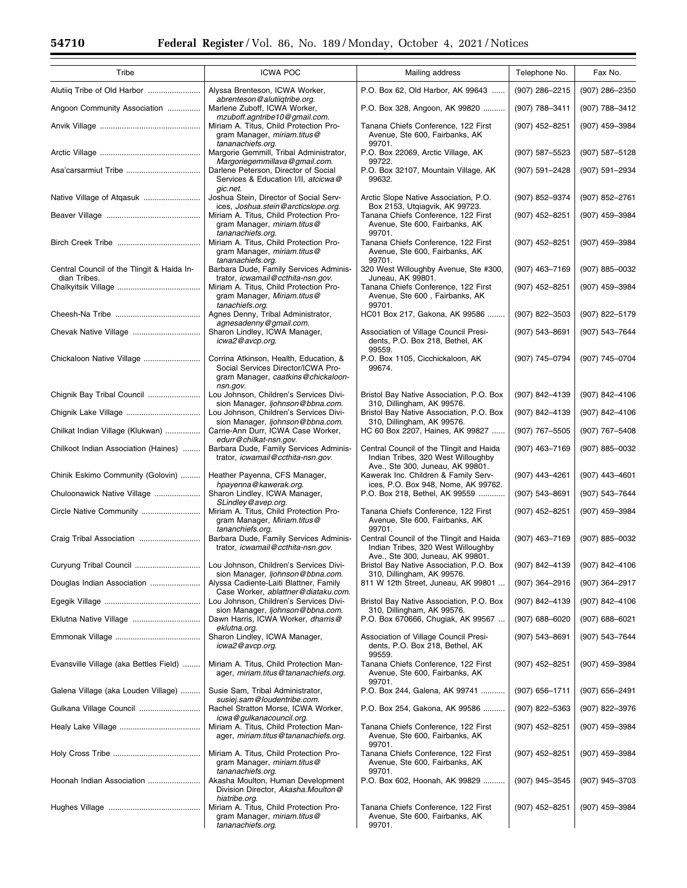| Tribe                                                      | <b>ICWA POC</b>                                                                                                    | Mailing address                                                                                                    | Telephone No.      | Fax No.          |
|------------------------------------------------------------|--------------------------------------------------------------------------------------------------------------------|--------------------------------------------------------------------------------------------------------------------|--------------------|------------------|
| Alutiiq Tribe of Old Harbor                                | Alyssa Brenteson, ICWA Worker,                                                                                     | P.O. Box 62, Old Harbor, AK 99643                                                                                  | (907) 286-2215     | (907) 286-2350   |
| Angoon Community Association                               | abrenteson@alutiiqtribe.org.<br>Marlene Zuboff, ICWA Worker,<br>mzuboff.agntribe10@gmail.com.                      | P.O. Box 328, Angoon, AK 99820                                                                                     | (907) 788-3411     | (907) 788-3412   |
|                                                            | Miriam A. Titus, Child Protection Pro-<br>gram Manager, miriam.titus@                                              | Tanana Chiefs Conference, 122 First<br>Avenue, Ste 600, Fairbanks, AK                                              | (907) 452-8251     | (907) 459-3984   |
|                                                            | tananachiefs.org.<br>Margorie Gemmill, Tribal Administrator,<br>Margoriegemmillava@gmail.com.                      | 99701.<br>P.O. Box 22069, Arctic Village, AK<br>99722.                                                             | (907) 587-5523     | (907) 587-5128   |
| Asa'carsarmiut Tribe                                       | Darlene Peterson, Director of Social<br>Services & Education I/II, atcicwa@                                        | P.O. Box 32107, Mountain Village, AK<br>99632.                                                                     | (907) 591-2428     | (907) 591-2934   |
| Native Village of Atgasuk                                  | gic.net.<br>Joshua Stein, Director of Social Serv-<br>ices, Joshua.stein@arcticslope.org.                          | Arctic Slope Native Association, P.O.<br>Box 2153, Utgiagvik, AK 99723.                                            | (907) 852-9374     | (907) 852-2761   |
|                                                            | Miriam A. Titus, Child Protection Pro-<br>gram Manager, miriam.titus@<br>tananachiefs.org.                         | Tanana Chiefs Conference, 122 First<br>Avenue, Ste 600, Fairbanks, AK<br>99701.                                    | (907) 452-8251     | (907) 459-3984   |
|                                                            | Miriam A. Titus, Child Protection Pro-<br>gram Manager, miriam.titus@<br>tananachiefs.org.                         | Tanana Chiefs Conference, 122 First<br>Avenue, Ste 600, Fairbanks, AK<br>99701.                                    | (907) 452-8251     | (907) 459-3984   |
| Central Council of the Tlingit & Haida In-<br>dian Tribes. | Barbara Dude, Family Services Adminis-<br>trator, icwamail@ccthita-nsn.gov.                                        | 320 West Willoughby Avenue, Ste #300,<br>Juneau, AK 99801.                                                         | $(907)$ 463-7169   | (907) 885-0032   |
|                                                            | Miriam A. Titus, Child Protection Pro-<br>gram Manager, Miriam.titus@<br>tanachiefs.org.                           | Tanana Chiefs Conference, 122 First<br>Avenue, Ste 600, Fairbanks, AK<br>99701.                                    | (907) 452-8251     | (907) 459-3984   |
|                                                            | Agnes Denny, Tribal Administrator,<br>agnesadenny@gmail.com.                                                       | HC01 Box 217, Gakona, AK 99586                                                                                     | (907) 822-3503     | (907) 822-5179   |
| Chevak Native Village                                      | Sharon Lindley, ICWA Manager,<br>icwa2@avcp.org.                                                                   | Association of Village Council Presi-<br>dents, P.O. Box 218, Bethel, AK<br>99559.                                 | (907) 543-8691     | (907) 543-7644   |
| Chickaloon Native Village                                  | Corrina Atkinson, Health, Education, &<br>Social Services Director/ICWA Pro-<br>gram Manager, caatkins@chickaloon- | P.O. Box 1105, Cicchickaloon, AK<br>99674.                                                                         | (907) 745-0794     | (907) 745-0704   |
| Chignik Bay Tribal Council                                 | nsn.gov.<br>Lou Johnson, Children's Services Divi-                                                                 | Bristol Bay Native Association, P.O. Box                                                                           | (907) 842-4139     | (907) 842-4106   |
| Chignik Lake Village                                       | sion Manager, ljohnson@bbna.com.<br>Lou Johnson, Children's Services Divi-                                         | 310, Dillingham, AK 99576.<br>Bristol Bay Native Association, P.O. Box                                             | (907) 842-4139     | (907) 842-4106   |
| Chilkat Indian Village (Klukwan)                           | sion Manager, ljohnson@bbna.com.<br>Carrie-Ann Durr, ICWA Case Worker,<br>edurr@chilkat-nsn.gov.                   | 310, Dillingham, AK 99576.<br>HC 60 Box 2207, Haines, AK 99827                                                     | (907) 767-5505     | (907) 767-5408   |
| Chilkoot Indian Association (Haines)                       | Barbara Dude, Family Services Adminis-<br>trator, icwamail@ccthita-nsn.gov.                                        | Central Council of the Tlingit and Haida<br>Indian Tribes, 320 West Willoughby<br>Ave., Ste 300, Juneau, AK 99801. | $(907)$ 463-7169   | (907) 885-0032   |
| Chinik Eskimo Community (Golovin)                          | Heather Payenna, CFS Manager,<br>hpayenna@kawerak.org.                                                             | Kawerak Inc. Children & Family Serv-<br>ices, P.O. Box 948, Nome, AK 99762.                                        | (907) 443-4261     | $(907)$ 443-4601 |
| Chuloonawick Native Village                                | Sharon Lindley, ICWA Manager,<br>SLindley@avep.org.                                                                | P.O. Box 218, Bethel, AK 99559                                                                                     | (907) 543-8691     | (907) 543-7644   |
| Circle Native Community                                    | Miriam A. Titus, Child Protection Pro-<br>gram Manager, Miriam.titus@<br>tananchiefs.org.                          | Tanana Chiefs Conference, 122 First<br>Avenue, Ste 600, Fairbanks, AK<br>99701.                                    | (907) 452-8251     | (907) 459-3984   |
| Craig Tribal Association                                   | Barbara Dude, Family Services Adminis-<br>trator, icwamail@ccthita-nsn.gov.                                        | Central Council of the Tlingit and Haida<br>Indian Tribes, 320 West Willoughby<br>Ave., Ste 300, Juneau, AK 99801. | (907) 463-7169     | (907) 885-0032   |
| Curyung Tribal Council                                     | Lou Johnson, Children's Services Divi-<br>sion Manager, <i>ljohnson@bbna.com</i> .                                 | Bristol Bay Native Association, P.O. Box<br>310, Dillingham, AK 99576.                                             | (907) 842-4139     | (907) 842-4106   |
| Douglas Indian Association                                 | Alyssa Cadiente-Laiti Blattner, Family<br>Case Worker, ablattner@diataku.com.                                      | 811 W 12th Street, Juneau, AK 99801                                                                                | $(907)$ 364-2916   | (907) 364-2917   |
|                                                            | Lou Johnson, Children's Services Divi-<br>sion Manager, ljohnson@bbna.com.                                         | Bristol Bay Native Association, P.O. Box<br>310, Dillingham, AK 99576.                                             | (907) 842-4139     | (907) 842-4106   |
|                                                            | Dawn Harris, ICWA Worker, dharris@<br>eklutna.org.                                                                 | P.O. Box 670666, Chugiak, AK 99567                                                                                 | $(907)$ 688-6020   | $(907)$ 688-6021 |
|                                                            | Sharon Lindley, ICWA Manager,<br>icwa2@avcp.org.                                                                   | Association of Village Council Presi-<br>dents, P.O. Box 218, Bethel, AK<br>99559.                                 | (907) 543-8691     | (907) 543-7644   |
| Evansville Village (aka Bettles Field)                     | Miriam A. Titus, Child Protection Man-<br>ager, miriam.titus@tananachiefs.org.                                     | Tanana Chiefs Conference, 122 First<br>Avenue, Ste 600, Fairbanks, AK<br>99701.                                    | (907) 452-8251     | (907) 459-3984   |
| Galena Village (aka Louden Village)                        | Susie Sam, Tribal Administrator,<br>susiej.sam@loudentribe.com.                                                    | P.O. Box 244, Galena, AK 99741                                                                                     | $(907) 656 - 1711$ | $(907)$ 656-2491 |
| Gulkana Village Council                                    | Rachel Stratton Morse, ICWA Worker,                                                                                | P.O. Box 254, Gakona, AK 99586                                                                                     | $(907)$ 822-5363   | (907) 822-3976   |
|                                                            | icwa@gulkanacouncil.org.<br>Miriam A. Titus, Child Protection Man-<br>ager, miriam.titus@tananachiefs.org.         | Tanana Chiefs Conference, 122 First<br>Avenue, Ste 600, Fairbanks, AK<br>99701.                                    | (907) 452-8251     | (907) 459-3984   |
|                                                            | Miriam A. Titus, Child Protection Pro-<br>gram Manager, miriam.titus@<br>tananachiefs.org.                         | Tanana Chiefs Conference, 122 First<br>Avenue, Ste 600, Fairbanks, AK<br>99701.                                    | (907) 452-8251     | (907) 459-3984   |
| Hoonah Indian Association                                  | Akasha Moulton, Human Development<br>Division Director, Akasha.Moulton@<br>hiatribe.org.                           | P.O. Box 602, Hoonah, AK 99829                                                                                     | (907) 945-3545     | (907) 945-3703   |
|                                                            | Miriam A. Titus, Child Protection Pro-<br>gram Manager, miriam.titus@<br>tananachiefs.org.                         | Tanana Chiefs Conference, 122 First<br>Avenue, Ste 600, Fairbanks, AK<br>99701.                                    | (907) 452-8251     | (907) 459-3984   |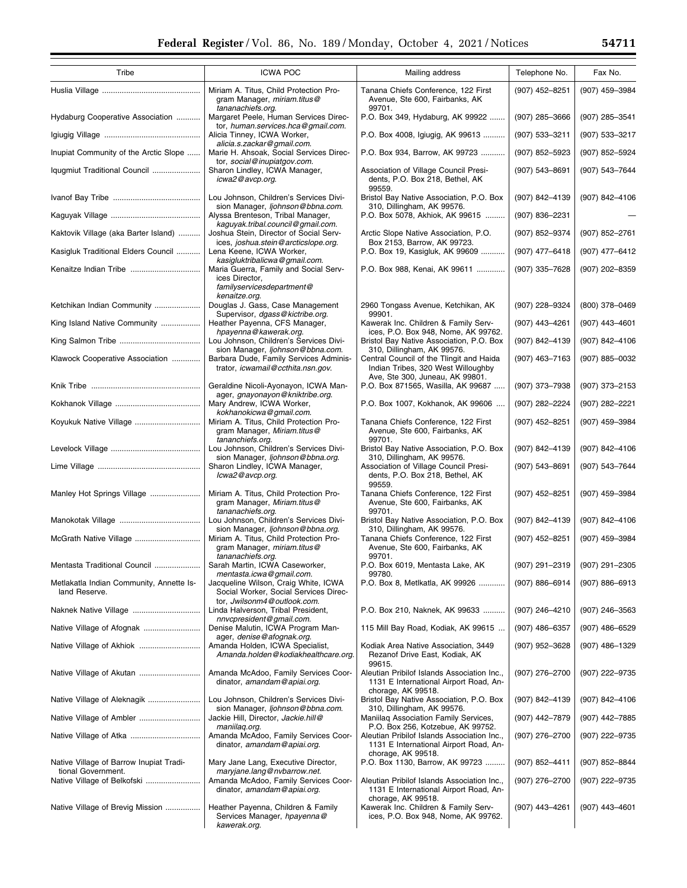| Tribe                                                         | <b>ICWA POC</b>                                                                                              | Mailing address                                                                                                   | Telephone No.      | Fax No.            |
|---------------------------------------------------------------|--------------------------------------------------------------------------------------------------------------|-------------------------------------------------------------------------------------------------------------------|--------------------|--------------------|
|                                                               | Miriam A. Titus, Child Protection Pro-<br>gram Manager, miriam.titus@                                        | Tanana Chiefs Conference, 122 First<br>Avenue, Ste 600, Fairbanks, AK                                             | (907) 452-8251     | (907) 459-3984     |
| Hydaburg Cooperative Association                              | tananachiefs.org.<br>Margaret Peele, Human Services Direc-<br>tor, human.services.hca@gmail.com.             | 99701.<br>P.O. Box 349, Hydaburg, AK 99922                                                                        | (907) 285-3666     | (907) 285-3541     |
|                                                               | Alicia Tinney, ICWA Worker,                                                                                  | P.O. Box 4008, Igiugig, AK 99613                                                                                  | (907) 533-3211     | (907) 533-3217     |
| Inupiat Community of the Arctic Slope                         | alicia.s.zackar@gmail.com.<br>Marie H. Ahsoak, Social Services Direc-                                        | P.O. Box 934, Barrow, AK 99723                                                                                    | (907) 852-5923     | (907) 852-5924     |
| Iqugmiut Traditional Council                                  | tor, social@inupiatgov.com.<br>Sharon Lindley, ICWA Manager,<br>icwa2@avcp.org.                              | Association of Village Council Presi-<br>dents, P.O. Box 218, Bethel, AK<br>99559.                                | (907) 543-8691     | (907) 543-7644     |
|                                                               | Lou Johnson, Children's Services Divi-<br>sion Manager, ljohnson@bbna.com.                                   | Bristol Bay Native Association, P.O. Box<br>310, Dillingham, AK 99576.                                            | (907) 842-4139     | (907) 842-4106     |
|                                                               | Alyssa Brenteson, Tribal Manager,<br>kaguyak.tribal.council@gmail.com.                                       | P.O. Box 5078, Akhiok, AK 99615                                                                                   | (907) 836-2231     |                    |
| Kaktovik Village (aka Barter Island)                          | Joshua Stein, Director of Social Serv-<br>ices, joshua.stein@arcticslope.org.                                | Arctic Slope Native Association, P.O.<br>Box 2153, Barrow, AK 99723.                                              | (907) 852-9374     | (907) 852-2761     |
| Kasigluk Traditional Elders Council                           | Lena Keene, ICWA Worker,<br>kasigluktribalicwa@gmail.com.                                                    | P.O. Box 19, Kasigluk, AK 99609                                                                                   | (907) 477-6418     | (907) 477-6412     |
| Kenaitze Indian Tribe                                         | Maria Guerra, Family and Social Serv-<br>ices Director,<br>familyservicesdepartment@<br>kenaitze.org.        | P.O. Box 988, Kenai, AK 99611                                                                                     | (907) 335-7628     | (907) 202-8359     |
| Ketchikan Indian Community                                    | Douglas J. Gass, Case Management<br>Supervisor, dgass@kictribe.org.                                          | 2960 Tongass Avenue, Ketchikan, AK<br>99901.                                                                      | (907) 228-9324     | $(800)$ 378-0469   |
| King Island Native Community                                  | Heather Payenna, CFS Manager,<br>hpayenna@kawerak.org.                                                       | Kawerak Inc. Children & Family Serv-<br>ices, P.O. Box 948, Nome, AK 99762.                                       | (907) 443-4261     | (907) 443-4601     |
|                                                               | Lou Johnson, Children's Services Divi-<br>sion Manager, ljohnson@bbna.com.                                   | Bristol Bay Native Association, P.O. Box<br>310, Dillingham, AK 99576.                                            | (907) 842-4139     | (907) 842-4106     |
| Klawock Cooperative Association                               | Barbara Dude, Family Services Adminis-<br>trator, icwamail@ccthita.nsn.gov.                                  | Central Council of the Tlingit and Haida<br>Indian Tribes, 320 West Willoughby<br>Ave, Ste 300, Juneau, AK 99801. | $(907)$ 463-7163   | (907) 885-0032     |
|                                                               | Geraldine Nicoli-Ayonayon, ICWA Man-<br>ager, gnayonayon@kniktribe.org.                                      | P.O. Box 871565, Wasilla, AK 99687                                                                                | (907) 373-7938     | (907) 373-2153     |
|                                                               | Mary Andrew, ICWA Worker,<br>kokhanokicwa@gmail.com.                                                         | P.O. Box 1007, Kokhanok, AK 99606                                                                                 | (907) 282-2224     | (907) 282-2221     |
| Koyukuk Native Village                                        | Miriam A. Titus, Child Protection Pro-<br>gram Manager, Miriam.titus@<br>tananchiefs.org.                    | Tanana Chiefs Conference, 122 First<br>Avenue, Ste 600, Fairbanks, AK<br>99701.                                   | (907) 452-8251     | (907) 459-3984     |
|                                                               | Lou Johnson, Children's Services Divi-<br>sion Manager, ljohnson@bbna.org.                                   | Bristol Bay Native Association, P.O. Box<br>310, Dillingham, AK 99576.                                            | (907) 842-4139     | (907) 842-4106     |
|                                                               | Sharon Lindley, ICWA Manager,<br>lcwa2@avcp.org.                                                             | Association of Village Council Presi-<br>dents, P.O. Box 218, Bethel, AK<br>99559.                                | (907) 543-8691     | (907) 543-7644     |
| Manley Hot Springs Village                                    | Miriam A. Titus, Child Protection Pro-<br>gram Manager, Miriam.titus@<br>tananachiefs.org.                   | Tanana Chiefs Conference, 122 First<br>Avenue, Ste 600, Fairbanks, AK<br>99701.                                   | (907) 452-8251     | (907) 459-3984     |
|                                                               | Lou Johnson, Children's Services Divi-<br>sion Manager, ljohnson@bbna.org.                                   | Bristol Bay Native Association, P.O. Box<br>310, Dillingham, AK 99576.                                            | (907) 842-4139     | (907) 842-4106     |
| McGrath Native Village                                        | Miriam A. Titus, Child Protection Pro-<br>gram Manager, miriam.titus@<br>tananachiefs.org.                   | Tanana Chiefs Conference, 122 First<br>Avenue, Ste 600, Fairbanks, AK<br>99701.                                   | (907) 452-8251     | (907) 459-3984     |
| Mentasta Traditional Council                                  | Sarah Martin, ICWA Caseworker,<br>mentasta.icwa@gmail.com.                                                   | P.O. Box 6019, Mentasta Lake, AK<br>99780.                                                                        | (907) 291-2319     | $(907)$ 291-2305   |
| Metlakatla Indian Community, Annette Is-<br>land Reserve.     | Jacqueline Wilson, Craig White, ICWA<br>Social Worker, Social Services Direc-<br>tor, Jwilsonm4@outlook.com. | P.O. Box 8, Metlkatla, AK 99926                                                                                   | $(907) 886 - 6914$ | $(907) 886 - 6913$ |
|                                                               | Linda Halverson, Tribal President,<br>nnvcpresident@gmail.com.                                               | P.O. Box 210, Naknek, AK 99633                                                                                    | (907) 246-4210     | (907) 246-3563     |
|                                                               | Denise Malutin, ICWA Program Man-<br>ager, denise@afognak.org.                                               | 115 Mill Bay Road, Kodiak, AK 99615                                                                               | (907) 486-6357     | $(907)$ 486-6529   |
|                                                               | Amanda Holden, ICWA Specialist,<br>Amanda.holden@kodiakhealthcare.org.                                       | Kodiak Area Native Association, 3449<br>Rezanof Drive East, Kodiak, AK<br>99615.                                  | (907) 952-3628     | (907) 486-1329     |
|                                                               | Amanda McAdoo, Family Services Coor-<br>dinator, amandam@apiai.org.                                          | Aleutian Pribilof Islands Association Inc.,<br>1131 E International Airport Road, An-<br>chorage, AK 99518.       | (907) 276-2700     | (907) 222-9735     |
|                                                               | Lou Johnson, Children's Services Divi-<br>sion Manager, ljohnson@bbna.com.                                   | Bristol Bay Native Association, P.O. Box<br>310, Dillingham, AK 99576.                                            | (907) 842-4139     | (907) 842-4106     |
|                                                               | Jackie Hill, Director, Jackie.hill@<br>maniilag.org.                                                         | Maniilag Association Family Services,<br>P.O. Box 256, Kotzebue, AK 99752.                                        | (907) 442-7879     | (907) 442-7885     |
|                                                               | Amanda McAdoo, Family Services Coor-<br>dinator, amandam@apiai.org.                                          | Aleutian Pribilof Islands Association Inc.,<br>1131 E International Airport Road, An-<br>chorage, AK 99518.       | $(907)$ 276-2700   | (907) 222-9735     |
| Native Village of Barrow Inupiat Tradi-<br>tional Government. | Mary Jane Lang, Executive Director,<br>maryjane.lang@nvbarrow.net.                                           | P.O. Box 1130, Barrow, AK 99723                                                                                   | $(907) 852 - 4411$ | (907) 852-8844     |
| Native Village of Belkofski                                   | Amanda McAdoo, Family Services Coor-<br>dinator, amandam@apiai.org.                                          | Aleutian Pribilof Islands Association Inc.,<br>1131 E International Airport Road, An-<br>chorage, AK 99518.       | (907) 276-2700     | (907) 222-9735     |
| Native Village of Brevig Mission                              | Heather Payenna, Children & Family<br>Services Manager, hpayenna@<br>kawerak.org.                            | Kawerak Inc. Children & Family Serv-<br>ices, P.O. Box 948, Nome, AK 99762.                                       | (907) 443-4261     | (907) 443-4601     |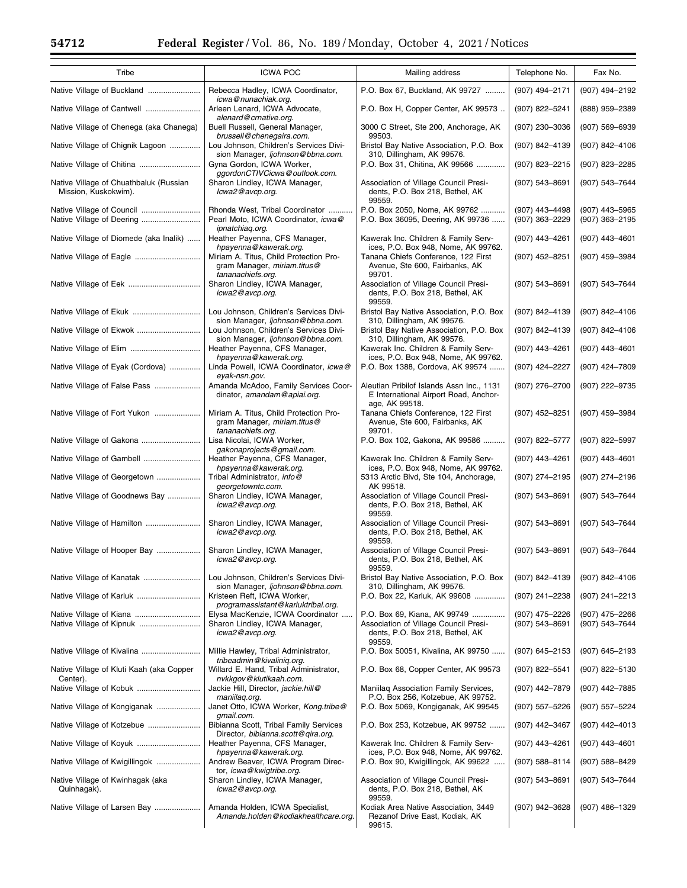| Tribe                                                          | <b>ICWA POC</b>                                                                            | Mailing address                                                                                      | Telephone No.                      | Fax No.                          |
|----------------------------------------------------------------|--------------------------------------------------------------------------------------------|------------------------------------------------------------------------------------------------------|------------------------------------|----------------------------------|
| Native Village of Buckland                                     | Rebecca Hadley, ICWA Coordinator,<br>icwa@nunachiak.org.                                   | P.O. Box 67, Buckland, AK 99727                                                                      | (907) 494-2171                     | (907) 494-2192                   |
| Native Village of Cantwell                                     | Arleen Lenard, ICWA Advocate,                                                              | P.O. Box H, Copper Center, AK 99573                                                                  | (907) 822-5241                     | (888) 959-2389                   |
| Native Village of Chenega (aka Chanega)                        | alenard@crnative.org.<br>Buell Russell, General Manager,                                   | 3000 C Street, Ste 200, Anchorage, AK                                                                | (907) 230-3036                     | (907) 569-6939                   |
| Native Village of Chignik Lagoon                               | brussell@chenegaira.com.<br>Lou Johnson, Children's Services Divi-                         | 99503.<br>Bristol Bay Native Association, P.O. Box                                                   | (907) 842-4139                     | (907) 842-4106                   |
| Native Village of Chitina                                      | sion Manager, ljohnson@bbna.com.<br>Gyna Gordon, ICWA Worker,                              | 310, Dillingham, AK 99576.<br>P.O. Box 31, Chitina, AK 99566                                         | (907) 823-2215                     | (907) 823-2285                   |
| Native Village of Chuathbaluk (Russian<br>Mission, Kuskokwim). | ggordonCTIVCicwa@outlook.com.<br>Sharon Lindley, ICWA Manager,<br>lcwa2@avcp.org.          | Association of Village Council Presi-<br>dents, P.O. Box 218, Bethel, AK<br>99559.                   | (907) 543-8691                     | (907) 543-7644                   |
| Native Village of Council<br>Native Village of Deering         | Rhonda West, Tribal Coordinator<br>Pearl Moto, ICWA Coordinator, icwa@<br>ipnatchiag.org.  | P.O. Box 2050, Nome, AK 99762<br>P.O. Box 36095, Deering, AK 99736                                   | (907) 443-4498<br>$(907)$ 363-2229 | (907) 443-5965<br>(907) 363-2195 |
| Native Village of Diomede (aka Inalik)                         | Heather Payenna, CFS Manager,<br>hpayenna@kawerak.org.                                     | Kawerak Inc. Children & Family Serv-<br>ices, P.O. Box 948, Nome, AK 99762.                          | (907) 443-4261                     | (907) 443-4601                   |
|                                                                | Miriam A. Titus, Child Protection Pro-<br>gram Manager, miriam.titus@                      | Tanana Chiefs Conference, 122 First<br>Avenue, Ste 600, Fairbanks, AK                                | (907) 452-8251                     | (907) 459-3984                   |
|                                                                | tananachiefs.org.<br>Sharon Lindley, ICWA Manager,<br>icwa2@avcp.org.                      | 99701.<br>Association of Village Council Presi-<br>dents, P.O. Box 218, Bethel, AK<br>99559.         | (907) 543-8691                     | (907) 543-7644                   |
|                                                                | Lou Johnson, Children's Services Divi-<br>sion Manager, ljohnson@bbna.com.                 | Bristol Bay Native Association, P.O. Box<br>310, Dillingham, AK 99576.                               | (907) 842-4139                     | (907) 842-4106                   |
| Native Village of Ekwok                                        | Lou Johnson, Children's Services Divi-<br>sion Manager, ljohnson@bbna.com.                 | Bristol Bay Native Association, P.O. Box<br>310, Dillingham, AK 99576.                               | (907) 842-4139                     | (907) 842-4106                   |
| Native Village of Elim                                         | Heather Payenna, CFS Manager,<br>hpayenna@kawerak.org.                                     | Kawerak Inc. Children & Family Serv-<br>ices, P.O. Box 948, Nome, AK 99762.                          | (907) 443-4261                     | $(907)$ 443-4601                 |
| Native Village of Eyak (Cordova)                               | Linda Powell, ICWA Coordinator, icwa@<br>eyak-nsn.gov.                                     | P.O. Box 1388, Cordova, AK 99574                                                                     | (907) 424-2227                     | (907) 424-7809                   |
| Native Village of False Pass                                   | Amanda McAdoo, Family Services Coor-<br>dinator, amandam@apiai.org.                        | Aleutian Pribilof Islands Assn Inc., 1131<br>E International Airport Road, Anchor-<br>age, AK 99518. | (907) 276-2700                     | (907) 222-9735                   |
| Native Village of Fort Yukon                                   | Miriam A. Titus, Child Protection Pro-<br>gram Manager, miriam.titus@<br>tananachiefs.org. | Tanana Chiefs Conference, 122 First<br>Avenue, Ste 600, Fairbanks, AK<br>99701.                      | (907) 452-8251                     | (907) 459-3984                   |
|                                                                | Lisa Nicolai, ICWA Worker,<br>gakonaprojects@gmail.com.                                    | P.O. Box 102, Gakona, AK 99586                                                                       | (907) 822-5777                     | (907) 822-5997                   |
| Native Village of Gambell                                      | Heather Payenna, CFS Manager,                                                              | Kawerak Inc. Children & Family Serv-                                                                 | (907) 443-4261                     | (907) 443-4601                   |
| Native Village of Georgetown                                   | hpayenna@kawerak.org.<br>Tribal Administrator, info@                                       | ices, P.O. Box 948, Nome, AK 99762.<br>5313 Arctic Blvd, Ste 104, Anchorage,                         | (907) 274-2195                     | (907) 274-2196                   |
| Native Village of Goodnews Bay                                 | georgetowntc.com.<br>Sharon Lindley, ICWA Manager,<br>icwa2@avcp.org.                      | AK 99518.<br>Association of Village Council Presi-<br>dents, P.O. Box 218, Bethel, AK<br>99559.      | (907) 543-8691                     | (907) 543-7644                   |
| Native Village of Hamilton                                     | Sharon Lindley, ICWA Manager,<br>icwa2@avcp.org.                                           | Association of Village Council Presi-<br>dents, P.O. Box 218, Bethel, AK<br>99559.                   | (907) 543-8691                     | (907) 543-7644                   |
| Native Village of Hooper Bay                                   | Sharon Lindley, ICWA Manager,<br>icwa2@avcp.org.                                           | Association of Village Council Presi-<br>dents, P.O. Box 218, Bethel, AK<br>99559.                   | (907) 543-8691                     | (907) 543-7644                   |
|                                                                | Lou Johnson, Children's Services Divi-<br>sion Manager, ljohnson@bbna.com.                 | Bristol Bay Native Association, P.O. Box<br>310, Dillingham, AK 99576.                               | (907) 842-4139                     | (907) 842-4106                   |
|                                                                | Kristeen Reft, ICWA Worker,<br>programassistant@karluktribal.org.                          | P.O. Box 22, Karluk, AK 99608                                                                        | $(907)$ 241-2238                   | (907) 241-2213                   |
|                                                                | Elysa MacKenzie, ICWA Coordinator                                                          | P.O. Box 69, Kiana, AK 99749                                                                         | $(907)$ 475-2226                   | (907) 475–2266                   |
| Native Village of Kipnuk                                       | Sharon Lindley, ICWA Manager,<br>icwa2@avcp.org.                                           | Association of Village Council Presi-<br>dents, P.O. Box 218, Bethel, AK<br>99559.                   | (907) 543-8691                     | (907) 543-7644                   |
|                                                                | Millie Hawley, Tribal Administrator,<br>tribeadmin@kivaliniq.org.                          | P.O. Box 50051, Kivalina, AK 99750                                                                   | $(907)$ 645-2153                   | (907) 645-2193                   |
| Native Village of Kluti Kaah (aka Copper<br>Center).           | Willard E. Hand, Tribal Administrator,<br>nvkkgov@klutikaah.com.                           | P.O. Box 68, Copper Center, AK 99573                                                                 | $(907)$ 822-5541                   | (907) 822-5130                   |
| Native Village of Kobuk                                        | Jackie Hill, Director, jackie.hill@<br>maniilag.org.                                       | Maniilag Association Family Services,<br>P.O. Box 256, Kotzebue, AK 99752.                           | (907) 442-7879                     | (907) 442-7885                   |
| Native Village of Kongiganak                                   | Janet Otto, ICWA Worker, Kong.tribe@<br>gmail.com.                                         | P.O. Box 5069, Kongiganak, AK 99545                                                                  | $(907)$ 557-5226                   | (907) 557-5224                   |
|                                                                | Bibianna Scott, Tribal Family Services<br>Director, bibianna.scott@gira.org.               | P.O. Box 253, Kotzebue, AK 99752                                                                     | (907) 442-3467                     | (907) 442-4013                   |
|                                                                | Heather Payenna, CFS Manager,                                                              | Kawerak Inc. Children & Family Serv-                                                                 | (907) 443-4261                     | (907) 443-4601                   |
| Native Village of Kwigillingok                                 | hpayenna@kawerak.org.<br>Andrew Beaver, ICWA Program Direc-                                | ices, P.O. Box 948, Nome, AK 99762.<br>P.O. Box 90, Kwigillingok, AK 99622                           | $(907) 588 - 8114$                 | (907) 588-8429                   |
| Native Village of Kwinhagak (aka<br>Quinhagak).                | tor, icwa@kwigtribe.org.<br>Sharon Lindley, ICWA Manager,<br>icwa2@avcp.org.               | Association of Village Council Presi-<br>dents, P.O. Box 218, Bethel, AK                             | $(907) 543 - 8691$                 | (907) 543-7644                   |
| Native Village of Larsen Bay                                   | Amanda Holden, ICWA Specialist,<br>Amanda.holden@kodiakhealthcare.org.                     | 99559.<br>Kodiak Area Native Association, 3449<br>Rezanof Drive East, Kodiak, AK<br>99615.           | $(907)$ 942-3628                   | (907) 486-1329                   |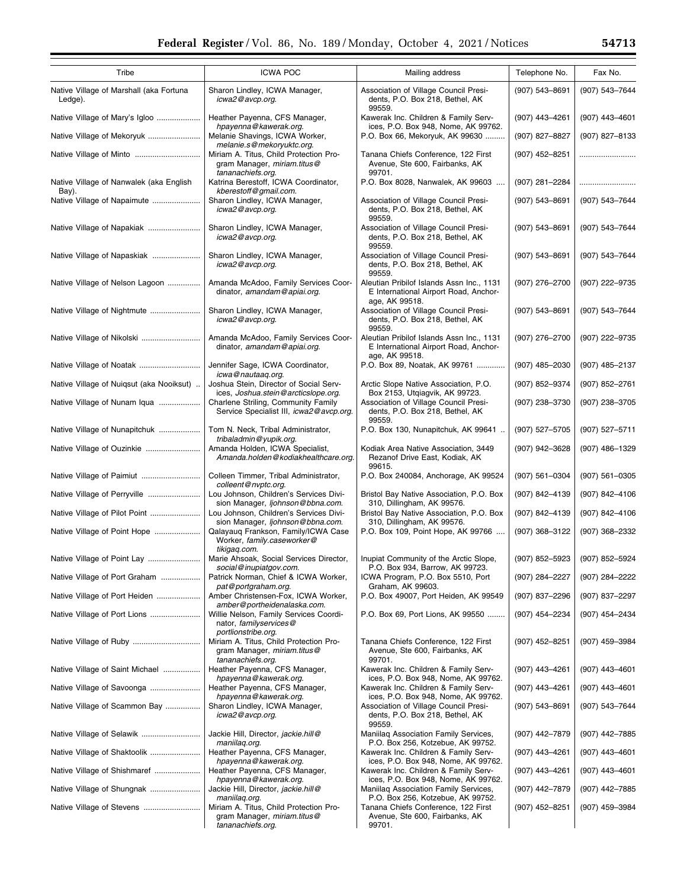*[icwa2@avcp.org](mailto:icwa2@avcp.org)*.

*[hpayenna@kawerak.org](mailto:hpayenna@kawerak.org)*.

*[hpayenna@kawerak.org](mailto:hpayenna@kawerak.org)*.

gram Manager, *[miriam.titus@](mailto:miriam.titus@tananachiefs.org)*

*[maniilaq.org](mailto:jackie.hill@maniilaq.org)*.

*[maniilaq.org](mailto:jackie.hill@maniilaq.org)*.

*[tananachiefs.org](mailto:miriam.titus@tananachiefs.org)*.

Native Village of Scammon Bay ................. | Sharon Lindley, ICWA Manager,

Native Village of Selawik ........................... Jackie Hill, Director, *[jackie.hill@](mailto:jackie.hill@maniilaq.org)*

Native Village of Shaktoolik ........................... | Heather Payenna, CFS Manager,

Native Village of Shishmaref ....................... | Heather Payenna, CFS Manager,

Native Village of Shungnak ....................... Jackie Hill, Director, *[jackie.hill@](mailto:jackie.hill@maniilaq.org)*

Native Village of Stevens .......................... Miriam A. Titus, Child Protection Pro-

| Tribe                                              | <b>ICWA POC</b>                                                                            |                                                                                                                    |                    | Fax No.            |
|----------------------------------------------------|--------------------------------------------------------------------------------------------|--------------------------------------------------------------------------------------------------------------------|--------------------|--------------------|
|                                                    |                                                                                            | Mailing address                                                                                                    | Telephone No.      |                    |
| Native Village of Marshall (aka Fortuna<br>Ledge). | Sharon Lindley, ICWA Manager,<br>icwa2@avcp.org.                                           | Association of Village Council Presi-<br>dents, P.O. Box 218, Bethel, AK<br>99559.                                 | (907) 543-8691     | (907) 543-7644     |
| Native Village of Mary's Igloo                     | Heather Payenna, CFS Manager,<br>hpayenna@kawerak.org.                                     | Kawerak Inc. Children & Family Serv-<br>ices, P.O. Box 948, Nome, AK 99762.                                        | (907) 443-4261     | (907) 443-4601     |
| Native Village of Mekoryuk                         | Melanie Shavings, ICWA Worker,<br>melanie.s@mekoryuktc.org.                                | P.O. Box 66, Mekoryuk, AK 99630                                                                                    | (907) 827-8827     | (907) 827-8133     |
| Native Village of Minto                            | Miriam A. Titus, Child Protection Pro-<br>gram Manager, miriam.titus@<br>tananachiefs.org. | Tanana Chiefs Conference, 122 First<br>Avenue, Ste 600, Fairbanks, AK<br>99701.                                    | (907) 452-8251     |                    |
| Native Village of Nanwalek (aka English<br>Bay).   | Katrina Berestoff, ICWA Coordinator,<br>kberestoff@gmail.com.                              | P.O. Box 8028, Nanwalek, AK 99603                                                                                  | (907) 281-2284     |                    |
| Native Village of Napaimute                        | Sharon Lindley, ICWA Manager,<br>icwa2@avcp.org.                                           | Association of Village Council Presi-<br>dents, P.O. Box 218, Bethel, AK<br>99559.                                 | (907) 543-8691     | (907) 543-7644     |
| Native Village of Napakiak                         | Sharon Lindley, ICWA Manager,<br>icwa2@avcp.org.                                           | Association of Village Council Presi-<br>dents, P.O. Box 218, Bethel, AK<br>99559.                                 | (907) 543-8691     | (907) 543-7644     |
| Native Village of Napaskiak                        | Sharon Lindley, ICWA Manager,<br>icwa2@avcp.org.                                           | Association of Village Council Presi-<br>dents, P.O. Box 218, Bethel, AK<br>99559.                                 | (907) 543-8691     | (907) 543-7644     |
| Native Village of Nelson Lagoon                    | Amanda McAdoo, Family Services Coor-<br>dinator, amandam@apiai.org.                        | Aleutian Pribilof Islands Assn Inc., 1131<br>E International Airport Road, Anchor-<br>age, AK 99518.               | (907) 276-2700     | (907) 222-9735     |
| Native Village of Nightmute                        | Sharon Lindley, ICWA Manager,<br>icwa2@avcp.org.                                           | Association of Village Council Presi-<br>dents, P.O. Box 218, Bethel, AK<br>99559.                                 | (907) 543-8691     | (907) 543-7644     |
| Native Village of Nikolski                         | Amanda McAdoo, Family Services Coor-<br>dinator, amandam@apiai.org.                        | Aleutian Pribilof Islands Assn Inc., 1131<br>E International Airport Road, Anchor-<br>age, AK 99518.               | (907) 276-2700     | (907) 222-9735     |
| Native Village of Noatak                           | Jennifer Sage, ICWA Coordinator,<br>icwa@nautaaq.org.                                      | P.O. Box 89, Noatak, AK 99761                                                                                      | $(907)$ 485-2030   | (907) 485-2137     |
| Native Village of Nuiqsut (aka Nooiksut)           | Joshua Stein, Director of Social Serv-<br>ices, Joshua.stein@arcticslope.org.              | Arctic Slope Native Association, P.O.<br>Box 2153, Utqiagvik, AK 99723.                                            | (907) 852-9374     | (907) 852-2761     |
| Native Village of Nunam Iqua                       | Charlene Striling, Community Family<br>Service Specialist III, icwa2@avcp.org.             | Association of Village Council Presi-<br>dents, P.O. Box 218, Bethel, AK<br>99559.                                 | (907) 238-3730     | (907) 238-3705     |
| Native Village of Nunapitchuk                      | Tom N. Neck, Tribal Administrator,<br>tribaladmin@yupik.org.                               | P.O. Box 130, Nunapitchuk, AK 99641                                                                                | (907) 527-5705     | (907) 527-5711     |
| Native Village of Ouzinkie                         | Amanda Holden, ICWA Specialist,<br>Amanda.holden@kodiakhealthcare.org.                     | Kodiak Area Native Association, 3449<br>Rezanof Drive East, Kodiak, AK<br>99615.                                   | (907) 942-3628     | $(907)$ 486-1329   |
| Native Village of Paimiut                          | Colleen Timmer, Tribal Administrator,<br>colleent@nvptc.org.                               | P.O. Box 240084, Anchorage, AK 99524                                                                               | $(907) 561 - 0304$ | $(907) 561 - 0305$ |
| Native Village of Perryville                       | Lou Johnson, Children's Services Divi-<br>sion Manager, ljohnson@bbna.com.                 | Bristol Bay Native Association, P.O. Box<br>310, Dillingham, AK 99576.                                             | (907) 842-4139     | (907) 842-4106     |
| Native Village of Pilot Point                      | Lou Johnson, Children's Services Divi-<br>sion Manager, ljohnson@bbna.com.                 | Bristol Bay Native Association, P.O. Box<br>310, Dillingham, AK 99576.                                             | (907) 842-4139     | (907) 842-4106     |
| Native Village of Point Hope                       | Qalayauq Frankson, Family/ICWA Case<br>Worker, family.caseworker@<br>tikigaq.com.          | P.O. Box 109, Point Hope, AK 99766                                                                                 | (907) 368-3122     | $(907)$ 368-2332   |
| Native Village of Point Lay                        | Marie Ahsoak, Social Services Director,<br>social@inupiatgov.com.                          | Inupiat Community of the Arctic Slope,<br>P.O. Box 934, Barrow, AK 99723.                                          | (907) 852-5923     | (907) 852-5924     |
| Native Village of Port Graham                      | Patrick Norman, Chief & ICWA Worker,<br>pat@portgraham.org.                                | ICWA Program, P.O. Box 5510, Port<br>Graham, AK 99603.                                                             | (907) 284-2227     | (907) 284-2222     |
| Native Village of Port Heiden                      | Amber Christensen-Fox, ICWA Worker,<br>amber@portheidenalaska.com.                         | P.O. Box 49007, Port Heiden, AK 99549                                                                              | (907) 837-2296     | (907) 837-2297     |
| Native Village of Port Lions                       | Willie Nelson, Family Services Coordi-<br>nator, familyservices@<br>portlionstribe.org.    | P.O. Box 69, Port Lions, AK 99550                                                                                  | (907) 454-2234     | (907) 454-2434     |
| Native Village of Ruby                             | Miriam A. Titus, Child Protection Pro-<br>gram Manager, miriam.titus@<br>tananachiefs.org. | Tanana Chiefs Conference, 122 First<br>Avenue, Ste 600, Fairbanks, AK<br>99701.                                    | (907) 452-8251     | $(907)$ 459-3984   |
| Native Village of Saint Michael                    | Heather Payenna, CFS Manager,                                                              | Kawerak Inc. Children & Family Serv-                                                                               | (907) 443-4261     | (907) 443-4601     |
| Native Village of Savoonga                         | hpayenna@kawerak.org.<br>Heather Payenna, CFS Manager,<br>hpayenna@kawerak.org.            | ices, P.O. Box 948, Nome, AK 99762.<br>Kawerak Inc. Children & Family Serv-<br>ices, P.O. Box 948, Nome, AK 99762. | (907) 443-4261     | (907) 443-4601     |

Association of Village Council Presidents, P.O. Box 218, Bethel, AK

Maniilaq Association Family Services, P.O. Box 256, Kotzebue, AK 99752.

Kawerak Inc. Children & Family Services, P.O. Box 948, Nome, AK 99762.

Kawerak Inc. Children & Family Services, P.O. Box 948, Nome, AK 99762.

Maniilaq Association Family Services, P.O. Box 256, Kotzebue, AK 99752.

Tanana Chiefs Conference, 122 First Avenue, Ste 600, Fairbanks, AK

(907) 543–8691 (907) 543–7644

(907) 442–7879 (907) 442–7885

(907) 443–4261 (907) 443–4601

(907) 443–4261 (907) 443–4601

(907) 442–7879 (907) 442–7885

(907) 452–8251 (907) 459–3984

99559.

99701.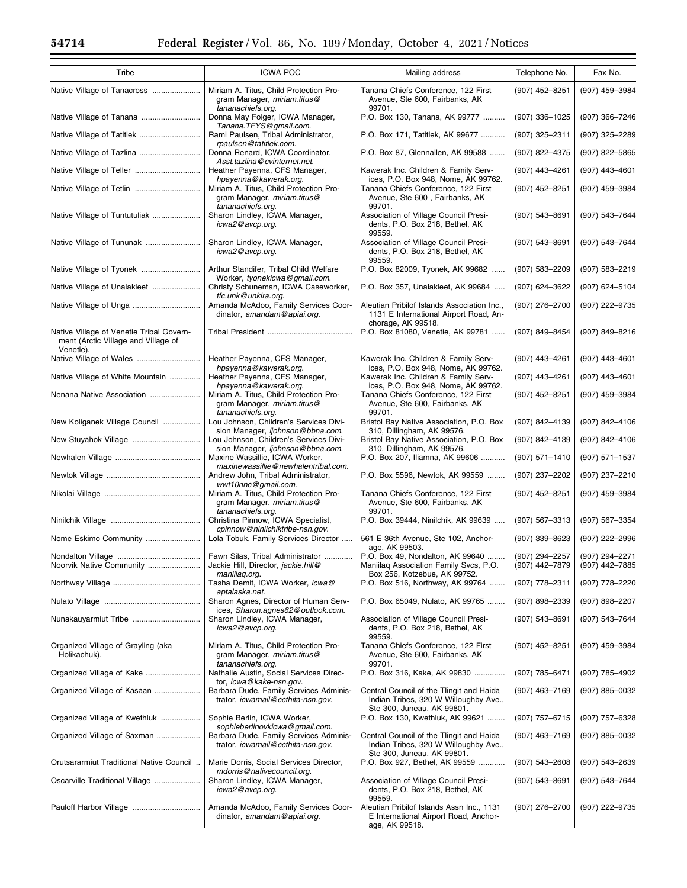| Tribe                                                                           | <b>ICWA POC</b>                                                                                               | Mailing address                                                                                                 | Telephone No.                    | Fax No.                          |
|---------------------------------------------------------------------------------|---------------------------------------------------------------------------------------------------------------|-----------------------------------------------------------------------------------------------------------------|----------------------------------|----------------------------------|
| Native Village of Tanacross                                                     | Miriam A. Titus, Child Protection Pro-<br>gram Manager, miriam.titus@<br>tananachiefs.org.                    | Tanana Chiefs Conference, 122 First<br>Avenue, Ste 600, Fairbanks, AK<br>99701.                                 | (907) 452-8251                   | (907) 459-3984                   |
| Native Village of Tanana                                                        | Donna May Folger, ICWA Manager,<br>Tanana.TFYS@gmail.com.                                                     | P.O. Box 130, Tanana, AK 99777                                                                                  | (907) 336-1025                   | (907) 366-7246                   |
| Native Village of Tatitlek                                                      | Rami Paulsen, Tribal Administrator,<br>rpaulsen@tatitlek.com.                                                 | P.O. Box 171, Tatitlek, AK 99677                                                                                | (907) 325-2311                   | (907) 325-2289                   |
| Native Village of Tazlina                                                       | Donna Renard, ICWA Coordinator,<br>Asst.tazlina@cvinternet.net.                                               | P.O. Box 87, Glennallen, AK 99588                                                                               | (907) 822-4375                   | (907) 822-5865                   |
| Native Village of Teller                                                        | Heather Payenna, CFS Manager,<br>hpayenna@kawerak.org.                                                        | Kawerak Inc. Children & Family Serv-<br>ices, P.O. Box 948, Nome, AK 99762.                                     | (907) 443-4261                   | (907) 443-4601                   |
| Native Village of Tetlin                                                        | Miriam A. Titus, Child Protection Pro-<br>gram Manager, miriam.titus@                                         | Tanana Chiefs Conference, 122 First<br>Avenue, Ste 600, Fairbanks, AK                                           | (907) 452-8251                   | (907) 459-3984                   |
| Native Village of Tuntutuliak                                                   | tananachiefs.org.<br>Sharon Lindley, ICWA Manager,<br>icwa2@avcp.org.                                         | 99701.<br>Association of Village Council Presi-<br>dents, P.O. Box 218, Bethel, AK<br>99559.                    | (907) 543-8691                   | (907) 543-7644                   |
| Native Village of Tununak                                                       | Sharon Lindley, ICWA Manager,<br>icwa2@avcp.org.                                                              | Association of Village Council Presi-<br>dents, P.O. Box 218, Bethel, AK<br>99559.                              | (907) 543-8691                   | (907) 543-7644                   |
| Native Village of Tyonek                                                        | Arthur Standifer, Tribal Child Welfare<br>Worker, tyonekicwa@gmail.com.                                       | P.O. Box 82009, Tyonek, AK 99682                                                                                | (907) 583-2209                   | (907) 583-2219                   |
| Native Village of Unalakleet                                                    | Christy Schuneman, ICWA Caseworker,<br>tfc.unk@unkira.org.                                                    | P.O. Box 357, Unalakleet, AK 99684                                                                              | (907) 624-3622                   | (907) 624-5104                   |
|                                                                                 | Amanda McAdoo, Family Services Coor-<br>dinator, amandam@apiai.org.                                           | Aleutian Pribilof Islands Association Inc.,<br>1131 E International Airport Road, An-                           | (907) 276-2700                   | (907) 222-9735                   |
| Native Village of Venetie Tribal Govern-<br>ment (Arctic Village and Village of |                                                                                                               | chorage, AK 99518.<br>P.O. Box 81080, Venetie, AK 99781                                                         | (907) 849-8454                   | (907) 849-8216                   |
| Venetie).                                                                       | Heather Payenna, CFS Manager,                                                                                 | Kawerak Inc. Children & Family Serv-                                                                            | (907) 443-4261                   | (907) 443-4601                   |
| Native Village of White Mountain                                                | hpayenna@kawerak.org.<br>Heather Payenna, CFS Manager,                                                        | ices, P.O. Box 948, Nome, AK 99762.<br>Kawerak Inc. Children & Family Serv-                                     | (907) 443-4261                   | $(907)$ 443-4601                 |
| Nenana Native Association                                                       | hpayenna@kawerak.org.<br>Miriam A. Titus, Child Protection Pro-<br>gram Manager, miriam.titus@                | ices, P.O. Box 948, Nome, AK 99762.<br>Tanana Chiefs Conference, 122 First<br>Avenue, Ste 600, Fairbanks, AK    | (907) 452-8251                   | (907) 459-3984                   |
| New Koliganek Village Council                                                   | tananachiefs.org.<br>Lou Johnson, Children's Services Divi-                                                   | 99701.<br>Bristol Bay Native Association, P.O. Box                                                              | (907) 842-4139                   | (907) 842-4106                   |
| New Stuyahok Village                                                            | sion Manager, ljohnson@bbna.com.<br>Lou Johnson, Children's Services Divi-                                    | 310, Dillingham, AK 99576.<br>Bristol Bay Native Association, P.O. Box                                          | (907) 842-4139                   | (907) 842-4106                   |
|                                                                                 | sion Manager, ljohnson@bbna.com.<br>Maxine Wassillie, ICWA Worker,                                            | 310, Dillingham, AK 99576.<br>P.O. Box 207, Iliamna, AK 99606                                                   | (907) 571-1410                   | (907) 571-1537                   |
|                                                                                 | maxinewassillie@newhalentribal.com.<br>Andrew John, Tribal Administrator,                                     | P.O. Box 5596, Newtok, AK 99559                                                                                 | (907) 237-2202                   | (907) 237-2210                   |
|                                                                                 | wwt10nnc@gmail.com.<br>Miriam A. Titus, Child Protection Pro-<br>gram Manager, miriam.titus@                  | Tanana Chiefs Conference, 122 First<br>Avenue, Ste 600, Fairbanks, AK                                           | (907) 452-8251                   | (907) 459-3984                   |
|                                                                                 | tananachiefs.org.<br>Christina Pinnow, ICWA Specialist,                                                       | 99701.<br>P.O. Box 39444, Ninilchik, AK 99639                                                                   | (907) 567-3313                   | (907) 567-3354                   |
| Nome Eskimo Community                                                           | cpinnow@ninilchiktribe-nsn.gov.<br>Lola Tobuk, Family Services Director                                       | 561 E 36th Avenue, Ste 102, Anchor-                                                                             | (907) 339-8623                   | (907) 222-2996                   |
| Noorvik Native Community                                                        | Fawn Silas, Tribal Administrator<br>Jackie Hill, Director, jackie.hill@                                       | age, AK 99503.<br>P.O. Box 49, Nondalton, AK 99640<br>Maniilag Association Family Svcs, P.O.                    | (907) 294-2257<br>(907) 442-7879 | (907) 294-2271<br>(907) 442–7885 |
|                                                                                 | maniilag.org.<br>Tasha Demit, ICWA Worker, icwa@                                                              | Box 256, Kotzebue, AK 99752.<br>P.O. Box 516, Northway, AK 99764                                                | $(907)$ 778-2311                 | (907) 778-2220                   |
|                                                                                 | aptalaska.net.<br>Sharon Agnes, Director of Human Serv-                                                       | P.O. Box 65049, Nulato, AK 99765                                                                                | $(907)$ 898-2339                 | (907) 898-2207                   |
|                                                                                 | ices, Sharon.agnes62@outlook.com.<br>Sharon Lindley, ICWA Manager,                                            | Association of Village Council Presi-                                                                           | (907) 543-8691                   | (907) 543-7644                   |
|                                                                                 | icwa2@avcp.org.                                                                                               | dents, P.O. Box 218, Bethel, AK<br>99559.                                                                       |                                  |                                  |
| Organized Village of Grayling (aka<br>Holikachuk).                              | Miriam A. Titus, Child Protection Pro-<br>gram Manager, miriam.titus@<br>tananachiefs.org.                    | Tanana Chiefs Conference, 122 First<br>Avenue, Ste 600, Fairbanks, AK<br>99701.                                 | (907) 452-8251                   | (907) 459-3984                   |
| Organized Village of Kake                                                       | Nathalie Austin, Social Services Direc-<br>tor, <i>icwa@kake-nsn.gov.</i>                                     | P.O. Box 316, Kake, AK 99830                                                                                    | (907) 785-6471                   | (907) 785-4902                   |
| Organized Village of Kasaan                                                     | Barbara Dude, Family Services Adminis-<br>trator, icwamail@ccthita-nsn.gov.                                   | Central Council of the Tlingit and Haida<br>Indian Tribes, 320 W Willoughby Ave.,<br>Ste 300, Juneau, AK 99801. | (907) 463-7169                   | (907) 885-0032                   |
| Organized Village of Kwethluk                                                   | Sophie Berlin, ICWA Worker,                                                                                   | P.O. Box 130, Kwethluk, AK 99621                                                                                | $(907)$ 757-6715                 | (907) 757-6328                   |
| Organized Village of Saxman                                                     | sophieberlinovkicwa@gmail.com.<br>Barbara Dude, Family Services Adminis-<br>trator, icwamail@ccthita-nsn.gov. | Central Council of the Tlingit and Haida<br>Indian Tribes, 320 W Willoughby Ave.,                               | $(907)$ 463-7169                 | (907) 885-0032                   |
| Orutsararmiut Traditional Native Council                                        | Marie Dorris, Social Services Director,<br>mdorris@nativecouncil.org.                                         | Ste 300, Juneau, AK 99801.<br>P.O. Box 927, Bethel, AK 99559                                                    | $(907) 543 - 2608$               | (907) 543-2639                   |
| Oscarville Traditional Village                                                  | Sharon Lindley, ICWA Manager,<br>icwa2@avcp.org.                                                              | Association of Village Council Presi-<br>dents, P.O. Box 218, Bethel, AK<br>99559.                              | (907) 543-8691                   | (907) 543-7644                   |
|                                                                                 | Amanda McAdoo, Family Services Coor-<br>dinator, amandam@apiai.org.                                           | Aleutian Pribilof Islands Assn Inc., 1131<br>E International Airport Road, Anchor-<br>age, AK 99518.            | (907) 276-2700                   | (907) 222-9735                   |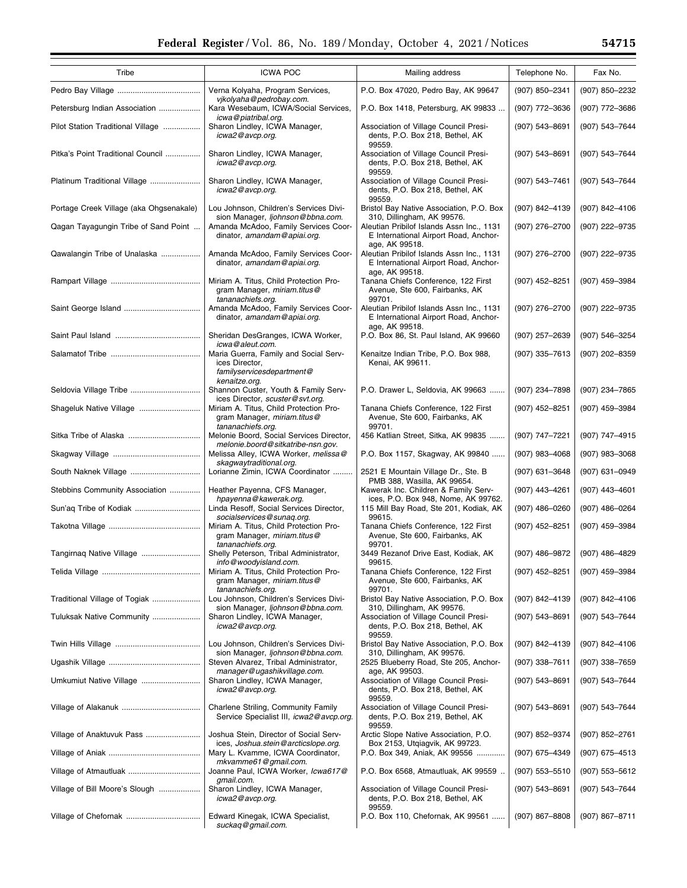| Tribe                                   | <b>ICWA POC</b>                                                                                          | Mailing address                                                                                      | Telephone No.      | Fax No.          |
|-----------------------------------------|----------------------------------------------------------------------------------------------------------|------------------------------------------------------------------------------------------------------|--------------------|------------------|
|                                         | Verna Kolyaha, Program Services,                                                                         | P.O. Box 47020, Pedro Bay, AK 99647                                                                  | (907) 850-2341     | (907) 850-2232   |
| Petersburg Indian Association           | vikolyaha@pedrobay.com.<br>Kara Wesebaum, ICWA/Social Services,                                          | P.O. Box 1418, Petersburg, AK 99833                                                                  | (907) 772-3636     | (907) 772-3686   |
| Pilot Station Traditional Village       | icwa@piatribal.org.<br>Sharon Lindley, ICWA Manager,<br>icwa2@avcp.org.                                  | Association of Village Council Presi-<br>dents, P.O. Box 218, Bethel, AK                             | (907) 543-8691     | (907) 543-7644   |
| Pitka's Point Traditional Council       | Sharon Lindley, ICWA Manager,<br>icwa2@avcp.org.                                                         | 99559.<br>Association of Village Council Presi-<br>dents, P.O. Box 218, Bethel, AK<br>99559.         | (907) 543-8691     | (907) 543-7644   |
| Platinum Traditional Village            | Sharon Lindley, ICWA Manager,<br>icwa2@avcp.org.                                                         | Association of Village Council Presi-<br>dents, P.O. Box 218, Bethel, AK<br>99559.                   | (907) 543-7461     | (907) 543-7644   |
| Portage Creek Village (aka Ohgsenakale) | Lou Johnson, Children's Services Divi-<br>sion Manager, liohnson@bbna.com.                               | Bristol Bay Native Association, P.O. Box<br>310, Dillingham, AK 99576.                               | (907) 842-4139     | (907) 842-4106   |
| Qagan Tayagungin Tribe of Sand Point    | Amanda McAdoo, Family Services Coor-<br>dinator, amandam@apiai.org.                                      | Aleutian Pribilof Islands Assn Inc., 1131<br>E International Airport Road, Anchor-<br>age, AK 99518. | (907) 276-2700     | (907) 222-9735   |
| Qawalangin Tribe of Unalaska            | Amanda McAdoo, Family Services Coor-<br>dinator, amandam@apiai.org.                                      | Aleutian Pribilof Islands Assn Inc., 1131<br>E International Airport Road, Anchor-<br>age, AK 99518. | (907) 276-2700     | (907) 222-9735   |
|                                         | Miriam A. Titus, Child Protection Pro-<br>gram Manager, miriam.titus@<br>tananachiefs.org.               | Tanana Chiefs Conference, 122 First<br>Avenue, Ste 600, Fairbanks, AK<br>99701.                      | (907) 452-8251     | (907) 459-3984   |
|                                         | Amanda McAdoo, Family Services Coor-<br>dinator, amandam@apiai.org.                                      | Aleutian Pribilof Islands Assn Inc., 1131<br>E International Airport Road, Anchor-<br>age, AK 99518. | (907) 276-2700     | (907) 222-9735   |
|                                         | Sheridan DesGranges, ICWA Worker,<br>icwa@aleut.com.                                                     | P.O. Box 86, St. Paul Island, AK 99660                                                               | (907) 257-2639     | (907) 546-3254   |
|                                         | Maria Guerra, Family and Social Serv-<br>ices Director,<br>familyservicesdepartment@                     | Kenaitze Indian Tribe, P.O. Box 988,<br>Kenai, AK 99611.                                             | (907) 335-7613     | (907) 202-8359   |
| Seldovia Village Tribe                  | kenaitze.org.<br>Shannon Custer, Youth & Family Serv-                                                    | P.O. Drawer L, Seldovia, AK 99663                                                                    | (907) 234-7898     | (907) 234-7865   |
| Shageluk Native Village                 | ices Director, scuster@svt.org.<br>Miriam A. Titus, Child Protection Pro-<br>gram Manager, miriam.titus@ | Tanana Chiefs Conference, 122 First<br>Avenue, Ste 600, Fairbanks, AK                                | (907) 452-8251     | (907) 459-3984   |
|                                         | tananachiefs.org.<br>Melonie Boord, Social Services Director,                                            | 99701.<br>456 Katlian Street, Sitka, AK 99835                                                        | (907) 747-7221     | (907) 747-4915   |
|                                         | melonie.boord@sitkatribe-nsn.gov.<br>Melissa Alley, ICWA Worker, melissa@                                | P.O. Box 1157, Skagway, AK 99840                                                                     | $(907)$ 983-4068   | $(907)$ 983-3068 |
|                                         | skagwaytraditional.org.<br>Lorianne Zimin, ICWA Coordinator                                              | 2521 E Mountain Village Dr., Ste. B                                                                  | $(907)$ 631-3648   | (907) 631-0949   |
| Stebbins Community Association          | Heather Payenna, CFS Manager,                                                                            | PMB 388, Wasilla, AK 99654.<br>Kawerak Inc. Children & Family Serv-                                  | $(907)$ 443-4261   | (907) 443-4601   |
|                                         | hpayenna@kawerak.org.<br>Linda Resoff, Social Services Director,<br>socialservices@sunaq.org.            | ices, P.O. Box 948, Nome, AK 99762.<br>115 Mill Bay Road, Ste 201, Kodiak, AK<br>99615.              | $(907)$ 486-0260   | (907) 486-0264   |
|                                         | Miriam A. Titus, Child Protection Pro-<br>gram Manager, miriam.titus@                                    | Tanana Chiefs Conference, 122 First<br>Avenue, Ste 600, Fairbanks, AK                                | (907) 452-8251     | (907) 459-3984   |
| Tangirnaq Native Village                | tananachiefs.org.<br>Shelly Peterson, Tribal Administrator,                                              | 99701.<br>3449 Rezanof Drive East, Kodiak, AK                                                        | (907) 486-9872     | (907) 486-4829   |
|                                         | info@woodyisland.com.<br>Miriam A. Titus, Child Protection Pro-                                          | 99615.<br>Tanana Chiefs Conference, 122 First                                                        | (907) 452-8251     | (907) 459-3984   |
|                                         | gram Manager, miriam.titus@<br>tananachiefs.org.                                                         | Avenue, Ste 600, Fairbanks, AK<br>99701.                                                             |                    |                  |
| Traditional Village of Togiak           | Lou Johnson, Children's Services Divi-<br>sion Manager, ljohnson@bbna.com.                               | Bristol Bay Native Association, P.O. Box<br>310, Dillingham, AK 99576.                               | (907) 842-4139     | (907) 842-4106   |
| Tuluksak Native Community               | Sharon Lindley, ICWA Manager,<br>icwa2@avcp.org.                                                         | Association of Village Council Presi-<br>dents, P.O. Box 218, Bethel, AK<br>99559.                   | (907) 543-8691     | (907) 543-7644   |
|                                         | Lou Johnson, Children's Services Divi-<br>sion Manager, ljohnson@bbna.com.                               | Bristol Bay Native Association, P.O. Box<br>310, Dillingham, AK 99576.                               | (907) 842-4139     | (907) 842-4106   |
|                                         | Steven Alvarez, Tribal Administrator,<br>manager@ugashikvillage.com.                                     | 2525 Blueberry Road, Ste 205, Anchor-<br>age, AK 99503.                                              | (907) 338-7611     | $(907)$ 338-7659 |
| Umkumiut Native Village                 | Sharon Lindley, ICWA Manager,<br>icwa2@avcp.org.                                                         | Association of Village Council Presi-<br>dents, P.O. Box 218, Bethel, AK<br>99559.                   | (907) 543-8691     | (907) 543-7644   |
|                                         | Charlene Striling, Community Family<br>Service Specialist III, icwa2@avcp.org.                           | Association of Village Council Presi-<br>dents, P.O. Box 219, Bethel, AK<br>99559.                   | $(907) 543 - 8691$ | (907) 543-7644   |
| Village of Anaktuvuk Pass               | Joshua Stein, Director of Social Serv-<br>ices, Joshua.stein@arcticslope.org.                            | Arctic Slope Native Association, P.O.<br>Box 2153, Utqiagvik, AK 99723.                              | (907) 852-9374     | (907) 852-2761   |
|                                         | Mary L. Kvamme, ICWA Coordinator,<br>mkvamme61@gmail.com.                                                | P.O. Box 349, Aniak, AK 99556                                                                        | (907) 675-4349     | (907) 675-4513   |
| Village of Atmautluak                   | Joanne Paul, ICWA Worker, Icwa617@<br>gmail.com.                                                         | P.O. Box 6568, Atmautluak, AK 99559                                                                  | $(907) 553 - 5510$ | (907) 553-5612   |
| Village of Bill Moore's Slough          | Sharon Lindley, ICWA Manager,<br>icwa2@avcp.org.                                                         | Association of Village Council Presi-<br>dents, P.O. Box 218, Bethel, AK                             | $(907) 543 - 8691$ | (907) 543-7644   |
|                                         | Edward Kinegak, ICWA Specialist,<br>suckag@gmail.com.                                                    | 99559.<br>P.O. Box 110, Chefornak, AK 99561                                                          | $(907)$ 867-8808   | (907) 867-8711   |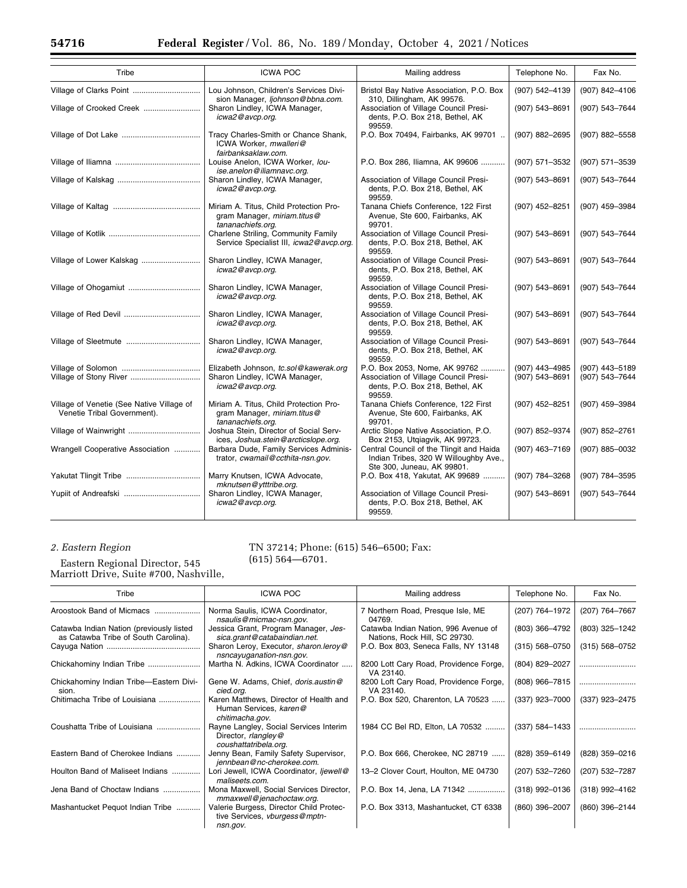| Tribe                                                                    | <b>ICWA POC</b>                                                                            | Mailing address                                                                                                     | Telephone No.                    | Fax No.                          |
|--------------------------------------------------------------------------|--------------------------------------------------------------------------------------------|---------------------------------------------------------------------------------------------------------------------|----------------------------------|----------------------------------|
| Village of Clarks Point                                                  | Lou Johnson, Children's Services Divi-<br>sion Manager, ljohnson@bbna.com.                 | Bristol Bay Native Association, P.O. Box<br>310, Dillingham, AK 99576.                                              | (907) 542-4139                   | (907) 842-4106                   |
| Village of Crooked Creek                                                 | Sharon Lindley, ICWA Manager,<br>icwa2@avcp.org.                                           | Association of Village Council Presi-<br>dents, P.O. Box 218, Bethel, AK<br>99559.                                  | (907) 543-8691                   | (907) 543-7644                   |
|                                                                          | Tracy Charles-Smith or Chance Shank,<br>ICWA Worker, mwalleri@<br>fairbanksaklaw.com.      | P.O. Box 70494, Fairbanks, AK 99701                                                                                 | (907) 882-2695                   | (907) 882-5558                   |
|                                                                          | Louise Anelon, ICWA Worker, lou-<br>ise.anelon@iliamnavc.org.                              | P.O. Box 286, Iliamna, AK 99606                                                                                     | (907) 571-3532                   | (907) 571-3539                   |
|                                                                          | Sharon Lindley, ICWA Manager,<br>icwa2@avcp.org.                                           | Association of Village Council Presi-<br>dents, P.O. Box 218, Bethel, AK<br>99559.                                  | (907) 543-8691                   | (907) 543-7644                   |
|                                                                          | Miriam A. Titus, Child Protection Pro-<br>gram Manager, miriam.titus@<br>tananachiefs.org. | Tanana Chiefs Conference, 122 First<br>Avenue, Ste 600, Fairbanks, AK<br>99701.                                     | (907) 452-8251                   | (907) 459-3984                   |
|                                                                          | Charlene Striling, Community Family<br>Service Specialist III, icwa2@avcp.org.             | Association of Village Council Presi-<br>dents, P.O. Box 218, Bethel, AK<br>99559.                                  | (907) 543-8691                   | (907) 543-7644                   |
| Village of Lower Kalskag                                                 | Sharon Lindley, ICWA Manager,<br>icwa2@avcp.org.                                           | Association of Village Council Presi-<br>dents, P.O. Box 218, Bethel, AK<br>99559.                                  | $(907) 543 - 8691$               | (907) 543-7644                   |
|                                                                          | Sharon Lindley, ICWA Manager,<br>icwa2@avcp.org.                                           | Association of Village Council Presi-<br>dents, P.O. Box 218, Bethel, AK<br>99559.                                  | (907) 543-8691                   | (907) 543-7644                   |
|                                                                          | Sharon Lindley, ICWA Manager,<br>icwa2@avcp.org.                                           | Association of Village Council Presi-<br>dents, P.O. Box 218, Bethel, AK<br>99559.                                  | (907) 543-8691                   | (907) 543-7644                   |
|                                                                          | Sharon Lindley, ICWA Manager,<br>icwa2@avcp.org.                                           | Association of Village Council Presi-<br>dents, P.O. Box 218, Bethel, AK<br>99559.                                  | (907) 543-8691                   | (907) 543-7644                   |
| Village of Stony River                                                   | Elizabeth Johnson, tc.sol@kawerak.org<br>Sharon Lindley, ICWA Manager,<br>icwa2@avcp.org.  | P.O. Box 2053, Nome, AK 99762<br>Association of Village Council Presi-<br>dents, P.O. Box 218, Bethel, AK<br>99559. | (907) 443-4985<br>(907) 543-8691 | (907) 443-5189<br>(907) 543-7644 |
| Village of Venetie (See Native Village of<br>Venetie Tribal Government). | Miriam A. Titus, Child Protection Pro-<br>gram Manager, miriam.titus@<br>tananachiefs.org. | Tanana Chiefs Conference, 122 First<br>Avenue, Ste 600, Fairbanks, AK<br>99701.                                     | (907) 452-8251                   | (907) 459-3984                   |
|                                                                          | Joshua Stein, Director of Social Serv-<br>ices, Joshua.stein@arcticslope.org.              | Arctic Slope Native Association, P.O.<br>Box 2153, Utgiagvik, AK 99723.                                             | (907) 852-9374                   | (907) 852-2761                   |
| Wrangell Cooperative Association                                         | Barbara Dude, Family Services Adminis-<br>trator, cwamail@ccthita-nsn.gov.                 | Central Council of the Tlingit and Haida<br>Indian Tribes, 320 W Willoughby Ave.,<br>Ste 300, Juneau, AK 99801.     | (907) 463-7169                   | (907) 885-0032                   |
|                                                                          | Marry Knutsen, ICWA Advocate,<br>mknutsen@ytttribe.org.                                    | P.O. Box 418, Yakutat, AK 99689                                                                                     | (907) 784-3268                   | (907) 784-3595                   |
|                                                                          | Sharon Lindley, ICWA Manager,<br>icwa2@avcp.org.                                           | Association of Village Council Presi-<br>dents, P.O. Box 218, Bethel, AK<br>99559.                                  | (907) 543-8691                   | (907) 543-7644                   |

# *2. Eastern Region*

Eastern Regional Director, 545 Marriott Drive, Suite #700, Nashville,

## TN 37214; Phone: (615) 546–6500; Fax:

(615) 564—6701.

| Tribe                                                                            | <b>ICWA POC</b>                                                                        | Mailing address                                                       | Telephone No.      | Fax No.            |
|----------------------------------------------------------------------------------|----------------------------------------------------------------------------------------|-----------------------------------------------------------------------|--------------------|--------------------|
| Aroostook Band of Micmacs                                                        | Norma Saulis, ICWA Coordinator,<br>nsaulis@micmac-nsn.gov.                             | 7 Northern Road, Presque Isle, ME<br>04769.                           | (207) 764-1972     | (207) 764-7667     |
| Catawba Indian Nation (previously listed<br>as Catawba Tribe of South Carolina). | Jessica Grant, Program Manager, Jes-<br>sica.grant@catabaindian.net.                   | Catawba Indian Nation, 996 Avenue of<br>Nations, Rock Hill, SC 29730. | (803) 366-4792     | (803) 325-1242     |
|                                                                                  | Sharon Leroy, Executor, sharon.leroy@<br>nsncayuganation-nsn.gov.                      | P.O. Box 803, Seneca Falls, NY 13148                                  | $(315) 568 - 0750$ | $(315) 568 - 0752$ |
|                                                                                  | Martha N. Adkins, ICWA Coordinator                                                     | 8200 Lott Cary Road, Providence Forge,<br>VA 23140.                   | (804) 829-2027     |                    |
| Chickahominy Indian Tribe-Eastern Divi-<br>sion.                                 | Gene W. Adams, Chief, doris.austin@<br>cied.org.                                       | 8200 Loft Cary Road, Providence Forge,<br>VA 23140.                   | $(808)$ 966-7815   |                    |
| Chitimacha Tribe of Louisiana                                                    | Karen Matthews, Director of Health and<br>Human Services, karen@<br>chitimacha.gov.    | P.O. Box 520, Charenton, LA 70523                                     | (337) 923-7000     | (337) 923-2475     |
| Coushatta Tribe of Louisiana                                                     | Rayne Langley, Social Services Interim<br>Director, rlangley@<br>coushattatribela.org. | 1984 CC Bel RD, Elton, LA 70532                                       | $(337) 584 - 1433$ |                    |
| Eastern Band of Cherokee Indians                                                 | Jenny Bean, Family Safety Supervisor,<br>jennbean@nc-cherokee.com.                     | P.O. Box 666, Cherokee, NC 28719                                      | (828) 359-6149     | (828) 359-0216     |
| Houlton Band of Maliseet Indians                                                 | Lori Jewell, ICWA Coordinator, ljewell@<br>maliseets.com.                              | 13-2 Clover Court, Houlton, ME 04730                                  | (207) 532-7260     | (207) 532-7287     |
| Jena Band of Choctaw Indians                                                     | Mona Maxwell, Social Services Director,<br>mmaxwell@jenachoctaw.org.                   | P.O. Box 14, Jena, LA 71342                                           | $(318)$ 992-0136   | $(318)$ 992-4162   |
| Mashantucket Pequot Indian Tribe                                                 | Valerie Burgess, Director Child Protec-<br>tive Services, vburgess@mptn-<br>nsn.gov.   | P.O. Box 3313, Mashantucket, CT 6338                                  | (860) 396-2007     | (860) 396-2144     |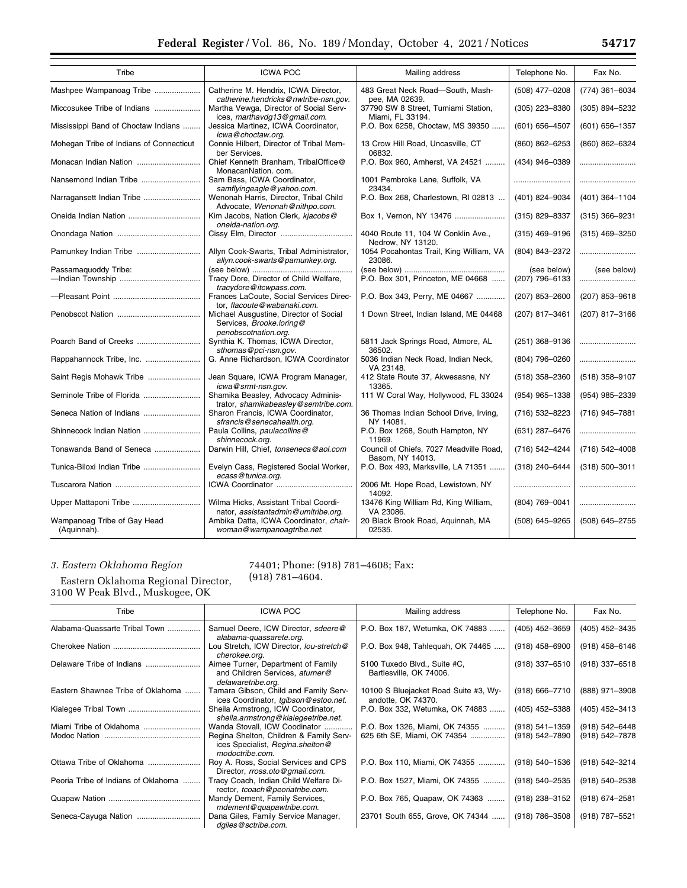| Tribe                                      | <b>ICWA POC</b>                                                                            | Mailing address                                             | Telephone No.      | Fax No.            |
|--------------------------------------------|--------------------------------------------------------------------------------------------|-------------------------------------------------------------|--------------------|--------------------|
| Mashpee Wampanoag Tribe                    | Catherine M. Hendrix, ICWA Director.<br>catherine.hendricks@nwtribe-nsn.gov.               | 483 Great Neck Road-South, Mash-<br>pee, MA 02639.          | (508) 477-0208     | (774) 361-6034     |
| Miccosukee Tribe of Indians                | Martha Vewga, Director of Social Serv-<br>ices, marthavdg13@gmail.com.                     | 37790 SW 8 Street, Tumiami Station,<br>Miami, FL 33194.     | (305) 223-8380     | (305) 894-5232     |
| Mississippi Band of Choctaw Indians        | Jessica Martinez, ICWA Coordinator,<br>icwa@choctaw.org.                                   | P.O. Box 6258, Choctaw, MS 39350                            | $(601) 656 - 4507$ | (601) 656-1357     |
| Mohegan Tribe of Indians of Connecticut    | Connie Hilbert, Director of Tribal Mem-<br>ber Services.                                   | 13 Crow Hill Road, Uncasville, CT<br>06832.                 | (860) 862-6253     | (860) 862-6324     |
| Monacan Indian Nation                      | Chief Kenneth Branham, TribalOffice@<br>MonacanNation. com.                                | P.O. Box 960, Amherst, VA 24521                             | (434) 946-0389     |                    |
| Nansemond Indian Tribe                     | Sam Bass, ICWA Coordinator,<br>samflyingeagle@yahoo.com.                                   | 1001 Pembroke Lane, Suffolk, VA<br>23434.                   |                    |                    |
| Narragansett Indian Tribe                  | Wenonah Harris, Director, Tribal Child<br>Advocate, Wenonah@nithpo.com.                    | P.O. Box 268, Charlestown, RI 02813                         | (401) 824-9034     | (401) 364-1104     |
| Oneida Indian Nation                       | Kim Jacobs, Nation Clerk, kjacobs@<br>oneida-nation.org.                                   | Box 1, Vernon, NY 13476                                     | (315) 829-8337     | $(315)$ 366-9231   |
|                                            |                                                                                            | 4040 Route 11, 104 W Conklin Ave.,<br>Nedrow, NY 13120.     | $(315)$ 469-9196   | $(315)$ 469-3250   |
| Pamunkey Indian Tribe                      | Allyn Cook-Swarts, Tribal Administrator,<br>allyn.cook-swarts@pamunkey.org.                | 1054 Pocahontas Trail, King William, VA<br>23086.           | (804) 843-2372     |                    |
| Passamaquoddy Tribe:                       |                                                                                            |                                                             | (see below)        | (see below)        |
|                                            | Tracy Dore, Director of Child Welfare,<br>tracydore@itcwpass.com.                          | P.O. Box 301, Princeton, ME 04668                           | (207) 796-6133     | .                  |
|                                            | Frances LaCoute, Social Services Direc-<br>tor, flacoute@wabanaki.com.                     | P.O. Box 343, Perry, ME 04667                               | (207) 853-2600     | (207) 853-9618     |
|                                            | Michael Ausgustine, Director of Social<br>Services, Brooke.loring@<br>penobscotnation.org. | 1 Down Street, Indian Island, ME 04468                      | (207) 817-3461     | (207) 817-3166     |
| Poarch Band of Creeks                      | Synthia K. Thomas, ICWA Director,<br>sthomas@pci-nsn.gov.                                  | 5811 Jack Springs Road, Atmore, AL<br>36502.                | (251) 368-9136     |                    |
| Rappahannock Tribe, Inc.                   | G. Anne Richardson, ICWA Coordinator                                                       | 5036 Indian Neck Road, Indian Neck,<br>VA 23148.            | (804) 796-0260     |                    |
| Saint Regis Mohawk Tribe                   | Jean Square, ICWA Program Manager,<br>icwa@srmt-nsn.gov.                                   | 412 State Route 37, Akwesasne, NY<br>13365.                 | $(518)$ 358-2360   | $(518)$ 358-9107   |
| Seminole Tribe of Florida                  | Shamika Beasley, Advocacy Adminis-<br>trator, shamikabeasley@semtribe.com.                 | 111 W Coral Way, Hollywood, FL 33024                        | (954) 965-1338     | (954) 985-2339     |
| Seneca Nation of Indians                   | Sharon Francis, ICWA Coordinator,<br>sfrancis@senecahealth.org.                            | 36 Thomas Indian School Drive, Irving,<br>NY 14081.         | (716) 532-8223     | (716) 945-7881     |
| Shinnecock Indian Nation                   | Paula Collins, paulacollins@<br>shinnecock.org.                                            | P.O. Box 1268, South Hampton, NY<br>11969.                  | (631) 287-6476     |                    |
| Tonawanda Band of Seneca                   | Darwin Hill, Chief, tonseneca@aol.com                                                      | Council of Chiefs, 7027 Meadville Road,<br>Basom, NY 14013. | (716) 542-4244     | $(716) 542 - 4008$ |
| Tunica-Biloxi Indian Tribe                 | Evelyn Cass, Registered Social Worker,<br>ecass@tunica.org.                                | P.O. Box 493, Marksville, LA 71351                          | (318) 240-6444     | (318) 500-3011     |
|                                            |                                                                                            | 2006 Mt. Hope Road, Lewistown, NY<br>14092.                 |                    |                    |
| Upper Mattaponi Tribe                      | Wilma Hicks, Assistant Tribal Coordi-<br>nator, assistantadmin@umitribe.org.               | 13476 King William Rd, King William,<br>VA 23086.           | (804) 769-0041     |                    |
| Wampanoag Tribe of Gay Head<br>(Aquinnah). | Ambika Datta, ICWA Coordinator, chair-<br>woman@wampanoagtribe.net.                        | 20 Black Brook Road, Aquinnah, MA<br>02535.                 | (508) 645-9265     | (508) 645-2755     |

## *3. Eastern Oklahoma Region*

74401; Phone: (918) 781–4608; Fax: (918) 781–4604.

Eastern Oklahoma Regional Director, 3100 W Peak Blvd., Muskogee, OK

| Tribe                               | <b>ICWA POC</b>                                                                                | Mailing address                                             | Telephone No.      | Fax No.            |
|-------------------------------------|------------------------------------------------------------------------------------------------|-------------------------------------------------------------|--------------------|--------------------|
| Alabama-Quassarte Tribal Town       | Samuel Deere, ICW Director, sdeere@<br>alabama-quassarete.org.                                 | P.O. Box 187, Wetumka, OK 74883                             | (405) 452-3659     | (405) 452-3435     |
|                                     | Lou Stretch, ICW Director, Iou-stretch@<br>cherokee.org.                                       | P.O. Box 948, Tahleguah, OK 74465                           | $(918)$ 458-6900   | $(918)$ 458-6146   |
| Delaware Tribe of Indians           | Aimee Turner, Department of Family<br>and Children Services, aturner@<br>delawaretribe.org.    | 5100 Tuxedo Blvd., Suite #C,<br>Bartlesville, OK 74006.     | (918) 337-6510     | $(918)$ 337-6518   |
| Eastern Shawnee Tribe of Oklahoma   | Tamara Gibson, Child and Family Serv-<br>ices Coordinator, tgibson@estoo.net.                  | 10100 S Bluejacket Road Suite #3, Wy-<br>andotte, OK 74370. | $(918) 666 - 7710$ | (888) 971-3908     |
| Kialegee Tribal Town                | Sheila Armstrong, ICW Coordinator,<br>sheila.armstrong@kialegeetribe.net.                      | P.O. Box 332, Wetumka, OK 74883                             | (405) 452-5388     | (405) 452-3413     |
| Miami Tribe of Oklahoma             | Wanda Stovall, ICW Coodinator                                                                  | P.O. Box 1326, Miami, OK 74355                              | $(918) 541 - 1359$ | $(918) 542 - 6448$ |
|                                     | Regina Shelton, Children & Family Serv-<br>ices Specialist, Regina.shelton@<br>modoctribe.com. | 625 6th SE, Miami, OK 74354                                 | (918) 542-7890     | (918) 542-7878     |
| Ottawa Tribe of Oklahoma            | Roy A. Ross, Social Services and CPS<br>Director, rross.oto@gmail.com.                         | P.O. Box 110, Miami, OK 74355                               | (918) 540-1536     | (918) 542-3214     |
| Peoria Tribe of Indians of Oklahoma | Tracy Coach, Indian Child Welfare Di-<br>rector, tcoach@peoriatribe.com.                       | P.O. Box 1527, Miami, OK 74355                              | (918) 540-2535     | $(918) 540 - 2538$ |
|                                     | Mandy Dement, Family Services,<br>mdement@quapawtribe.com.                                     | P.O. Box 765, Quapaw, OK 74363                              | (918) 238-3152     | $(918) 674 - 2581$ |
| Seneca-Cayuga Nation                | Dana Giles, Family Service Manager,<br>dgiles@sctribe.com.                                     | 23701 South 655, Grove, OK 74344                            | $(918) 786 - 3508$ | (918) 787-5521     |

 $\equiv$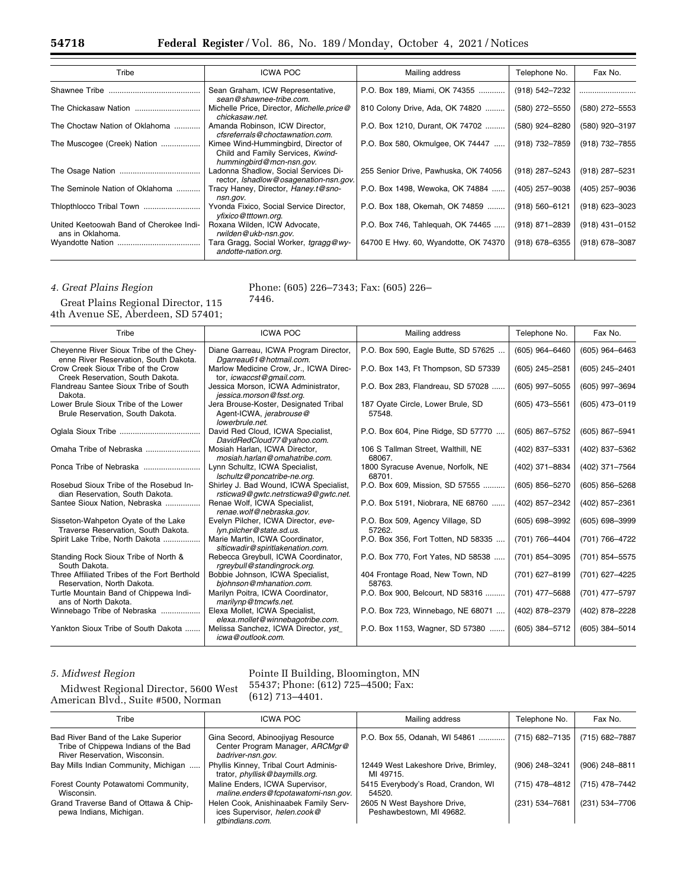| Tribe                                                       | <b>ICWA POC</b>                                                                                      | Mailing address                      | Telephone No.    | Fax No.          |
|-------------------------------------------------------------|------------------------------------------------------------------------------------------------------|--------------------------------------|------------------|------------------|
| Shawnee Tribe                                               | Sean Graham, ICW Representative,<br>sean@shawnee-tribe.com.                                          | P.O. Box 189, Miami, OK 74355        | (918) 542-7232   |                  |
|                                                             | Michelle Price, Director, Michelle.price@<br>chickasaw.net.                                          | 810 Colony Drive, Ada, OK 74820      | (580) 272-5550   | (580) 272-5553   |
| The Choctaw Nation of Oklahoma                              | Amanda Robinson, ICW Director,<br>cfsreferrals@choctawnation.com.                                    | P.O. Box 1210, Durant, OK 74702      | (580) 924-8280   | (580) 920-3197   |
| The Muscogee (Creek) Nation                                 | Kimee Wind-Hummingbird, Director of<br>Child and Family Services, Kwind-<br>hummingbird@mcn-nsn.gov. | P.O. Box 580, Okmulgee, OK 74447     | (918) 732-7859   | (918) 732-7855   |
|                                                             | Ladonna Shadlow, Social Services Di-<br>rector, Ishadlow@osagenation-nsn.gov.                        | 255 Senior Drive, Pawhuska, OK 74056 | (918) 287-5243   | (918) 287-5231   |
| The Seminole Nation of Oklahoma                             | Tracy Haney, Director, Haney.t@sno-<br>nsn.gov.                                                      | P.O. Box 1498, Wewoka, OK 74884      | (405) 257-9038   | (405) 257-9036   |
|                                                             | Yvonda Fixico, Social Service Director,<br>yfixico@tttown.org.                                       | P.O. Box 188, Okemah, OK 74859       | (918) 560-6121   | $(918)$ 623-3023 |
| United Keetoowah Band of Cherokee Indi-<br>ans in Oklahoma. | Roxana Wilden, ICW Advocate,<br>rwilden@ukb-nsn.gov.                                                 | P.O. Box 746, Tahleguah, OK 74465    | (918) 871-2839   | $(918)$ 431-0152 |
|                                                             | Tara Gragg, Social Worker, tgragg@wy-<br>andotte-nation.org.                                         | 64700 E Hwy. 60, Wyandotte, OK 74370 | $(918)$ 678-6355 | (918) 678-3087   |

## *4. Great Plains Region*

Phone: (605) 226–7343; Fax: (605) 226–

7446.

Great Plains Regional Director, 115 4th Avenue SE, Aberdeen, SD 57401;

| Tribe                                                                            | <b>ICWA POC</b>                                                                     | Mailing address                              | Telephone No.      | Fax No.          |
|----------------------------------------------------------------------------------|-------------------------------------------------------------------------------------|----------------------------------------------|--------------------|------------------|
| Cheyenne River Sioux Tribe of the Chey-<br>enne River Reservation, South Dakota. | Diane Garreau, ICWA Program Director,<br>Dgarreau61@hotmail.com.                    | P.O. Box 590, Eagle Butte, SD 57625          | (605) 964-6460     | $(605)$ 964-6463 |
| Crow Creek Sioux Tribe of the Crow<br>Creek Reservation, South Dakota.           | Marlow Medicine Crow, Jr., ICWA Direc-<br>tor, icwaccst@gmail.com.                  | P.O. Box 143, Ft Thompson, SD 57339          | (605) 245-2581     | (605) 245-2401   |
| Flandreau Santee Sioux Tribe of South<br>Dakota.                                 | Jessica Morson, ICWA Administrator,<br>jessica.morson@fsst.org.                     | P.O. Box 283, Flandreau, SD 57028            | (605) 997-5055     | (605) 997-3694   |
| Lower Brule Sioux Tribe of the Lower<br>Brule Reservation, South Dakota.         | Jera Brouse-Koster, Designated Tribal<br>Agent-ICWA, jerabrouse@<br>lowerbrule.net. | 187 Oyate Circle, Lower Brule, SD<br>57548.  | (605) 473-5561     | (605) 473-0119   |
|                                                                                  | David Red Cloud, ICWA Specialist,<br>DavidRedCloud77@yahoo.com.                     | P.O. Box 604, Pine Ridge, SD 57770           | (605) 867-5752     | (605) 867-5941   |
| Omaha Tribe of Nebraska                                                          | Mosiah Harlan, ICWA Director,<br>mosiah.harlan@omahatribe.com.                      | 106 S Tallman Street, Walthill, NE<br>68067. | (402) 837-5331     | (402) 837-5362   |
| Ponca Tribe of Nebraska                                                          | Lynn Schultz, ICWA Specialist,<br>Ischultz@poncatribe-ne.org.                       | 1800 Syracuse Avenue, Norfolk, NE<br>68701.  | (402) 371-8834     | (402) 371-7564   |
| Rosebud Sioux Tribe of the Rosebud In-<br>dian Reservation, South Dakota.        | Shirley J. Bad Wound, ICWA Specialist,<br>rsticwa9@qwtc.netrsticwa9@qwtc.net.       | P.O. Box 609, Mission, SD 57555              | (605) 856-5270     | (605) 856-5268   |
| Santee Sioux Nation, Nebraska                                                    | Renae Wolf, ICWA Specialist,<br>renae.wolf@nebraska.gov.                            | P.O. Box 5191, Niobrara, NE 68760            | (402) 857-2342     | (402) 857-2361   |
| Sisseton-Wahpeton Oyate of the Lake<br>Traverse Reservation, South Dakota.       | Evelyn Pilcher, ICWA Director, eve-<br>lyn.pilcher@state.sd.us.                     | P.O. Box 509, Agency Village, SD<br>57262.   | $(605) 698 - 3992$ | (605) 698-3999   |
| Spirit Lake Tribe, North Dakota                                                  | Marie Martin, ICWA Coordinator.<br>slticwadir@spiritlakenation.com.                 | P.O. Box 356, Fort Totten, ND 58335          | (701) 766-4404     | (701) 766-4722   |
| Standing Rock Sioux Tribe of North &<br>South Dakota.                            | Rebecca Greybull, ICWA Coordinator,<br>rgreybull@standingrock.org.                  | P.O. Box 770, Fort Yates, ND 58538           | (701) 854-3095     | (701) 854-5575   |
| Three Affiliated Tribes of the Fort Berthold<br>Reservation, North Dakota.       | Bobbie Johnson, ICWA Specialist,<br>bjohnson@mhanation.com.                         | 404 Frontage Road, New Town, ND<br>58763.    | (701) 627-8199     | (701) 627-4225   |
| Turtle Mountain Band of Chippewa Indi-<br>ans of North Dakota.                   | Marilyn Poitra, ICWA Coordinator,<br>marilynp@tmcwfs.net.                           | P.O. Box 900, Belcourt, ND 58316             | (701) 477-5688     | (701) 477-5797   |
| Winnebago Tribe of Nebraska                                                      | Elexa Mollet, ICWA Specialist,<br>elexa.mollet@winnebagotribe.com.                  | P.O. Box 723, Winnebago, NE 68071            | (402) 878-2379     | (402) 878-2228   |
| Yankton Sioux Tribe of South Dakota                                              | Melissa Sanchez, ICWA Director, yst_<br>icwa@outlook.com.                           | P.O. Box 1153, Wagner, SD 57380              | (605) 384-5712     | (605) 384-5014   |

## *5. Midwest Region*

Midwest Regional Director, 5600 West American Blvd., Suite #500, Norman

### Pointe II Building, Bloomington, MN 55437; Phone: (612) 725–4500; Fax: (612) 713–4401.

| Tribe                                                                                                        | ICWA POC                                                                                  | Mailing address                                         | Telephone No.  | Fax No.        |
|--------------------------------------------------------------------------------------------------------------|-------------------------------------------------------------------------------------------|---------------------------------------------------------|----------------|----------------|
|                                                                                                              |                                                                                           |                                                         |                |                |
| Bad River Band of the Lake Superior<br>Tribe of Chippewa Indians of the Bad<br>River Reservation, Wisconsin. | Gina Secord, Abinoojiyag Resource<br>Center Program Manager, ARCMgr@<br>badriver-nsn.gov. | P.O. Box 55, Odanah, WI 54861                           | (715) 682-7135 | (715) 682-7887 |
| Bay Mills Indian Community, Michigan                                                                         | Phyllis Kinney, Tribal Court Adminis-<br>trator, phyllisk@baymills.org.                   | 12449 West Lakeshore Drive, Brimley,<br>MI 49715.       | (906) 248-3241 | (906) 248-8811 |
| Forest County Potawatomi Community,<br>Wisconsin.                                                            | Maline Enders. ICWA Supervisor.<br>maline.enders@fcpotawatomi-nsn.gov.                    | 5415 Everybody's Road, Crandon, WI<br>54520.            | (715) 478-4812 | (715) 478-7442 |
| Grand Traverse Band of Ottawa & Chip-<br>pewa Indians, Michigan.                                             | Helen Cook, Anishinaabek Family Serv-<br>ices Supervisor, helen.cook@<br>atbindians.com.  | 2605 N West Bayshore Drive,<br>Peshawbestown, MI 49682. | (231) 534-7681 | (231) 534-7706 |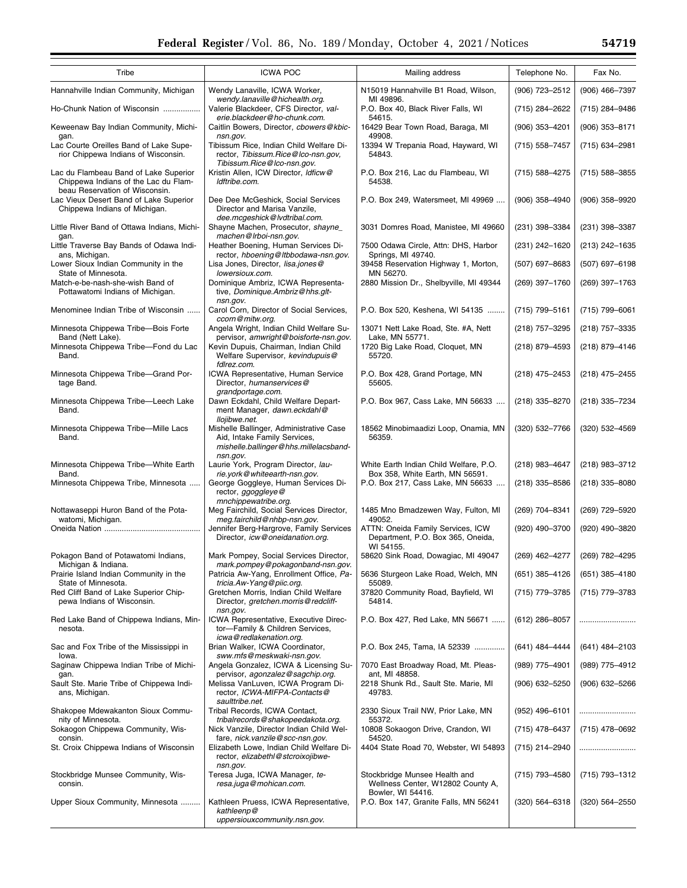▀

| Tribe                                                                                                           | <b>ICWA POC</b>                                                                                                              | Mailing address                                                                         | Telephone No.      | Fax No.        |
|-----------------------------------------------------------------------------------------------------------------|------------------------------------------------------------------------------------------------------------------------------|-----------------------------------------------------------------------------------------|--------------------|----------------|
| Hannahville Indian Community, Michigan                                                                          | Wendy Lanaville, ICWA Worker,<br>wendy.lanaville@hichealth.org.                                                              | N15019 Hannahville B1 Road, Wilson,<br>MI 49896.                                        | (906) 723-2512     | (906) 466-7397 |
| Ho-Chunk Nation of Wisconsin                                                                                    | Valerie Blackdeer, CFS Director, val-<br>erie.blackdeer@ho-chunk.com.                                                        | P.O. Box 40, Black River Falls, WI<br>54615.                                            | (715) 284-2622     | (715) 284-9486 |
| Keweenaw Bay Indian Community, Michi-<br>gan.                                                                   | Caitlin Bowers, Director, cbowers@kbic-<br>nsn.gov.                                                                          | 16429 Bear Town Road, Baraga, MI<br>49908.                                              | $(906)$ 353-4201   | (906) 353-8171 |
| Lac Courte Oreilles Band of Lake Supe-<br>rior Chippewa Indians of Wisconsin.                                   | Tibissum Rice, Indian Child Welfare Di-<br>rector, Tibissum.Rice@Ico-nsn.gov,                                                | 13394 W Trepania Road, Hayward, WI<br>54843.                                            | (715) 558-7457     | (715) 634-2981 |
| Lac du Flambeau Band of Lake Superior<br>Chippewa Indians of the Lac du Flam-<br>beau Reservation of Wisconsin. | Tibissum.Rice@Ico-nsn.gov.<br>Kristin Allen, ICW Director, Idficw@<br>ldftribe.com.                                          | P.O. Box 216, Lac du Flambeau, WI<br>54538.                                             | (715) 588-4275     | (715) 588-3855 |
| Lac Vieux Desert Band of Lake Superior<br>Chippewa Indians of Michigan.                                         | Dee Dee McGeshick, Social Services<br>Director and Marisa Vanzile,<br>dee.mcgeshick@lvdtribal.com.                           | P.O. Box 249, Watersmeet, MI 49969                                                      | $(906)$ 358-4940   | (906) 358-9920 |
| Little River Band of Ottawa Indians, Michi-                                                                     | Shayne Machen, Prosecutor, shayne                                                                                            | 3031 Domres Road, Manistee, MI 49660                                                    | (231) 398-3384     | (231) 398-3387 |
| gan.<br>Little Traverse Bay Bands of Odawa Indi-                                                                | machen@Irboi-nsn.gov.<br>Heather Boening, Human Services Di-                                                                 | 7500 Odawa Circle, Attn: DHS, Harbor                                                    | (231) 242-1620     | (213) 242-1635 |
| ans, Michigan.<br>Lower Sioux Indian Community in the                                                           | rector, hboening@ltbbodawa-nsn.gov.<br>Lisa Jones, Director, lisa.jones@                                                     | Springs, MI 49740.<br>39458 Reservation Highway 1, Morton,                              | (507) 697-8683     | (507) 697-6198 |
| State of Minnesota.<br>Match-e-be-nash-she-wish Band of                                                         | lowersioux.com.<br>Dominique Ambriz, ICWA Representa-                                                                        | MN 56270.<br>2880 Mission Dr., Shelbyville, MI 49344                                    | (269) 397-1760     | (269) 397-1763 |
| Pottawatomi Indians of Michigan.                                                                                | tive, Dominique.Ambriz@hhs.glt-<br>nsn.gov.                                                                                  |                                                                                         |                    |                |
| Menominee Indian Tribe of Wisconsin                                                                             | Carol Corn, Director of Social Services,<br>ccorn@mitw.org.                                                                  | P.O. Box 520, Keshena, WI 54135                                                         | (715) 799-5161     | (715) 799-6061 |
| Minnesota Chippewa Tribe-Bois Forte<br>Band (Nett Lake).                                                        | Angela Wright, Indian Child Welfare Su-<br>pervisor, amwright@boisforte-nsn.gov.                                             | 13071 Nett Lake Road, Ste. #A, Nett<br>Lake, MN 55771.                                  | (218) 757-3295     | (218) 757-3335 |
| Minnesota Chippewa Tribe-Fond du Lac<br>Band.                                                                   | Kevin Dupuis, Chairman, Indian Child<br>Welfare Supervisor, kevindupuis@<br>fdlrez.com.                                      | 1720 Big Lake Road, Cloquet, MN<br>55720.                                               | (218) 879-4593     | (218) 879-4146 |
| Minnesota Chippewa Tribe-Grand Por-<br>tage Band.                                                               | ICWA Representative, Human Service<br>Director, humanservices@<br>grandportage.com.                                          | P.O. Box 428, Grand Portage, MN<br>55605.                                               | $(218)$ 475-2453   | (218) 475-2455 |
| Minnesota Chippewa Tribe-Leech Lake<br>Band.                                                                    | Dawn Eckdahl, Child Welfare Depart-<br>ment Manager, dawn.eckdahl@<br>llojibwe.net.                                          | P.O. Box 967, Cass Lake, MN 56633                                                       | (218) 335-8270     | (218) 335-7234 |
| Minnesota Chippewa Tribe-Mille Lacs<br>Band.                                                                    | Mishelle Ballinger, Administrative Case<br>Aid, Intake Family Services,<br>mishelle.ballinger@hhs.millelacsband-<br>nsn.gov. | 18562 Minobimaadizi Loop, Onamia, MN<br>56359.                                          | (320) 532-7766     | (320) 532-4569 |
| Minnesota Chippewa Tribe-White Earth<br>Band.                                                                   | Laurie York, Program Director, lau-                                                                                          | White Earth Indian Child Welfare, P.O.                                                  | (218) 983-4647     | (218) 983-3712 |
| Minnesota Chippewa Tribe, Minnesota                                                                             | rie.york@whiteearth-nsn.gov.<br>George Goggleye, Human Services Di-<br>rector, ggoggleye@<br>mnchippewatribe.org.            | Box 358, White Earth, MN 56591.<br>P.O. Box 217, Cass Lake, MN 56633                    | $(218)$ 335-8586   | (218) 335-8080 |
| Nottawaseppi Huron Band of the Pota-<br>watomi, Michigan.                                                       | Meg Fairchild, Social Services Director,<br>meg.fairchild@nhbp-nsn.gov.                                                      | 1485 Mno Bmadzewen Way, Fulton, MI<br>49052.                                            | (269) 704-8341     | (269) 729-5920 |
|                                                                                                                 | Jennifer Berg-Hargrove, Family Services<br>Director, icw@oneidanation.org.                                                   | ATTN: Oneida Family Services, ICW<br>Department, P.O. Box 365, Oneida,<br>WI 54155.     | (920) 490-3700     | (920) 490-3820 |
| Pokagon Band of Potawatomi Indians,<br>Michigan & Indiana.                                                      | Mark Pompey, Social Services Director,<br>mark.pompey@pokagonband-nsn.gov.                                                   | 58620 Sink Road, Dowagiac, MI 49047                                                     | (269) 462-4277     | (269) 782-4295 |
| Prairie Island Indian Community in the<br>State of Minnesota.                                                   | Patricia Aw-Yang, Enrollment Office, Pa-                                                                                     | 5636 Sturgeon Lake Road, Welch, MN<br>55089.                                            | $(651)$ 385-4126   | (651) 385-4180 |
| Red Cliff Band of Lake Superior Chip-<br>pewa Indians of Wisconsin.                                             | tricia.Aw-Yang@piic.org.<br>Gretchen Morris, Indian Child Welfare<br>Director, gretchen.morris@redcliff-                     | 37820 Community Road, Bayfield, WI<br>54814.                                            | (715) 779-3785     | (715) 779-3783 |
| Red Lake Band of Chippewa Indians, Min-<br>nesota.                                                              | nsn.gov.<br>ICWA Representative, Executive Direc-<br>tor-Family & Children Services,                                         | P.O. Box 427, Red Lake, MN 56671                                                        | $(612)$ 286-8057   |                |
| Sac and Fox Tribe of the Mississippi in<br>lowa.                                                                | icwa@redlakenation.org.<br>Brian Walker, ICWA Coordinator,<br>sww.mfs@meskwaki-nsn.gov.                                      | P.O. Box 245, Tama, IA 52339                                                            | (641) 484-4444     | (641) 484-2103 |
| Saginaw Chippewa Indian Tribe of Michi-                                                                         | Angela Gonzalez, ICWA & Licensing Su-                                                                                        | 7070 East Broadway Road, Mt. Pleas-<br>ant, MI 48858.                                   | $(989)$ 775-4901   | (989) 775-4912 |
| gan.<br>Sault Ste. Marie Tribe of Chippewa Indi-<br>ans, Michigan.                                              | pervisor, agonzalez@sagchip.org.<br>Melissa VanLuven, ICWA Program Di-<br>rector, ICWA-MIFPA-Contacts@                       | 2218 Shunk Rd., Sault Ste. Marie, MI<br>49783.                                          | (906) 632-5250     | (906) 632-5266 |
| Shakopee Mdewakanton Sioux Commu-                                                                               | saulttribe.net.<br>Tribal Records, ICWA Contact,                                                                             | 2330 Sioux Trail NW, Prior Lake, MN                                                     | $(952)$ 496-6101   |                |
| nity of Minnesota.<br>Sokaogon Chippewa Community, Wis-                                                         | tribalrecords@shakopeedakota.org.<br>Nick Vanzile, Director Indian Child Wel-                                                | 55372.<br>10808 Sokaogon Drive, Crandon, WI                                             | (715) 478-6437     | (715) 478-0692 |
| consin.<br>St. Croix Chippewa Indians of Wisconsin                                                              | fare, nick.vanzile@scc-nsn.gov.<br>Elizabeth Lowe, Indian Child Welfare Di-                                                  | 54520.<br>4404 State Road 70, Webster, WI 54893                                         | (715) 214-2940     |                |
|                                                                                                                 | rector, elizabethl@stcroixojibwe-<br>nsn.gov.                                                                                |                                                                                         |                    |                |
| Stockbridge Munsee Community, Wis-<br>consin.                                                                   | Teresa Juga, ICWA Manager, te-<br>resa.juga@mohican.com.                                                                     | Stockbridge Munsee Health and<br>Wellness Center, W12802 County A,<br>Bowler, WI 54416. | (715) 793-4580     | (715) 793-1312 |
| Upper Sioux Community, Minnesota                                                                                | Kathleen Pruess, ICWA Representative,<br>kathleenp@<br>uppersiouxcommunity.nsn.gov.                                          | P.O. Box 147, Granite Falls, MN 56241                                                   | $(320) 564 - 6318$ | (320) 564-2550 |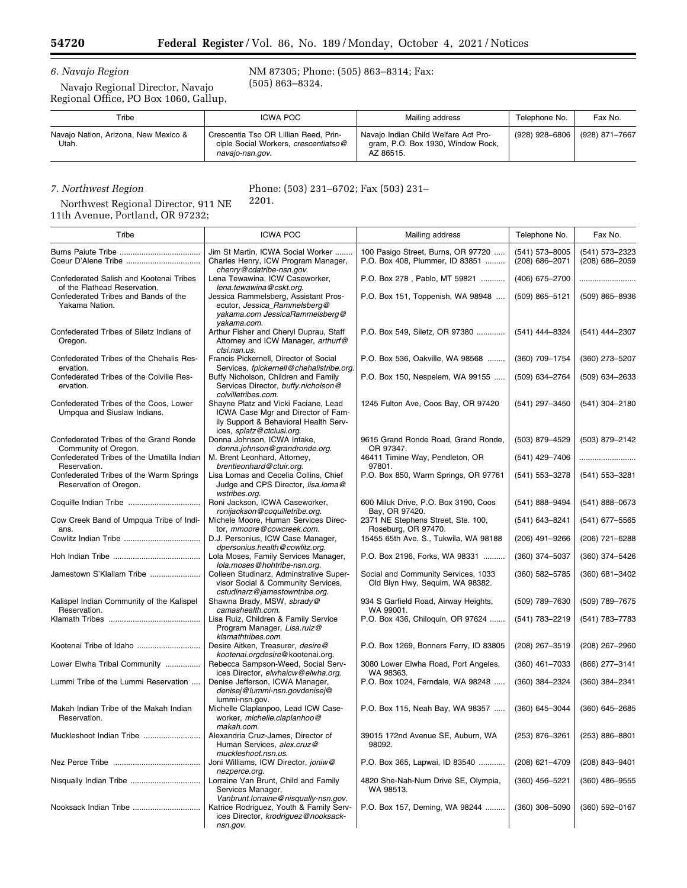$\equiv$ 

# *6. Navajo Region*

Navajo Regional Director, Navajo Regional Office, PO Box 1060, Gallup,

### NM 87305; Phone: (505) 863–8314; Fax: (505) 863–8324.

| Tribe                                         | <b>ICWA POC</b>                                                                                  | Mailing address                                                                        | Telephone No.  | Fax No.        |
|-----------------------------------------------|--------------------------------------------------------------------------------------------------|----------------------------------------------------------------------------------------|----------------|----------------|
| Navajo Nation, Arizona, New Mexico &<br>Utah. | Crescentia Tso OR Lillian Reed, Prin-<br>ciple Social Workers, crescentiatso@<br>navajo-nsn.gov. | Navajo Indian Child Welfare Act Pro-<br>gram, P.O. Box 1930, Window Rock,<br>AZ 86515. | (928) 928-6806 | (928) 871–7667 |

## *7. Northwest Region*

Northwest Regional Director, 911 NE 11th Avenue, Portland, OR 97232;

### Phone: (503) 231–6702; Fax (503) 231– 2201.

| Tribe                                                                                  | <b>ICWA POC</b>                                                                                                                                  | Mailing address                                                        | Telephone No.                      | Fax No.                          |
|----------------------------------------------------------------------------------------|--------------------------------------------------------------------------------------------------------------------------------------------------|------------------------------------------------------------------------|------------------------------------|----------------------------------|
| Coeur D'Alene Tribe                                                                    | Jim St Martin, ICWA Social Worker<br>Charles Henry, ICW Program Manager,<br>chenry@cdatribe-nsn.gov.                                             | 100 Pasigo Street, Burns, OR 97720<br>P.O. Box 408, Plummer, ID 83851  | $(541)$ 573-8005<br>(208) 686-2071 | (541) 573-2323<br>(208) 686-2059 |
| Confederated Salish and Kootenai Tribes                                                | Lena Tewawina, ICW Caseworker,                                                                                                                   | P.O. Box 278, Pablo, MT 59821                                          | (406) 675-2700                     |                                  |
| of the Flathead Reservation.<br>Confederated Tribes and Bands of the<br>Yakama Nation. | lena.tewawina@cskt.org.<br>Jessica Rammelsberg, Assistant Pros-<br>ecutor, Jessica_Rammelsberg@<br>yakama.com JessicaRammelsberg@<br>vakama.com. | P.O. Box 151, Toppenish, WA 98948                                      | $(509)$ 865-5121                   | $(509)$ 865-8936                 |
| Confederated Tribes of Siletz Indians of<br>Oregon.                                    | Arthur Fisher and Cheryl Duprau, Staff<br>Attorney and ICW Manager, arthurf@<br>ctsi.nsn.us.                                                     | P.O. Box 549, Siletz, OR 97380                                         | (541) 444-8324                     | (541) 444-2307                   |
| Confederated Tribes of the Chehalis Res-<br>ervation.                                  | Francis Pickernell, Director of Social<br>Services, fpickernell@chehalistribe.org.                                                               | P.O. Box 536, Oakville, WA 98568                                       | (360) 709-1754                     | (360) 273-5207                   |
| Confederated Tribes of the Colville Res-<br>ervation.                                  | Buffy Nicholson, Children and Family<br>Services Director, buffy.nicholson@<br>colvilletribes.com.                                               | P.O. Box 150, Nespelem, WA 99155                                       | (509) 634-2764                     | (509) 634-2633                   |
| Confederated Tribes of the Coos, Lower<br>Umpqua and Siuslaw Indians.                  | Shayne Platz and Vicki Faciane, Lead<br>ICWA Case Mgr and Director of Fam-<br>ily Support & Behavioral Health Serv-<br>ices, splatz@ctclusi.org. | 1245 Fulton Ave, Coos Bay, OR 97420                                    | (541) 297-3450                     | (541) 304-2180                   |
| Confederated Tribes of the Grand Ronde<br>Community of Oregon.                         | Donna Johnson, ICWA Intake,<br>donna.johnson@grandronde.org.                                                                                     | 9615 Grand Ronde Road, Grand Ronde,<br>OR 97347.                       | (503) 879-4529                     | (503) 879-2142                   |
| Confederated Tribes of the Umatilla Indian<br>Reservation.                             | M. Brent Leonhard, Attorney,<br>brentleonhard@ctuir.org.                                                                                         | 46411 Timine Way, Pendleton, OR<br>97801.                              | (541) 429-7406                     |                                  |
| Confederated Tribes of the Warm Springs<br>Reservation of Oregon.                      | Lisa Lomas and Cecelia Collins, Chief<br>Judge and CPS Director, lisa.loma@<br>wstribes.org.                                                     | P.O. Box 850, Warm Springs, OR 97761                                   | (541) 553-3278                     | (541) 553-3281                   |
| Coquille Indian Tribe                                                                  | Roni Jackson, ICWA Caseworker,<br>ronijackson@coquilletribe.org.                                                                                 | 600 Miluk Drive, P.O. Box 3190, Coos<br>Bay, OR 97420.                 | (541) 888-9494                     | $(541) 888 - 0673$               |
| Cow Creek Band of Umpqua Tribe of Indi-<br>ans.                                        | Michele Moore, Human Services Direc-<br>tor, mmoore@cowcreek.com.                                                                                | 2371 NE Stephens Street, Ste. 100,<br>Roseburg, OR 97470.              | (541) 643-8241                     | (541) 677-5565                   |
|                                                                                        | D.J. Personius, ICW Case Manager,<br>dpersonius.health@cowlitz.org.                                                                              | 15455 65th Ave. S., Tukwila, WA 98188                                  | $(206)$ 491-9266                   | (206) 721-6288                   |
|                                                                                        | Lola Moses, Family Services Manager,<br>lola.moses@hohtribe-nsn.org.                                                                             | P.O. Box 2196, Forks, WA 98331                                         | (360) 374-5037                     | (360) 374-5426                   |
| Jamestown S'Klallam Tribe                                                              | Colleen Studinarz, Adminstrative Super-<br>visor Social & Community Services,<br>cstudinarz@jamestowntribe.org.                                  | Social and Community Services, 1033<br>Old Blyn Hwy, Sequim, WA 98382. | (360) 582-5785                     | (360) 681-3402                   |
| Kalispel Indian Community of the Kalispel<br>Reservation.                              | Shawna Brady, MSW, sbrady@<br>camashealth.com.                                                                                                   | 934 S Garfield Road, Airway Heights,<br>WA 99001.                      | (509) 789-7630                     | (509) 789-7675                   |
|                                                                                        | Lisa Ruiz, Children & Family Service<br>Program Manager, Lisa.ruiz@<br>klamathtribes.com.                                                        | P.O. Box 436, Chiloquin, OR 97624                                      | (541) 783-2219                     | (541) 783-7783                   |
| Kootenai Tribe of Idaho                                                                | Desire Aitken, Treasurer, desire@<br>kootenai.orgdesire@kootenai.org.                                                                            | P.O. Box 1269, Bonners Ferry, ID 83805                                 | (208) 267-3519                     | (208) 267-2960                   |
| Lower Elwha Tribal Community                                                           | Rebecca Sampson-Weed, Social Serv-<br>ices Director, elwhaicw@elwha.org.                                                                         | 3080 Lower Elwha Road, Port Angeles,<br>WA 98363.                      | $(360)$ 461-7033                   | (866) 277-3141                   |
| Lummi Tribe of the Lummi Reservation                                                   | Denise Jefferson, ICWA Manager,<br>denisej@lummi-nsn.govdenisej@<br>lummi-nsn.gov.                                                               | P.O. Box 1024, Ferndale, WA 98248                                      | (360) 384-2324                     | (360) 384-2341                   |
| Makah Indian Tribe of the Makah Indian<br>Reservation.                                 | Michelle Claplanpoo, Lead ICW Case-<br>worker, michelle.claplanhoo@<br>makah.com.                                                                | P.O. Box 115, Neah Bay, WA 98357                                       | (360) 645-3044                     | (360) 645-2685                   |
| Muckleshoot Indian Tribe                                                               | Alexandria Cruz-James, Director of<br>Human Services, alex.cruz@<br>muckleshoot.nsn.us.                                                          | 39015 172nd Avenue SE, Auburn, WA<br>98092.                            | (253) 876-3261                     | $(253)$ 886-8801                 |
|                                                                                        | Joni Williams, ICW Director, joniw@<br>nezperce.org.                                                                                             | P.O. Box 365, Lapwai, ID 83540                                         | (208) 621-4709                     | (208) 843-9401                   |
| Nisqually Indian Tribe                                                                 | Lorraine Van Brunt, Child and Family<br>Services Manager,<br>Vanbrunt.lorraine@nisqually-nsn.gov.                                                | 4820 She-Nah-Num Drive SE, Olympia,<br>WA 98513.                       | (360) 456-5221                     | $(360)$ 486-9555                 |
| Nooksack Indian Tribe                                                                  | Katrice Rodriguez, Youth & Family Serv-<br>ices Director, krodriguez@nooksack-<br>nsn.gov.                                                       | P.O. Box 157, Deming, WA 98244                                         | $(360)$ 306-5090                   | $(360) 592 - 0167$               |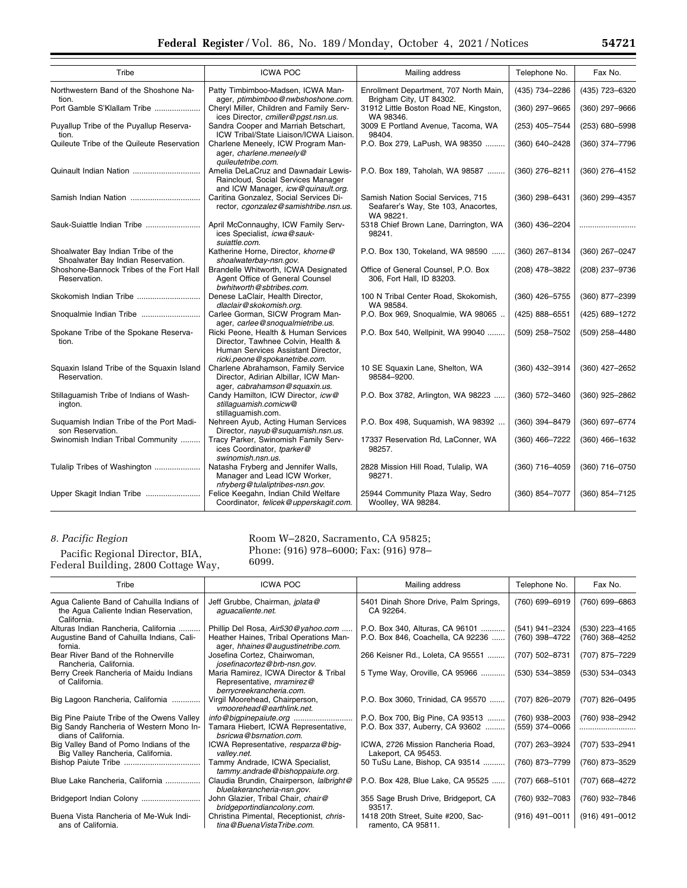| Tribe                                                                    | <b>ICWA POC</b>                                                                                                                                   | Mailing address                                                                        | Telephone No.    | Fax No.          |  |  |
|--------------------------------------------------------------------------|---------------------------------------------------------------------------------------------------------------------------------------------------|----------------------------------------------------------------------------------------|------------------|------------------|--|--|
| Northwestern Band of the Shoshone Na-<br>tion.                           | Patty Timbimboo-Madsen, ICWA Man-<br>ager, ptimbimboo@nwbshoshone.com.                                                                            | Enrollment Department, 707 North Main,<br>Brigham City, UT 84302.                      | (435) 734-2286   | (435) 723-6320   |  |  |
| Port Gamble S'Klallam Tribe                                              | Cheryl Miller, Children and Family Serv-<br>ices Director, cmiller@pgst.nsn.us.                                                                   | 31912 Little Boston Road NE, Kingston,<br>WA 98346.                                    | (360) 297-9665   | (360) 297-9666   |  |  |
| Puyallup Tribe of the Puyallup Reserva-<br>tion.                         | Sandra Cooper and Marriah Betschart,<br>ICW Tribal/State Liaison/ICWA Liaison.                                                                    | 3009 E Portland Avenue, Tacoma, WA<br>98404.                                           | (253) 405-7544   | (253) 680-5998   |  |  |
| Quileute Tribe of the Quileute Reservation                               | Charlene Meneely, ICW Program Man-<br>ager, charlene.meneely@<br>quileutetribe.com.                                                               | P.O. Box 279, LaPush, WA 98350                                                         | (360) 640-2428   | (360) 374-7796   |  |  |
|                                                                          | Amelia DeLaCruz and Dawnadair Lewis-<br>Raincloud, Social Services Manager<br>and ICW Manager, icw@quinault.org.                                  | P.O. Box 189, Taholah, WA 98587                                                        | (360) 276-8211   | (360) 276-4152   |  |  |
|                                                                          | Caritina Gonzalez, Social Services Di-<br>rector, cgonzalez@samishtribe.nsn.us.                                                                   | Samish Nation Social Services, 715<br>Seafarer's Way, Ste 103, Anacortes,<br>WA 98221. | $(360)$ 298-6431 | (360) 299-4357   |  |  |
| Sauk-Suiattle Indian Tribe                                               | April McConnaughy, ICW Family Serv-<br>ices Specialist, icwa@sauk-<br>suiattle.com.                                                               | 5318 Chief Brown Lane, Darrington, WA<br>98241.                                        | $(360)$ 436-2204 |                  |  |  |
| Shoalwater Bay Indian Tribe of the<br>Shoalwater Bay Indian Reservation. | Katherine Horne, Director, khorne@<br>shoalwaterbay-nsn.gov.                                                                                      | P.O. Box 130, Tokeland, WA 98590                                                       | (360) 267-8134   | (360) 267-0247   |  |  |
| Shoshone-Bannock Tribes of the Fort Hall<br>Reservation.                 | Brandelle Whitworth, ICWA Designated<br>Agent Office of General Counsel<br>bwhitworth@sbtribes.com.                                               | Office of General Counsel, P.O. Box<br>306, Fort Hall, ID 83203.                       | (208) 478-3822   | (208) 237-9736   |  |  |
| Skokomish Indian Tribe                                                   | Denese LaClair, Health Director,<br>dlaclair@skokomish.org.                                                                                       | 100 N Tribal Center Road, Skokomish,<br>WA 98584.                                      | $(360)$ 426-5755 | (360) 877-2399   |  |  |
| Snoqualmie Indian Tribe                                                  | Carlee Gorman, SICW Program Man-<br>ager, carlee@snoqualmietribe.us.                                                                              | P.O. Box 969, Snoqualmie, WA 98065                                                     | (425) 888-6551   | (425) 689-1272   |  |  |
| Spokane Tribe of the Spokane Reserva-<br>tion.                           | Ricki Peone, Health & Human Services<br>Director, Tawhnee Colvin, Health &<br>Human Services Assistant Director,<br>ricki.peone@spokanetribe.com. | P.O. Box 540, Wellpinit, WA 99040                                                      | (509) 258-7502   | (509) 258-4480   |  |  |
| Squaxin Island Tribe of the Squaxin Island<br>Reservation.               | Charlene Abrahamson, Family Service<br>Director, Adirian Albillar, ICW Man-<br>ager, cabrahamson@squaxin.us.                                      | 10 SE Squaxin Lane, Shelton, WA<br>98584-9200.                                         | (360) 432-3914   | (360) 427-2652   |  |  |
| Stillaguamish Tribe of Indians of Wash-<br>ington.                       | Candy Hamilton, ICW Director, icw@<br>stillaquamish.comicw@<br>stillaguamish.com.                                                                 | P.O. Box 3782, Arlington, WA 98223                                                     | (360) 572-3460   | (360) 925-2862   |  |  |
| Suguamish Indian Tribe of the Port Madi-<br>son Reservation.             | Nehreen Ayub, Acting Human Services<br>Director, nayub@suquamish.nsn.us.                                                                          | P.O. Box 498, Suquamish, WA 98392                                                      | (360) 394-8479   | (360) 697-6774   |  |  |
| Swinomish Indian Tribal Community                                        | Tracy Parker, Swinomish Family Serv-<br>ices Coordinator, tparker@<br>swinomish.nsn.us.                                                           | 17337 Reservation Rd, LaConner, WA<br>98257.                                           | (360) 466-7222   | $(360)$ 466-1632 |  |  |
| Tulalip Tribes of Washington                                             | Natasha Fryberg and Jennifer Walls,<br>Manager and Lead ICW Worker,<br>nfryberg@tulaliptribes-nsn.gov.                                            | 2828 Mission Hill Road, Tulalip, WA<br>98271.                                          | (360) 716-4059   | (360) 716-0750   |  |  |
| Upper Skagit Indian Tribe                                                | Felice Keegahn, Indian Child Welfare<br>Coordinator, felicek@upperskagit.com.                                                                     | 25944 Community Plaza Way, Sedro<br>Woolley, WA 98284.                                 | (360) 854-7077   | (360) 854-7125   |  |  |

# *8. Pacific Region*

Pacific Regional Director, BIA, Federal Building, 2800 Cottage Way,

### Room W–2820, Sacramento, CA 95825; Phone: (916) 978–6000; Fax: (916) 978– 6099.

| Tribe                                                                                             | <b>ICWA POC</b>                                                                                | Mailing address                                           | Telephone No.    | Fax No.            |
|---------------------------------------------------------------------------------------------------|------------------------------------------------------------------------------------------------|-----------------------------------------------------------|------------------|--------------------|
| Agua Caliente Band of Cahuilla Indians of<br>the Agua Caliente Indian Reservation,<br>California. | Jeff Grubbe, Chairman, jplata@<br>aguacaliente.net.                                            | 5401 Dinah Shore Drive, Palm Springs,<br>CA 92264.        | (760) 699-6919   | (760) 699-6863     |
| Alturas Indian Rancheria, California                                                              | Phillip Del Rosa, Air530@yahoo.com                                                             | P.O. Box 340, Alturas, CA 96101                           | (541) 941-2324   | (530) 223-4165     |
| Augustine Band of Cahuilla Indians, Cali-<br>fornia.                                              | Heather Haines, Tribal Operations Man-<br>ager, hhaines@augustinetribe.com.                    | P.O. Box 846, Coachella, CA 92236                         | (760) 398-4722   | (760) 368-4252     |
| Bear River Band of the Rohnerville<br>Rancheria, California.                                      | Josefina Cortez, Chairwoman,<br>josefinacortez@brb-nsn.gov.                                    | 266 Keisner Rd., Loleta, CA 95551                         | (707) 502-8731   | (707) 875-7229     |
| Berry Creek Rancheria of Maidu Indians<br>of California.                                          | Maria Ramirez, ICWA Director & Tribal<br>Representative, mramirez@<br>berrycreekrancheria.com. | 5 Tyme Way, Oroville, CA 95966                            | (530) 534-3859   | $(530) 534 - 0343$ |
| Big Lagoon Rancheria, California                                                                  | Virgil Moorehead, Chairperson,<br>vmoorehead@earthlink.net.                                    | P.O. Box 3060, Trinidad, CA 95570                         | (707) 826-2079   | (707) 826-0495     |
| Big Pine Paiute Tribe of the Owens Valley                                                         |                                                                                                | P.O. Box 700, Big Pine, CA 93513                          | (760) 938-2003   | (760) 938-2942     |
| Big Sandy Rancheria of Western Mono In-<br>dians of California.                                   | Tamara Hiebert, ICWA Representative,<br>bsricwa@bsrnation.com.                                 | P.O. Box 337, Auberry, CA 93602                           | (559) 374-0066   |                    |
| Big Valley Band of Pomo Indians of the<br>Big Valley Rancheria, California.                       | ICWA Representative, resparza@big-<br>valley.net.                                              | ICWA, 2726 Mission Rancheria Road,<br>Lakeport, CA 95453. | (707) 263-3924   | (707) 533-2941     |
|                                                                                                   | Tammy Andrade, ICWA Specialist,<br>tammy.andrade@bishoppaiute.org.                             | 50 TuSu Lane, Bishop, CA 93514                            | (760) 873-7799   | (760) 873-3529     |
| Blue Lake Rancheria, California                                                                   | Claudia Brundin, Chairperson, lalbright@<br>bluelakerancheria-nsn.gov.                         | P.O. Box 428, Blue Lake, CA 95525                         | (707) 668-5101   | (707) 668–4272     |
| Bridgeport Indian Colony                                                                          | John Glazier, Tribal Chair, chair@<br>bridgeportindiancolony.com.                              | 355 Sage Brush Drive, Bridgeport, CA<br>93517.            | (760) 932-7083   | (760) 932-7846     |
| Buena Vista Rancheria of Me-Wuk Indi-<br>ans of California.                                       | Christina Pimental, Receptionist, chris-<br>tina@BuenaVistaTribe.com.                          | 1418 20th Street, Suite #200, Sac-<br>ramento, CA 95811.  | $(916)$ 491-0011 | $(916)$ 491-0012   |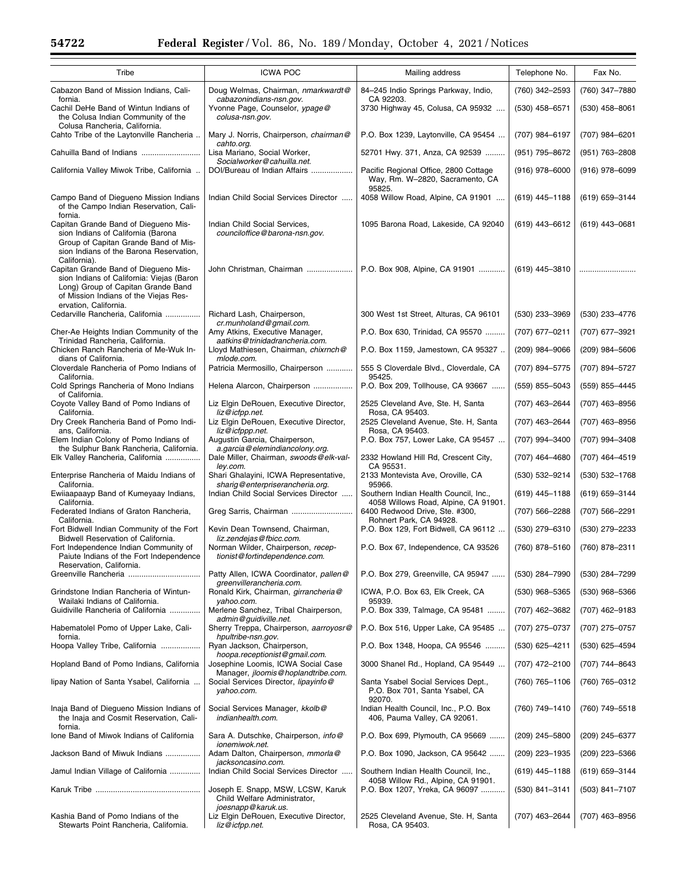| Tribe                                                                                                                                                                                     | <b>ICWA POC</b>                                                                         | Mailing address                                                                    | Telephone No.    | Fax No.        |
|-------------------------------------------------------------------------------------------------------------------------------------------------------------------------------------------|-----------------------------------------------------------------------------------------|------------------------------------------------------------------------------------|------------------|----------------|
| Cabazon Band of Mission Indians, Cali-<br>fornia.                                                                                                                                         | Doug Welmas, Chairman, nmarkwardt@<br>cabazonindians-nsn.gov.                           | 84-245 Indio Springs Parkway, Indio,<br>CA 92203.                                  | (760) 342-2593   | (760) 347-7880 |
| Cachil DeHe Band of Wintun Indians of<br>the Colusa Indian Community of the<br>Colusa Rancheria, California.                                                                              | Yvonne Page, Counselor, ypage@<br>colusa-nsn.gov.                                       | 3730 Highway 45, Colusa, CA 95932                                                  | $(530)$ 458-6571 | (530) 458-8061 |
| Cahto Tribe of the Laytonville Rancheria                                                                                                                                                  | Mary J. Norris, Chairperson, chairman@<br>cahto.org.                                    | P.O. Box 1239, Laytonville, CA 95454                                               | (707) 984-6197   | (707) 984-6201 |
| Cahuilla Band of Indians                                                                                                                                                                  | Lisa Mariano, Social Worker,<br>Socialworker@cahuilla.net.                              | 52701 Hwy. 371, Anza, CA 92539                                                     | (951) 795-8672   | (951) 763-2808 |
| California Valley Miwok Tribe, California .                                                                                                                                               | DOI/Bureau of Indian Affairs                                                            | Pacific Regional Office, 2800 Cottage<br>Way, Rm. W-2820, Sacramento, CA<br>95825. | $(916)$ 978-6000 | (916) 978-6099 |
| Campo Band of Diequeno Mission Indians<br>of the Campo Indian Reservation, Cali-<br>fornia.                                                                                               | Indian Child Social Services Director                                                   | 4058 Willow Road, Alpine, CA 91901                                                 | $(619)$ 445-1188 | (619) 659-3144 |
| Capitan Grande Band of Diegueno Mis-<br>sion Indians of California (Barona<br>Group of Capitan Grande Band of Mis-<br>sion Indians of the Barona Reservation,<br>California).             | Indian Child Social Services,<br>counciloffice@barona-nsn.gov.                          | 1095 Barona Road, Lakeside, CA 92040                                               | $(619)$ 443-6612 | (619) 443-0681 |
| Capitan Grande Band of Diegueno Mis-<br>sion Indians of California: Viejas (Baron<br>Long) Group of Capitan Grande Band<br>of Mission Indians of the Viejas Res-<br>ervation, California. | John Christman, Chairman                                                                | P.O. Box 908, Alpine, CA 91901                                                     | $(619)$ 445-3810 |                |
| Cedarville Rancheria, California                                                                                                                                                          | Richard Lash, Chairperson,<br>cr.munholand@gmail.com.                                   | 300 West 1st Street, Alturas, CA 96101                                             | (530) 233-3969   | (530) 233-4776 |
| Cher-Ae Heights Indian Community of the<br>Trinidad Rancheria, California.                                                                                                                | Amy Atkins, Executive Manager,<br>aatkins@trinidadrancheria.com.                        | P.O. Box 630, Trinidad, CA 95570                                                   | (707) 677-0211   | (707) 677–3921 |
| Chicken Ranch Rancheria of Me-Wuk In-<br>dians of California.                                                                                                                             | Lloyd Mathiesen, Chairman, chixrnch@<br>mlode.com.                                      | P.O. Box 1159, Jamestown, CA 95327                                                 | $(209)$ 984-9066 | (209) 984-5606 |
| Cloverdale Rancheria of Pomo Indians of<br>California.                                                                                                                                    | Patricia Mermosillo, Chairperson                                                        | 555 S Cloverdale Blvd., Cloverdale, CA<br>95425.                                   | (707) 894-5775   | (707) 894-5727 |
| Cold Springs Rancheria of Mono Indians<br>of California.                                                                                                                                  | Helena Alarcon, Chairperson                                                             | P.O. Box 209, Tollhouse, CA 93667                                                  | (559) 855-5043   | (559) 855-4445 |
| Coyote Valley Band of Pomo Indians of<br>California.                                                                                                                                      | Liz Elgin DeRouen, Executive Director,<br>liz@icfpp.net.                                | 2525 Cleveland Ave, Ste. H, Santa<br>Rosa, CA 95403.                               | (707) 463-2644   | (707) 463-8956 |
| Dry Creek Rancheria Band of Pomo Indi-<br>ans, California.                                                                                                                                | Liz Elgin DeRouen, Executive Director,<br>liz@icfppp.net.                               | 2525 Cleveland Avenue, Ste. H, Santa<br>Rosa, CA 95403.                            | (707) 463-2644   | (707) 463-8956 |
| Elem Indian Colony of Pomo Indians of<br>the Sulphur Bank Rancheria, California.                                                                                                          | Augustin Garcia, Chairperson,<br>a.garcia@elemindiancolony.org.                         | P.O. Box 757, Lower Lake, CA 95457                                                 | (707) 994-3400   | (707) 994-3408 |
| Elk Valley Rancheria, California                                                                                                                                                          | Dale Miller, Chairman, swoods@elk-val-<br>ley.com.                                      | 2332 Howland Hill Rd, Crescent City,<br>CA 95531.                                  | (707) 464-4680   | (707) 464-4519 |
| Enterprise Rancheria of Maidu Indians of<br>California.                                                                                                                                   | Shari Ghalayini, ICWA Representative,<br>sharig@enterpriserancheria.org.                | 2133 Montevista Ave, Oroville, CA<br>95966.                                        | (530) 532-9214   | (530) 532-1768 |
| Ewiiaapaayp Band of Kumeyaay Indians,<br>California.                                                                                                                                      | Indian Child Social Services Director                                                   | Southern Indian Health Council, Inc.,<br>4058 Willows Road, Alpine, CA 91901.      | $(619)$ 445-1188 | (619) 659-3144 |
| Federated Indians of Graton Rancheria,<br>California.                                                                                                                                     | Greg Sarris, Chairman                                                                   | 6400 Redwood Drive, Ste. #300,<br>Rohnert Park, CA 94928.                          | (707) 566-2288   | (707) 566-2291 |
| Fort Bidwell Indian Community of the Fort<br>Bidwell Reservation of California.                                                                                                           | Kevin Dean Townsend, Chairman,<br>liz.zendejas@fbicc.com.                               | P.O. Box 129, Fort Bidwell, CA 96112                                               | (530) 279-6310   | (530) 279-2233 |
| Fort Independence Indian Community of<br>Paiute Indians of the Fort Independence<br>Reservation, California.                                                                              | Norman Wilder, Chairperson, recep-<br>tionist@fortindependence.com.                     | P.O. Box 67, Independence, CA 93526                                                | (760) 878-5160   | (760) 878-2311 |
| Greenville Rancheria                                                                                                                                                                      | Patty Allen, ICWA Coordinator, pallen@<br>greenvillerancheria.com.                      | P.O. Box 279, Greenville, CA 95947                                                 | (530) 284-7990   | (530) 284-7299 |
| Grindstone Indian Rancheria of Wintun-<br>Wailaki Indians of California.                                                                                                                  | Ronald Kirk, Chairman, girrancheria@<br>vahoo.com.                                      | ICWA, P.O. Box 63, Elk Creek, CA<br>95939.                                         | $(530)$ 968-5365 | (530) 968-5366 |
| Guidiville Rancheria of California                                                                                                                                                        | Merlene Sanchez, Tribal Chairperson,<br>admin@quidiville.net.                           | P.O. Box 339, Talmage, CA 95481                                                    | (707) 462-3682   | (707) 462-9183 |
| Habematolel Pomo of Upper Lake, Cali-<br>fornia.                                                                                                                                          | Sherry Treppa, Chairperson, aarroyosr@<br>hpultribe-nsn.gov.                            | P.O. Box 516, Upper Lake, CA 95485                                                 | (707) 275-0737   | (707) 275-0757 |
| Hoopa Valley Tribe, California                                                                                                                                                            | Ryan Jackson, Chairperson,<br>hoopa.receptionist@gmail.com.                             | P.O. Box 1348, Hoopa, CA 95546                                                     | $(530)$ 625-4211 | (530) 625-4594 |
| Hopland Band of Pomo Indians, California                                                                                                                                                  | Josephine Loomis, ICWA Social Case<br>Manager, jloomis@hoplandtribe.com.                | 3000 Shanel Rd., Hopland, CA 95449                                                 | (707) 472-2100   | (707) 744-8643 |
| lipay Nation of Santa Ysabel, California                                                                                                                                                  | Social Services Director, lipayinfo@<br>yahoo.com.                                      | Santa Ysabel Social Services Dept.,<br>P.O. Box 701, Santa Ysabel, CA<br>92070.    | (760) 765-1106   | (760) 765-0312 |
| Inaja Band of Diegueno Mission Indians of<br>the Inaja and Cosmit Reservation, Cali-<br>fornia.                                                                                           | Social Services Manager, kkolb@<br>indianhealth.com.                                    | Indian Health Council, Inc., P.O. Box<br>406, Pauma Valley, CA 92061.              | (760) 749-1410   | (760) 749-5518 |
| Ione Band of Miwok Indians of California                                                                                                                                                  | Sara A. Dutschke, Chairperson, info@<br>ionemiwok.net.                                  | P.O. Box 699, Plymouth, CA 95669                                                   | $(209)$ 245-5800 | (209) 245-6377 |
| Jackson Band of Miwuk Indians                                                                                                                                                             | Adam Dalton, Chairperson, mmorla@<br>jacksoncasino.com.                                 | P.O. Box 1090, Jackson, CA 95642                                                   | (209) 223-1935   | (209) 223-5366 |
| Jamul Indian Village of California                                                                                                                                                        | Indian Child Social Services Director                                                   | Southern Indian Health Council, Inc.,<br>4058 Willow Rd., Alpine, CA 91901.        | $(619)$ 445-1188 | (619) 659-3144 |
|                                                                                                                                                                                           | Joseph E. Snapp, MSW, LCSW, Karuk<br>Child Welfare Administrator,<br>joesnapp@karuk.us. | P.O. Box 1207, Yreka, CA 96097                                                     | $(530)$ 841-3141 | (503) 841-7107 |
| Kashia Band of Pomo Indians of the<br>Stewarts Point Rancheria, California.                                                                                                               | Liz Elgin DeRouen, Executive Director,<br>liz@icfpp.net.                                | 2525 Cleveland Avenue, Ste. H, Santa<br>Rosa, CA 95403.                            | (707) 463-2644   | (707) 463-8956 |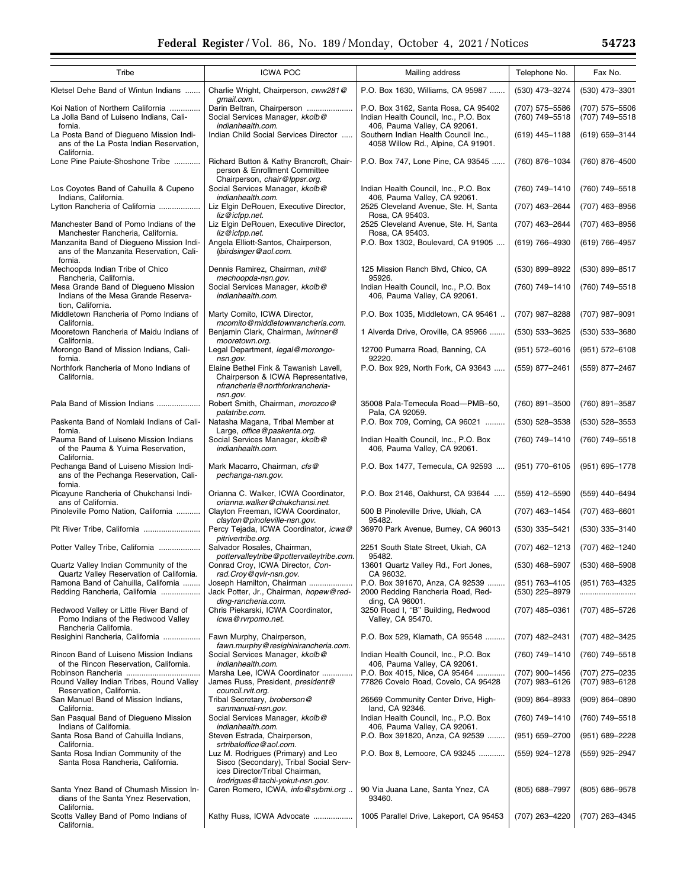| Tribe                                                                                                 | <b>ICWA POC</b>                                                                                                                           | Mailing address                                                                                              | Telephone No.                    | Fax No.                          |
|-------------------------------------------------------------------------------------------------------|-------------------------------------------------------------------------------------------------------------------------------------------|--------------------------------------------------------------------------------------------------------------|----------------------------------|----------------------------------|
| Kletsel Dehe Band of Wintun Indians                                                                   | Charlie Wright, Chairperson, cww281@                                                                                                      | P.O. Box 1630, Williams, CA 95987                                                                            | (530) 473-3274                   | (530) 473-3301                   |
| Koi Nation of Northern California<br>La Jolla Band of Luiseno Indians, Cali-<br>fornia.               | qmail.com.<br>Darin Beltran, Chairperson<br>Social Services Manager, kkolb@<br>indianhealth.com.                                          | P.O. Box 3162, Santa Rosa, CA 95402<br>Indian Health Council, Inc., P.O. Box<br>406, Pauma Valley, CA 92061. | (707) 575-5586<br>(760) 749-5518 | (707) 575-5506<br>(707) 749-5518 |
| La Posta Band of Diegueno Mission Indi-<br>ans of the La Posta Indian Reservation,<br>California.     | Indian Child Social Services Director                                                                                                     | Southern Indian Health Council Inc.,<br>4058 Willow Rd., Alpine, CA 91901.                                   | $(619)$ 445-1188                 | (619) 659-3144                   |
| Lone Pine Paiute-Shoshone Tribe                                                                       | Richard Button & Kathy Brancroft, Chair-<br>person & Enrollment Committee<br>Chairperson, chair@lppsr.org.                                | P.O. Box 747, Lone Pine, CA 93545                                                                            | (760) 876-1034                   | (760) 876-4500                   |
| Los Coyotes Band of Cahuilla & Cupeno<br>Indians, California.                                         | Social Services Manager, kkolb@<br>indianhealth.com.                                                                                      | Indian Health Council, Inc., P.O. Box<br>406, Pauma Valley, CA 92061.                                        | (760) 749-1410                   | (760) 749-5518                   |
| Lytton Rancheria of California                                                                        | Liz Elgin DeRouen, Executive Director,<br>liz@icfpp.net.                                                                                  | 2525 Cleveland Avenue, Ste. H, Santa<br>Rosa, CA 95403.                                                      | (707) 463-2644                   | (707) 463-8956                   |
| Manchester Band of Pomo Indians of the<br>Manchester Rancheria, California.                           | Liz Elgin DeRouen, Executive Director,<br>liz@icfpp.net.                                                                                  | 2525 Cleveland Avenue, Ste. H, Santa<br>Rosa, CA 95403.                                                      | (707) 463-2644                   | (707) 463-8956                   |
| Manzanita Band of Diegueno Mission Indi-<br>ans of the Manzanita Reservation, Cali-<br>fornia.        | Angela Elliott-Santos, Chairperson,<br>libirdsinger@aol.com.                                                                              | P.O. Box 1302, Boulevard, CA 91905                                                                           | $(619) 766 - 4930$               | (619) 766-4957                   |
| Mechoopda Indian Tribe of Chico<br>Rancheria, California.                                             | Dennis Ramirez, Chairman, mit@<br>mechoopda-nsn.gov.                                                                                      | 125 Mission Ranch Blvd, Chico, CA<br>95926.                                                                  | (530) 899-8922                   | (530) 899-8517                   |
| Mesa Grande Band of Diegueno Mission<br>Indians of the Mesa Grande Reserva-<br>tion. California.      | Social Services Manager, kkolb@<br>indianhealth.com.                                                                                      | Indian Health Council, Inc., P.O. Box<br>406, Pauma Valley, CA 92061.                                        | (760) 749-1410                   | (760) 749-5518                   |
| Middletown Rancheria of Pomo Indians of<br>California.                                                | Marty Comito, ICWA Director,<br>mcomito@middletownrancheria.com.                                                                          | P.O. Box 1035, Middletown, CA 95461                                                                          | (707) 987-8288                   | (707) 987-9091                   |
| Mooretown Rancheria of Maidu Indians of<br>California.                                                | Benjamin Clark, Chairman, Iwinner@<br>mooretown.org.                                                                                      | 1 Alverda Drive, Oroville, CA 95966                                                                          | (530) 533-3625                   | (530) 533-3680                   |
| Morongo Band of Mission Indians, Cali-<br>fornia.                                                     | Legal Department, legal@morongo-<br>nsn.gov.                                                                                              | 12700 Pumarra Road, Banning, CA<br>92220.                                                                    | (951) 572-6016                   | (951) 572-6108                   |
| Northfork Rancheria of Mono Indians of<br>California.                                                 | Elaine Bethel Fink & Tawanish Lavell,<br>Chairperson & ICWA Representative,<br>nfrancheria@northforkrancheria-                            | P.O. Box 929, North Fork, CA 93643                                                                           | (559) 877-2461                   | (559) 877-2467                   |
| Pala Band of Mission Indians                                                                          | nsn.gov.<br>Robert Smith, Chairman, morozco@                                                                                              | 35008 Pala-Temecula Road-PMB-50,                                                                             | (760) 891-3500                   | (760) 891-3587                   |
| Paskenta Band of Nomlaki Indians of Cali-                                                             | palatribe.com.<br>Natasha Magana, Tribal Member at                                                                                        | Pala, CA 92059.<br>P.O. Box 709, Corning, CA 96021                                                           | (530) 528-3538                   | (530) 528-3553                   |
| fornia.<br>Pauma Band of Luiseno Mission Indians<br>of the Pauma & Yuima Reservation,<br>California.  | Large, office@paskenta.org.<br>Social Services Manager, kkolb@<br>indianhealth.com.                                                       | Indian Health Council, Inc., P.O. Box<br>406, Pauma Valley, CA 92061.                                        | (760) 749-1410                   | (760) 749-5518                   |
| Pechanga Band of Luiseno Mission Indi-<br>ans of the Pechanga Reservation, Cali-<br>fornia.           | Mark Macarro, Chairman, cfs@<br>pechanga-nsn.gov.                                                                                         | P.O. Box 1477, Temecula, CA 92593                                                                            | (951) 770-6105                   | (951) 695-1778                   |
| Picayune Rancheria of Chukchansi Indi-<br>ans of California.                                          | Orianna C. Walker, ICWA Coordinator,<br>orianna.walker@chukchansi.net.                                                                    | P.O. Box 2146, Oakhurst, CA 93644                                                                            | (559) 412-5590                   | (559) 440-6494                   |
| Pinoleville Pomo Nation, California                                                                   | Clayton Freeman, ICWA Coordinator,<br>clayton@pinoleville-nsn.gov.                                                                        | 500 B Pinoleville Drive, Ukiah, CA<br>95482.                                                                 | (707) 463-1454                   | $(707)$ 463-6601                 |
| Pit River Tribe, California                                                                           | Percy Tejada, ICWA Coordinator, icwa@<br>pitrivertribe.org.                                                                               | 36970 Park Avenue, Burney, CA 96013                                                                          | (530) 335-5421                   | (530) 335-3140                   |
| Potter Valley Tribe, California                                                                       | Salvador Rosales, Chairman,<br>pottervalleytribe@pottervalleytribe.com.                                                                   | 2251 South State Street, Ukiah, CA<br>95482.                                                                 | (707) 462-1213                   | (707) 462-1240                   |
| Quartz Valley Indian Community of the<br>Quartz Valley Reservation of California.                     | Conrad Croy, ICWA Director, Con-<br>rad.Croy@qvir-nsn.gov.                                                                                | 13601 Quartz Valley Rd., Fort Jones,<br>CA 96032.                                                            | $(530)$ 468-5907                 | $(530)$ 468-5908                 |
| Ramona Band of Cahuilla, California<br>Redding Rancheria, California                                  | Joseph Hamilton, Chairman<br>Jack Potter, Jr., Chairman, hopew@red-<br>ding-rancheria.com.                                                | P.O. Box 391670, Anza, CA 92539<br>2000 Redding Rancheria Road, Red-<br>ding, CA 96001.                      | (951) 763-4105<br>(530) 225-8979 | (951) 763-4325<br>               |
| Redwood Valley or Little River Band of<br>Pomo Indians of the Redwood Valley<br>Rancheria California. | Chris Piekarski, ICWA Coordinator,<br>icwa@rvrpomo.net.                                                                                   | 3250 Road I, "B" Building, Redwood<br>Valley, CA 95470.                                                      | (707) 485-0361                   | (707) 485-5726                   |
| Resighini Rancheria, California                                                                       | Fawn Murphy, Chairperson,<br>fawn.murphy@resighinirancheria.com.                                                                          | P.O. Box 529, Klamath, CA 95548                                                                              | (707) 482-2431                   | (707) 482-3425                   |
| Rincon Band of Luiseno Mission Indians<br>of the Rincon Reservation. California.                      | Social Services Manager, kkolb@<br>indianhealth.com.                                                                                      | Indian Health Council, Inc., P.O. Box<br>406, Pauma Valley, CA 92061.                                        | (760) 749-1410                   | (760) 749-5518                   |
| Robinson Rancheria<br>Round Valley Indian Tribes, Round Valley<br>Reservation, California.            | Marsha Lee, ICWA Coordinator<br>James Russ, President, president@                                                                         | P.O. Box 4015, Nice, CA 95464<br>77826 Covelo Road, Covelo, CA 95428                                         | (707) 900-1456<br>(707) 983-6126 | (707) 275-0235<br>(707) 983-6128 |
| San Manuel Band of Mission Indians,                                                                   | council.rvit.org.<br>Tribal Secretary, broberson@                                                                                         | 26569 Community Center Drive, High-                                                                          | $(909) 864 - 8933$               | $(909) 864 - 0890$               |
| California.<br>San Pasqual Band of Diegueno Mission                                                   | sanmanual-nsn.gov.<br>Social Services Manager, kkolb@                                                                                     | land, CA 92346.<br>Indian Health Council, Inc., P.O. Box                                                     | (760) 749-1410                   | (760) 749-5518                   |
| Indians of California.<br>Santa Rosa Band of Cahuilla Indians,                                        | indianhealth.com.<br>Steven Estrada, Chairperson,                                                                                         | 406, Pauma Valley, CA 92061.<br>P.O. Box 391820, Anza, CA 92539                                              | $(951)$ 659-2700                 | $(951)$ 689-2228                 |
| California.<br>Santa Rosa Indian Community of the<br>Santa Rosa Rancheria, California.                | srtribaloffice@aol.com.<br>Luz M. Rodrigues (Primary) and Leo<br>Sisco (Secondary), Tribal Social Serv-<br>ices Director/Tribal Chairman, | P.O. Box 8, Lemoore, CA 93245                                                                                | (559) 924-1278                   | (559) 925-2947                   |
| Santa Ynez Band of Chumash Mission In-<br>dians of the Santa Ynez Reservation,<br>California.         | Irodrigues@tachi-yokut-nsn.gov.<br>Caren Romero, ICWA, info@sybmi.org                                                                     | 90 Via Juana Lane, Santa Ynez, CA<br>93460.                                                                  | (805) 688-7997                   | (805) 686-9578                   |
| Scotts Valley Band of Pomo Indians of                                                                 | Kathy Russ, ICWA Advocate                                                                                                                 | 1005 Parallel Drive, Lakeport, CA 95453                                                                      | (707) 263-4220                   | (707) 263-4345                   |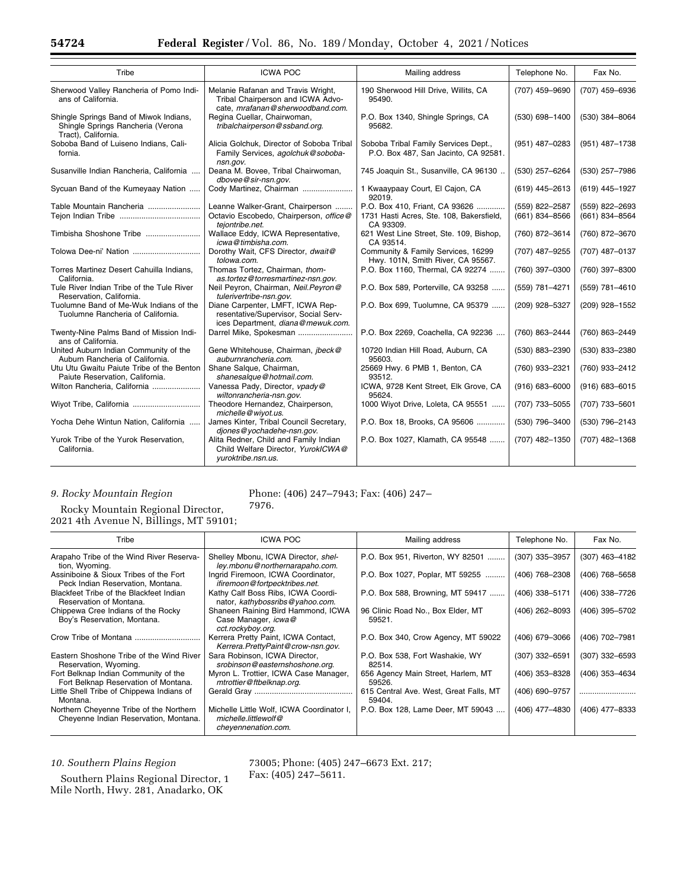| Tribe                                                                                              | <b>ICWA POC</b>                                                                                               | Mailing address                                                              | Telephone No.      | Fax No.            |
|----------------------------------------------------------------------------------------------------|---------------------------------------------------------------------------------------------------------------|------------------------------------------------------------------------------|--------------------|--------------------|
| Sherwood Valley Rancheria of Pomo Indi-<br>ans of California.                                      | Melanie Rafanan and Travis Wright,<br>Tribal Chairperson and ICWA Advo-<br>cate, mrafanan@sherwoodband.com.   | 190 Sherwood Hill Drive, Willits, CA<br>95490.                               | (707) 459-9690     | (707) 459-6936     |
| Shingle Springs Band of Miwok Indians,<br>Shingle Springs Rancheria (Verona<br>Tract), California. | Regina Cuellar, Chairwoman,<br>tribalchairperson@ssband.org.                                                  | P.O. Box 1340, Shingle Springs, CA<br>95682.                                 | (530) 698-1400     | (530) 384-8064     |
| Soboba Band of Luiseno Indians, Cali-<br>fornia.                                                   | Alicia Golchuk, Director of Soboba Tribal<br>Family Services, agolchuk@soboba-<br>nsn.gov.                    | Soboba Tribal Family Services Dept.,<br>P.O. Box 487, San Jacinto, CA 92581. | (951) 487-0283     | (951) 487-1738     |
| Susanville Indian Rancheria, California                                                            | Deana M. Bovee, Tribal Chairwoman,<br>dbovee@sir-nsn.gov.                                                     | 745 Joaquin St., Susanville, CA 96130                                        | (530) 257-6264     | (530) 257-7986     |
| Sycuan Band of the Kumeyaay Nation                                                                 | Cody Martinez, Chairman                                                                                       | 1 Kwaaypaay Court, El Cajon, CA<br>92019.                                    | $(619)$ 445-2613   | (619) 445-1927     |
| Table Mountain Rancheria                                                                           | Leanne Walker-Grant, Chairperson                                                                              | P.O. Box 410, Friant, CA 93626                                               | (559) 822-2587     | (559) 822-2693     |
|                                                                                                    | Octavio Escobedo, Chairperson, office@<br>teiontribe.net.                                                     | 1731 Hasti Acres, Ste. 108, Bakersfield,<br>CA 93309.                        | $(661)$ 834-8566   | (661) 834-8564     |
| Timbisha Shoshone Tribe                                                                            | Wallace Eddy, ICWA Representative,<br>icwa@timbisha.com.                                                      | 621 West Line Street, Ste. 109, Bishop,<br>CA 93514.                         | (760) 872-3614     | (760) 872-3670     |
|                                                                                                    | Dorothy Wait, CFS Director, dwait@<br>tolowa.com.                                                             | Community & Family Services, 16299<br>Hwy. 101N, Smith River, CA 95567.      | (707) 487-9255     | (707) 487-0137     |
| Torres Martinez Desert Cahuilla Indians,<br>California.                                            | Thomas Tortez, Chairman, thom-<br>as.tortez@torresmartinez-nsn.gov.                                           | P.O. Box 1160, Thermal, CA 92274                                             | (760) 397-0300     | (760) 397-8300     |
| Tule River Indian Tribe of the Tule River<br>Reservation, California.                              | Neil Peyron, Chairman, Neil.Peyron@<br>tulerivertribe-nsn.gov.                                                | P.O. Box 589, Porterville, CA 93258                                          | (559) 781-4271     | (559) 781-4610     |
| Tuolumne Band of Me-Wuk Indians of the<br>Tuolumne Rancheria of California.                        | Diane Carpenter, LMFT, ICWA Rep-<br>resentative/Supervisor, Social Serv-<br>ices Department, diana@mewuk.com. | P.O. Box 699, Tuolumne, CA 95379                                             | (209) 928-5327     | (209) 928-1552     |
| Twenty-Nine Palms Band of Mission Indi-<br>ans of California.                                      | Darrel Mike, Spokesman                                                                                        | P.O. Box 2269, Coachella, CA 92236                                           | (760) 863-2444     | (760) 863-2449     |
| United Auburn Indian Community of the<br>Auburn Rancheria of California.                           | Gene Whitehouse, Chairman, jbeck@<br>auburnrancheria.com.                                                     | 10720 Indian Hill Road, Auburn, CA<br>95603.                                 | (530) 883-2390     | (530) 833-2380     |
| Utu Utu Gwaitu Paiute Tribe of the Benton<br>Paiute Reservation, California.                       | Shane Salque, Chairman,<br>shanesalque@hotmail.com.                                                           | 25669 Hwy. 6 PMB 1, Benton, CA<br>93512.                                     | (760) 933-2321     | (760) 933-2412     |
| Wilton Rancheria, California                                                                       | Vanessa Pady, Director, vpady@<br>wiltonrancheria-nsn.gov.                                                    | ICWA, 9728 Kent Street, Elk Grove, CA<br>95624.                              | $(916) 683 - 6000$ | $(916) 683 - 6015$ |
|                                                                                                    | Theodore Hernandez, Chairperson,<br>michelle@wiyot.us.                                                        | 1000 Wiyot Drive, Loleta, CA 95551                                           | (707) 733-5055     | (707) 733-5601     |
| Yocha Dehe Wintun Nation, California                                                               | James Kinter, Tribal Council Secretary,<br>djones@yochadehe-nsn.gov.                                          | P.O. Box 18, Brooks, CA 95606                                                | (530) 796-3400     | (530) 796-2143     |
| Yurok Tribe of the Yurok Reservation,<br>California.                                               | Alita Redner, Child and Family Indian<br>Child Welfare Director, YurokICWA@<br>yuroktribe.nsn.us.             | P.O. Box 1027, Klamath, CA 95548                                             | (707) 482-1350     | (707) 482-1368     |

### *9. Rocky Mountain Region*

Rocky Mountain Regional Director, 2021 4th Avenue N, Billings, MT 59101;

| Tribe                                                                            | <b>ICWA POC</b>                                                                          | Mailing address                                  | Telephone No.    | Fax No.          |
|----------------------------------------------------------------------------------|------------------------------------------------------------------------------------------|--------------------------------------------------|------------------|------------------|
| Arapaho Tribe of the Wind River Reserva-<br>tion, Wyoming.                       | Shelley Mbonu, ICWA Director, shel-<br>ley.mbonu@northernarapaho.com.                    | P.O. Box 951, Riverton, WY 82501                 | (307) 335-3957   | (307) 463-4182   |
| Assiniboine & Sioux Tribes of the Fort<br>Peck Indian Reservation, Montana.      | Ingrid Firemoon, ICWA Coordinator,<br>ifiremoon@fortpecktribes.net.                      | P.O. Box 1027, Poplar, MT 59255                  | (406) 768-2308   | (406) 768-5658   |
| Blackfeet Tribe of the Blackfeet Indian<br>Reservation of Montana.               | Kathy Calf Boss Ribs, ICWA Coordi-<br>nator, kathybossribs@yahoo.com.                    | P.O. Box 588, Browning, MT 59417                 | (406) 338-5171   | (406) 338-7726   |
| Chippewa Cree Indians of the Rocky<br>Boy's Reservation, Montana.                | Shaneen Raining Bird Hammond, ICWA<br>Case Manager, icwa@<br>cct.rockyboy.org.           | 96 Clinic Road No., Box Elder, MT<br>59521.      | $(406)$ 262-8093 | (406) 395-5702   |
| Crow Tribe of Montana                                                            | Kerrera Pretty Paint, ICWA Contact,<br>Kerrera.PrettyPaint@crow-nsn.gov.                 | P.O. Box 340, Crow Agency, MT 59022              | (406) 679-3066   | (406) 702-7981   |
| Eastern Shoshone Tribe of the Wind River<br>Reservation, Wyoming.                | Sara Robinson, ICWA Director,<br>srobinson@easternshoshone.org.                          | P.O. Box 538, Fort Washakie, WY<br>82514.        | (307) 332-6591   | $(307)$ 332-6593 |
| Fort Belknap Indian Community of the<br>Fort Belknap Reservation of Montana.     | Myron L. Trottier, ICWA Case Manager,<br>mtrottier@ftbelknap.org.                        | 656 Agency Main Street, Harlem, MT<br>59526.     | (406) 353-8328   | (406) 353-4634   |
| Little Shell Tribe of Chippewa Indians of<br>Montana.                            |                                                                                          | 615 Central Ave. West, Great Falls, MT<br>59404. | (406) 690-9757   |                  |
| Northern Cheyenne Tribe of the Northern<br>Chevenne Indian Reservation, Montana. | Michelle Little Wolf, ICWA Coordinator I,<br>michelle.littlewolf@<br>cheyennenation.com. | P.O. Box 128, Lame Deer, MT 59043                | (406) 477-4830   | (406) 477-8333   |

*10. Southern Plains Region* 

73005; Phone: (405) 247–6673 Ext. 217; Fax: (405) 247–5611.

Southern Plains Regional Director, 1 Mile North, Hwy. 281, Anadarko, OK

Phone: (406) 247–7943; Fax: (406) 247– 7976.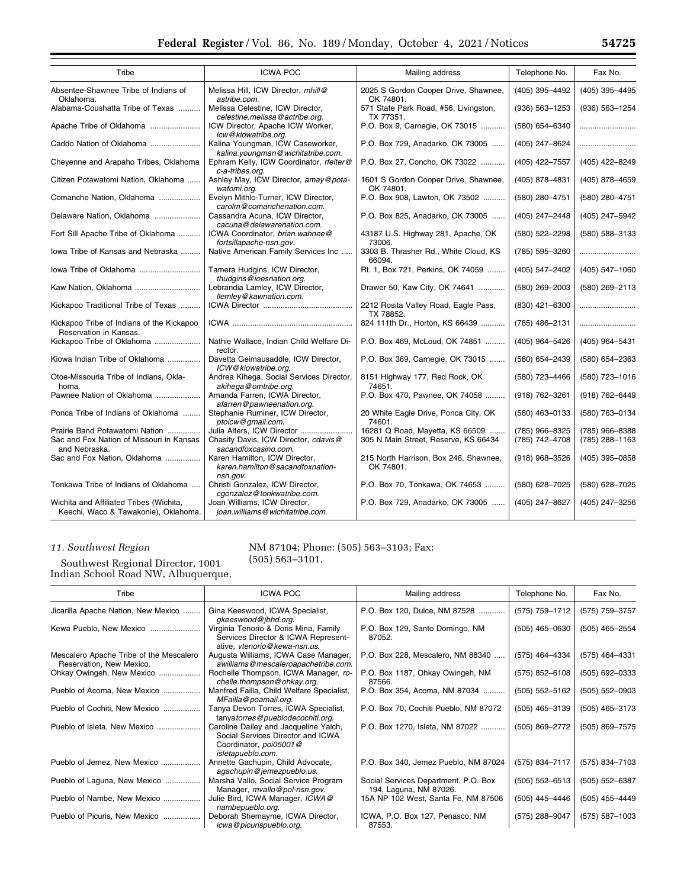| Tribe                                                                                       | <b>ICWA POC</b>                                                                            | Mailing address                                                         | Telephone No.                    | Fax No.                          |
|---------------------------------------------------------------------------------------------|--------------------------------------------------------------------------------------------|-------------------------------------------------------------------------|----------------------------------|----------------------------------|
| Absentee-Shawnee Tribe of Indians of<br>Oklahoma.                                           | Melissa Hill, ICW Director, mhill@<br>astribe.com.                                         | 2025 S Gordon Cooper Drive, Shawnee,<br>OK 74801.                       | (405) 395-4492                   | (405) 395-4495                   |
| Alabama-Coushatta Tribe of Texas                                                            | Melissa Celestine, ICW Director,<br>celestine.melissa@actribe.org.                         | 571 State Park Road, #56, Livingston,<br>TX 77351.                      | $(936) 563 - 1253$               | (936) 563-1254                   |
| Apache Tribe of Oklahoma                                                                    | ICW Director, Apache ICW Worker,<br>icw@kiowatribe.org.                                    | P.O. Box 9, Carnegie, OK 73015                                          | (580) 654-6340                   |                                  |
| Caddo Nation of Oklahoma                                                                    | Kalina Youngman, ICW Caseworker,<br>kalina.youngman@wichitatribe.com.                      | P.O. Box 729, Anadarko, OK 73005                                        | (405) 247-8624                   |                                  |
| Cheyenne and Arapaho Tribes, Oklahoma                                                       | Ephram Kelly, ICW Coordinator, rfelter@<br>c-a-tribes.org.                                 | P.O. Box 27, Concho, OK 73022                                           | (405) 422-7557                   | (405) 422-8249                   |
| Citizen Potawatomi Nation, Oklahoma                                                         | Ashley May, ICW Director, amay@pota-<br>watomi.org.                                        | 1601 S Gordon Cooper Drive, Shawnee,<br>OK 74801.                       | (405) 878-4831                   | (405) 878-4659                   |
| Comanche Nation, Oklahoma                                                                   | Evelyn Mithlo-Turner, ICW Director,<br>carolm@comanchenation.com.                          | P.O. Box 908, Lawton, OK 73502                                          | (580) 280-4751                   | (580) 280-4751                   |
| Delaware Nation, Oklahoma                                                                   | Cassandra Acuna, ICW Director,<br>cacuna@delawarenation.com.                               | P.O. Box 825, Anadarko, OK 73005                                        | (405) 247-2448                   | (405) 247-5942                   |
| Fort Sill Apache Tribe of Oklahoma                                                          | ICWA Coordinator, brian.wahnee@<br>fortsillapache-nsn.gov.                                 | 43187 U.S. Highway 281, Apache, OK<br>73006.                            | (580) 522-2298                   | (580) 588-3133                   |
| lowa Tribe of Kansas and Nebraska                                                           | Native American Family Services Inc                                                        | 3303 B. Thrasher Rd., White Cloud, KS<br>66094.                         | (785) 595-3260                   |                                  |
| lowa Tribe of Oklahoma                                                                      | Tamera Hudgins, ICW Director,<br>thudgins@ioesnation.org.                                  | Rt. 1, Box 721, Perkins, OK 74059                                       | (405) 547-2402                   | (405) 547-1060                   |
|                                                                                             | Lebrandia Lamley, ICW Director,<br>llemley@kawnation.com.                                  | Drawer 50, Kaw City, OK 74641                                           | $(580)$ 269-2003                 | (580) 269-2113                   |
| Kickapoo Traditional Tribe of Texas                                                         |                                                                                            | 2212 Rosita Valley Road, Eagle Pass,<br>TX 78852.                       | $(830)$ 421-6300                 |                                  |
| Kickapoo Tribe of Indians of the Kickapoo<br>Reservation in Kansas.                         |                                                                                            | 824 111th Dr., Horton, KS 66439                                         | (785) 486-2131                   |                                  |
| Kickapoo Tribe of Oklahoma                                                                  | Nathie Wallace, Indian Child Welfare Di-<br>rector.                                        | P.O. Box 469, McLoud, OK 74851                                          | (405) 964-5426                   | (405) 964-5431                   |
| Kiowa Indian Tribe of Oklahoma                                                              | Davetta Geimausaddle, ICW Director,<br>ICW@kiowatribe.org.                                 | P.O. Box 369, Carnegie, OK 73015                                        | $(580)$ 654-2439                 | (580) 654-2363                   |
| Otoe-Missouria Tribe of Indians, Okla-<br>homa.                                             | Andrea Kihega, Social Services Director,<br>akihega@omtribe.org.                           | 8151 Highway 177, Red Rock, OK<br>74651.                                | (580) 723-4466                   | (580) 723-1016                   |
| Pawnee Nation of Oklahoma                                                                   | Amanda Farren, ICWA Director,<br>afarren@pawneenation.org.                                 | P.O. Box 470, Pawnee, OK 74058                                          | (918) 762-3261                   | (918) 762-6449                   |
| Ponca Tribe of Indians of Oklahoma                                                          | Stephanie Ruminer, ICW Director,<br>ptoicw@gmail.com.                                      | 20 White Eagle Drive, Ponca City, OK<br>74601.                          | $(580)$ 463-0133                 | (580) 763-0134                   |
| Prairie Band Potawatomi Nation<br>Sac and Fox Nation of Missouri in Kansas<br>and Nebraska. | Julia Alfers, ICW Director<br>Chasity Davis, ICW Director, cdavis@<br>sacandfoxcasino.com. | 16281 Q Road, Mayetta, KS 66509<br>305 N Main Street, Reserve, KS 66434 | (785) 966-8325<br>(785) 742-4708 | (785) 966-8388<br>(785) 288-1163 |
| Sac and Fox Nation, Oklahoma                                                                | Karen Hamilton, ICW Director,<br>karen.hamilton@sacandfoxnation-<br>nsn.gov.               | 215 North Harrison, Box 246, Shawnee,<br>OK 74801.                      | (918) 968-3526                   | (405) 395-0858                   |
| Tonkawa Tribe of Indians of Oklahoma                                                        | Christi Gonzalez, ICW Director,<br>cgonzalez@tonkwatribe.com.                              | P.O. Box 70, Tonkawa, OK 74653                                          | (580) 628-7025                   | (580) 628-7025                   |
| Wichita and Affiliated Tribes (Wichita,<br>Keechi, Waco & Tawakonie), Oklahoma.             | Joan Williams, ICW Director,<br>joan.williams@wichitatribe.com.                            | P.O. Box 729, Anadarko, OK 73005                                        | (405) 247-8627                   | (405) 247-3256                   |

# *11. Southwest Region*

Southwest Regional Director, 1001 Indian School Road NW, Albuquerque,

## NM 87104; Phone: (505) 563–3103; Fax:

(505) 563–3101.

| Tribe                                                               | <b>ICWA POC</b>                                                                                                           | Mailing address                                                | Telephone No.      | Fax No.            |
|---------------------------------------------------------------------|---------------------------------------------------------------------------------------------------------------------------|----------------------------------------------------------------|--------------------|--------------------|
| Jicarilla Apache Nation, New Mexico                                 | Gina Keeswood, ICWA Specialist,<br>gkeeswood@jbhd.org.                                                                    | P.O. Box 120, Dulce, NM 87528                                  | (575) 759-1712     | (575) 759-3757     |
| Kewa Pueblo, New Mexico                                             | Virginia Tenorio & Doris Mina, Family<br>Services Director & ICWA Represent-<br>ative, vtenorio@kewa-nsn.us.              | P.O. Box 129, Santo Domingo, NM<br>87052.                      | $(505)$ 465-0630   | (505) 465-2554     |
| Mescalero Apache Tribe of the Mescalero<br>Reservation, New Mexico. | Augusta Williams, ICWA Case Manager,<br>awilliams@mescaleroapachetribe.com.                                               | P.O. Box 228, Mescalero, NM 88340                              | (575) 464-4334     | (575) 464-4331     |
| Ohkay Owingeh, New Mexico                                           | Rochelle Thompson, ICWA Manager, ro-<br>chelle.thompson@ohkay.org.                                                        | P.O. Box 1187, Ohkay Owingeh, NM<br>87566.                     | $(575)$ 852-6108   | $(505)$ 692-0333   |
| Pueblo of Acoma, New Mexico                                         | Manfred Failla, Child Welfare Specialist,<br>MFailla@poamail.org.                                                         | P.O. Box 354, Acoma, NM 87034                                  | $(505) 552 - 5162$ | $(505) 552 - 0903$ |
| Pueblo of Cochiti, New Mexico                                       | Tanya Devon Torres, ICWA Specialist,<br>tanyatorres@pueblodecochiti.org.                                                  | P.O. Box 70, Cochiti Pueblo, NM 87072                          | $(505)$ 465-3139   | $(505)$ 465-3173   |
| Pueblo of Isleta, New Mexico                                        | Caroline Dailey and Jacqueline Yalch,<br>Social Services Director and ICWA<br>Coordinator, poi05001@<br>isletapueblo.com. | P.O. Box 1270, Isleta, NM 87022                                | (505) 869-2772     | (505) 869-7575     |
| Pueblo of Jemez, New Mexico                                         | Annette Gachupin, Child Advocate,<br>agachupin@jemezpueblo.us.                                                            | P.O. Box 340, Jemez Pueblo, NM 87024                           | (575) 834-7117     | (575) 834-7103     |
| Pueblo of Laguna, New Mexico                                        | Marsha Vallo, Social Service Program<br>Manager, mvallo@pol-nsn.gov.                                                      | Social Services Department, P.O. Box<br>194, Laguna, NM 87026. | $(505) 552 - 6513$ | (505) 552-6387     |
| Pueblo of Nambe, New Mexico                                         | Julie Bird, ICWA Manager, ICWA@<br>nambepueblo.org.                                                                       | 15A NP 102 West, Santa Fe, NM 87506                            | (505) 445-4446     | (505) 455-4449     |
| Pueblo of Picuris, New Mexico                                       | Deborah Shemayme, ICWA Director,<br>icwa@picurispueblo.org.                                                               | ICWA, P.O. Box 127, Penasco, NM<br>87553.                      | (575) 288-9047     | (575) 587-1003     |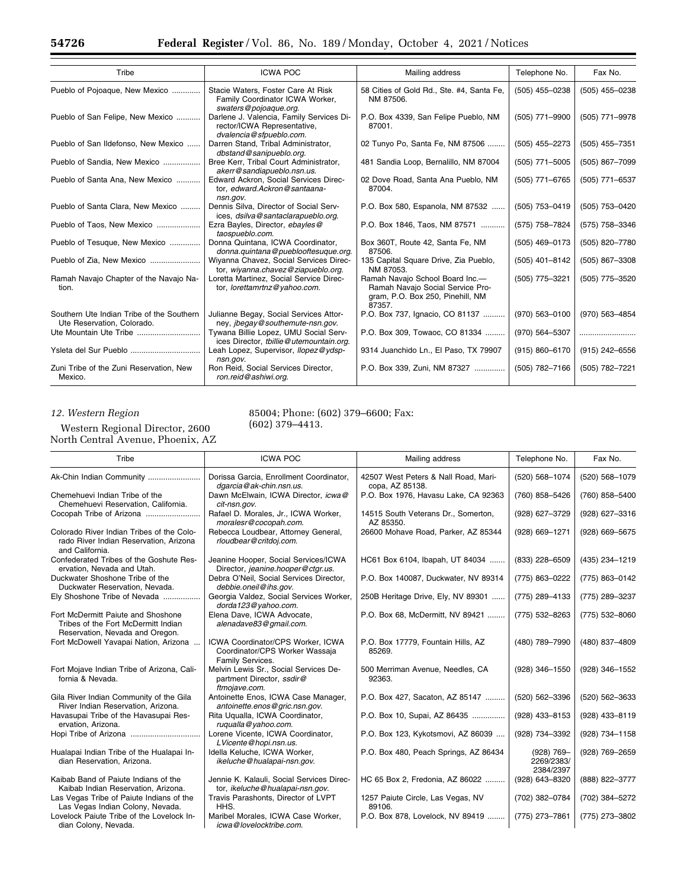۰

| Tribe                                                                   | <b>ICWA POC</b>                                                                                                             | Mailing address                                                                                                   | Telephone No.    | Fax No.          |
|-------------------------------------------------------------------------|-----------------------------------------------------------------------------------------------------------------------------|-------------------------------------------------------------------------------------------------------------------|------------------|------------------|
| Pueblo of Pojoaque, New Mexico                                          | Stacie Waters, Foster Care At Risk<br>Family Coordinator ICWA Worker,                                                       | 58 Cities of Gold Rd., Ste. #4, Santa Fe,<br>NM 87506.                                                            | $(505)$ 455-0238 | (505) 455-0238   |
| Pueblo of San Felipe, New Mexico                                        | swaters@pojoaque.org.<br>Darlene J. Valencia, Family Services Di-<br>rector/ICWA Representative,<br>dvalencia@sfpueblo.com. | P.O. Box 4339, San Felipe Pueblo, NM<br>87001.                                                                    | (505) 771-9900   | (505) 771-9978   |
| Pueblo of San Ildefonso, New Mexico                                     | Darren Stand, Tribal Administrator,<br>dbstand@sanipueblo.org.                                                              | 02 Tunyo Po, Santa Fe, NM 87506                                                                                   | (505) 455-2273   | $(505)$ 455-7351 |
| Pueblo of Sandia, New Mexico                                            | Bree Kerr, Tribal Court Administrator,<br>akerr@sandiapueblo.nsn.us.                                                        | 481 Sandia Loop, Bernalillo, NM 87004                                                                             | (505) 771-5005   | (505) 867-7099   |
| Pueblo of Santa Ana, New Mexico                                         | Edward Ackron, Social Services Direc-<br>tor. edward.Ackron@santaana-<br>nsn.gov.                                           | 02 Dove Road, Santa Ana Pueblo, NM<br>87004.                                                                      | (505) 771-6765   | (505) 771-6537   |
| Pueblo of Santa Clara, New Mexico                                       | Dennis Silva, Director of Social Serv-<br>ices, dsilva@santaclarapueblo.org.                                                | P.O. Box 580, Espanola, NM 87532                                                                                  | (505) 753-0419   | (505) 753-0420   |
| Pueblo of Taos, New Mexico                                              | Ezra Bayles, Director, ebayles@<br>taospueblo.com.                                                                          | P.O. Box 1846, Taos, NM 87571                                                                                     | (575) 758-7824   | (575) 758-3346   |
| Pueblo of Tesugue, New Mexico                                           | Donna Quintana, ICWA Coordinator,<br>donna.quintana@pueblooftesuque.org.                                                    | Box 360T, Route 42, Santa Fe, NM<br>87506.                                                                        | $(505)$ 469-0173 | (505) 820-7780   |
| Pueblo of Zia, New Mexico                                               | Wiyanna Chavez, Social Services Direc-<br>tor, wiyanna.chavez@ziapueblo.org.                                                | 135 Capital Square Drive, Zia Pueblo,<br>NM 87053.                                                                | $(505)$ 401-8142 | (505) 867-3308   |
| Ramah Navajo Chapter of the Navajo Na-<br>tion.                         | Loretta Martinez, Social Service Direc-<br>tor, lorettamrtnz@yahoo.com.                                                     | Ramah Navajo School Board Inc.-<br>Ramah Navajo Social Service Pro-<br>gram, P.O. Box 250, Pinehill, NM<br>87357. | (505) 775-3221   | (505) 775-3520   |
| Southern Ute Indian Tribe of the Southern<br>Ute Reservation, Colorado. | Julianne Begay, Social Services Attor-<br>ney, <i>jbegay@southemute-nsn.gov.</i>                                            | P.O. Box 737, Ignacio, CO 81137                                                                                   | (970) 563-0100   | (970) 563-4854   |
| Ute Mountain Ute Tribe                                                  | Tywana Billie Lopez, UMU Social Serv-<br>ices Director, tbillie@utemountain.org.                                            | P.O. Box 309, Towaoc, CO 81334                                                                                    | (970) 564-5307   |                  |
| Ysleta del Sur Pueblo                                                   | Leah Lopez, Supervisor, Ilopez@ydsp-<br>nsn.gov.                                                                            | 9314 Juanchido Ln., El Paso, TX 79907                                                                             | (915) 860-6170   | (915) 242-6556   |
| Zuni Tribe of the Zuni Reservation, New<br>Mexico.                      | Ron Reid, Social Services Director,<br>ron.reid@ashiwi.org.                                                                 | P.O. Box 339, Zuni, NM 87327                                                                                      | (505) 782-7166   | (505) 782-7221   |

## *12. Western Region*

Western Regional Director, 2600 North Central Avenue, Phoenix, AZ

85004; Phone: (602) 379–6600; Fax: (602) 379–4413.

| NOrth Central Avenue, Phoenix, AZ                                                                            |                                                                                         |                                                         |                                       |                |
|--------------------------------------------------------------------------------------------------------------|-----------------------------------------------------------------------------------------|---------------------------------------------------------|---------------------------------------|----------------|
| Tribe                                                                                                        | <b>ICWA POC</b>                                                                         | Mailing address                                         | Telephone No.                         | Fax No.        |
| Ak-Chin Indian Community                                                                                     | Dorissa Garcia, Enrollment Coordinator,<br>dgarcia@ak-chin.nsn.us.                      | 42507 West Peters & Nall Road, Mari-<br>copa, AZ 85138. | (520) 568-1074                        | (520) 568-1079 |
| Chemehuevi Indian Tribe of the<br>Chemehuevi Reservation, California.                                        | Dawn McElwain, ICWA Director, icwa@<br>cit-nsn.gov.                                     | P.O. Box 1976, Havasu Lake, CA 92363                    | (760) 858-5426                        | (760) 858-5400 |
| Cocopah Tribe of Arizona                                                                                     | Rafael D. Morales, Jr., ICWA Worker,<br>moralesr@cocopah.com.                           | 14515 South Veterans Dr., Somerton,<br>AZ 85350.        | (928) 627-3729                        | (928) 627-3316 |
| Colorado River Indian Tribes of the Colo-<br>rado River Indian Reservation, Arizona<br>and California.       | Rebecca Loudbear, Attorney General,<br>rloudbear@critdoj.com.                           | 26600 Mohave Road, Parker, AZ 85344                     | (928) 669-1271                        | (928) 669-5675 |
| Confederated Tribes of the Goshute Res-<br>ervation, Nevada and Utah.                                        | Jeanine Hooper, Social Services/ICWA<br>Director, jeanine.hooper@ctgr.us.               | HC61 Box 6104, Ibapah, UT 84034                         | (833) 228-6509                        | (435) 234-1219 |
| Duckwater Shoshone Tribe of the<br>Duckwater Reservation, Nevada.                                            | Debra O'Neil. Social Services Director.<br>debbie.oneil@ihs.gov.                        | P.O. Box 140087, Duckwater, NV 89314                    | (775) 863-0222                        | (775) 863-0142 |
| Ely Shoshone Tribe of Nevada                                                                                 | Georgia Valdez, Social Services Worker,<br>dorda123@yahoo.com.                          | 250B Heritage Drive, Ely, NV 89301                      | (775) 289-4133                        | (775) 289-3237 |
| Fort McDermitt Paiute and Shoshone<br>Tribes of the Fort McDermitt Indian<br>Reservation, Nevada and Oregon. | Elena Dave, ICWA Advocate,<br>alenadave83@gmail.com.                                    | P.O. Box 68, McDermitt, NV 89421                        | (775) 532-8263                        | (775) 532-8060 |
| Fort McDowell Yavapai Nation, Arizona                                                                        | ICWA Coordinator/CPS Worker, ICWA<br>Coordinator/CPS Worker Wassaja<br>Family Services. | P.O. Box 17779, Fountain Hills, AZ<br>85269.            | (480) 789-7990                        | (480) 837-4809 |
| Fort Mojave Indian Tribe of Arizona, Cali-<br>fornia & Nevada.                                               | Melvin Lewis Sr., Social Services De-<br>partment Director, ssdir@<br>ftmojave.com.     | 500 Merriman Avenue, Needles, CA<br>92363.              | (928) 346-1550                        | (928) 346-1552 |
| Gila River Indian Community of the Gila<br>River Indian Reservation, Arizona.                                | Antoinette Enos, ICWA Case Manager,<br>antoinette.enos@gric.nsn.gov.                    | P.O. Box 427, Sacaton, AZ 85147                         | (520) 562-3396                        | (520) 562-3633 |
| Havasupai Tribe of the Havasupai Res-<br>ervation, Arizona.                                                  | Rita Uqualla, ICWA Coordinator,<br>ruqualla@yahoo.com.                                  | P.O. Box 10, Supai, AZ 86435                            | (928) 433-8153                        | (928) 433-8119 |
|                                                                                                              | Lorene Vicente, ICWA Coordinator,<br>LVicente@hopi.nsn.us.                              | P.O. Box 123, Kykotsmovi, AZ 86039                      | (928) 734-3392                        | (928) 734-1158 |
| Hualapai Indian Tribe of the Hualapai In-<br>dian Reservation, Arizona.                                      | Idella Keluche, ICWA Worker,<br>ikeluche@hualapai-nsn.gov.                              | P.O. Box 480, Peach Springs, AZ 86434                   | (928) 769-<br>2269/2383/<br>2384/2397 | (928) 769-2659 |
| Kaibab Band of Paiute Indians of the<br>Kaibab Indian Reservation, Arizona.                                  | Jennie K. Kalauli. Social Services Direc-<br>tor, ikeluche@hualapai-nsn.gov.            | HC 65 Box 2, Fredonia, AZ 86022                         | (928) 643-8320                        | (888) 822-3777 |
| Las Vegas Tribe of Paiute Indians of the<br>Las Vegas Indian Colony, Nevada.                                 | Travis Parashonts, Director of LVPT<br>HHS.                                             | 1257 Paiute Circle, Las Vegas, NV<br>89106.             | (702) 382-0784                        | (702) 384-5272 |
| Lovelock Paiute Tribe of the Lovelock In-<br>dian Colony, Nevada.                                            | Maribel Morales, ICWA Case Worker,<br>icwa@lovelocktribe.com.                           | P.O. Box 878, Lovelock, NV 89419                        | (775) 273-7861                        | (775) 273-3802 |